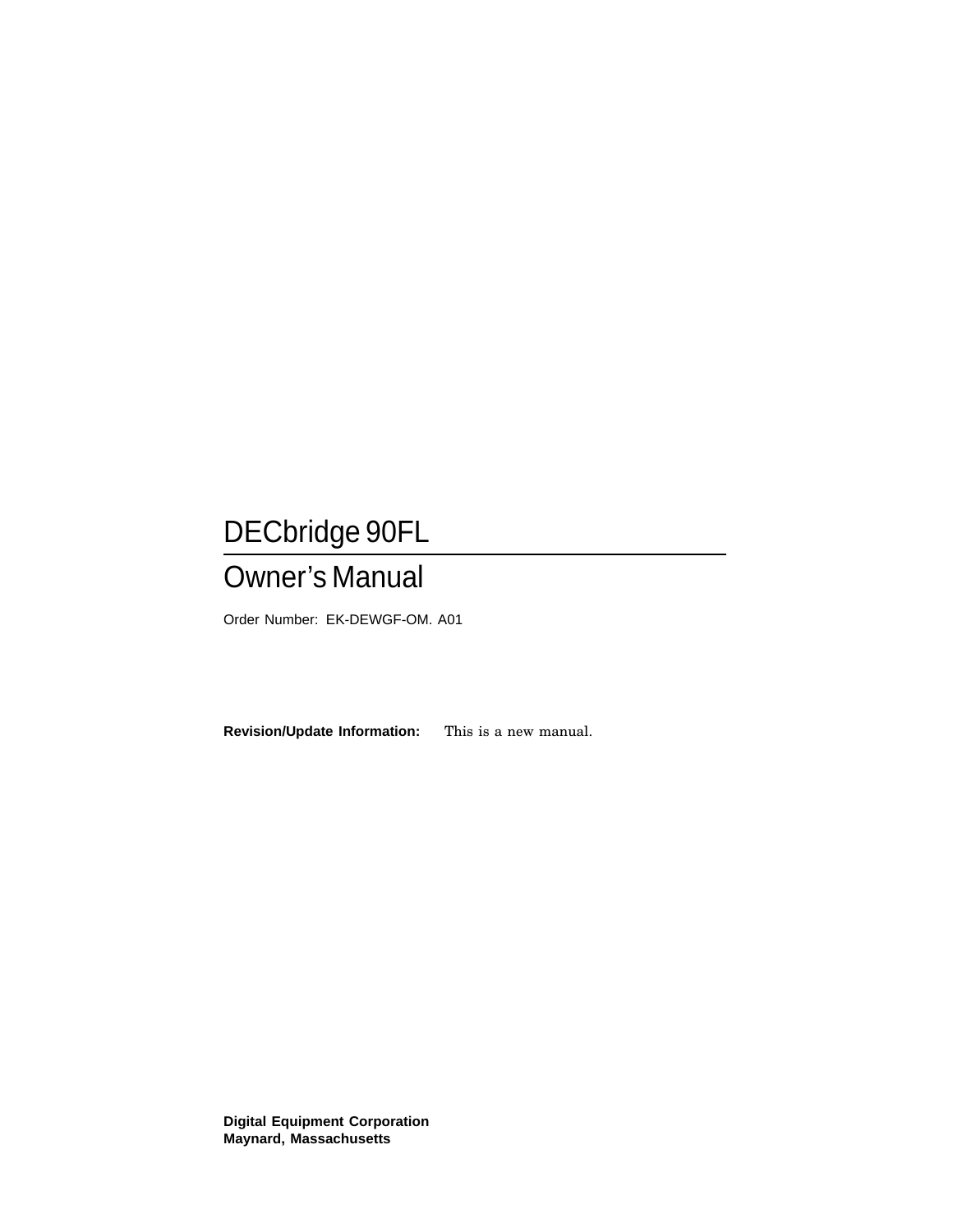# DECbridge 90FL

# Owner's Manual

Order Number: EK-DEWGF-OM. A01

**Revision/Update Information:** This is a new manual.

**Digital Equipment Corporation Maynard, Massachusetts**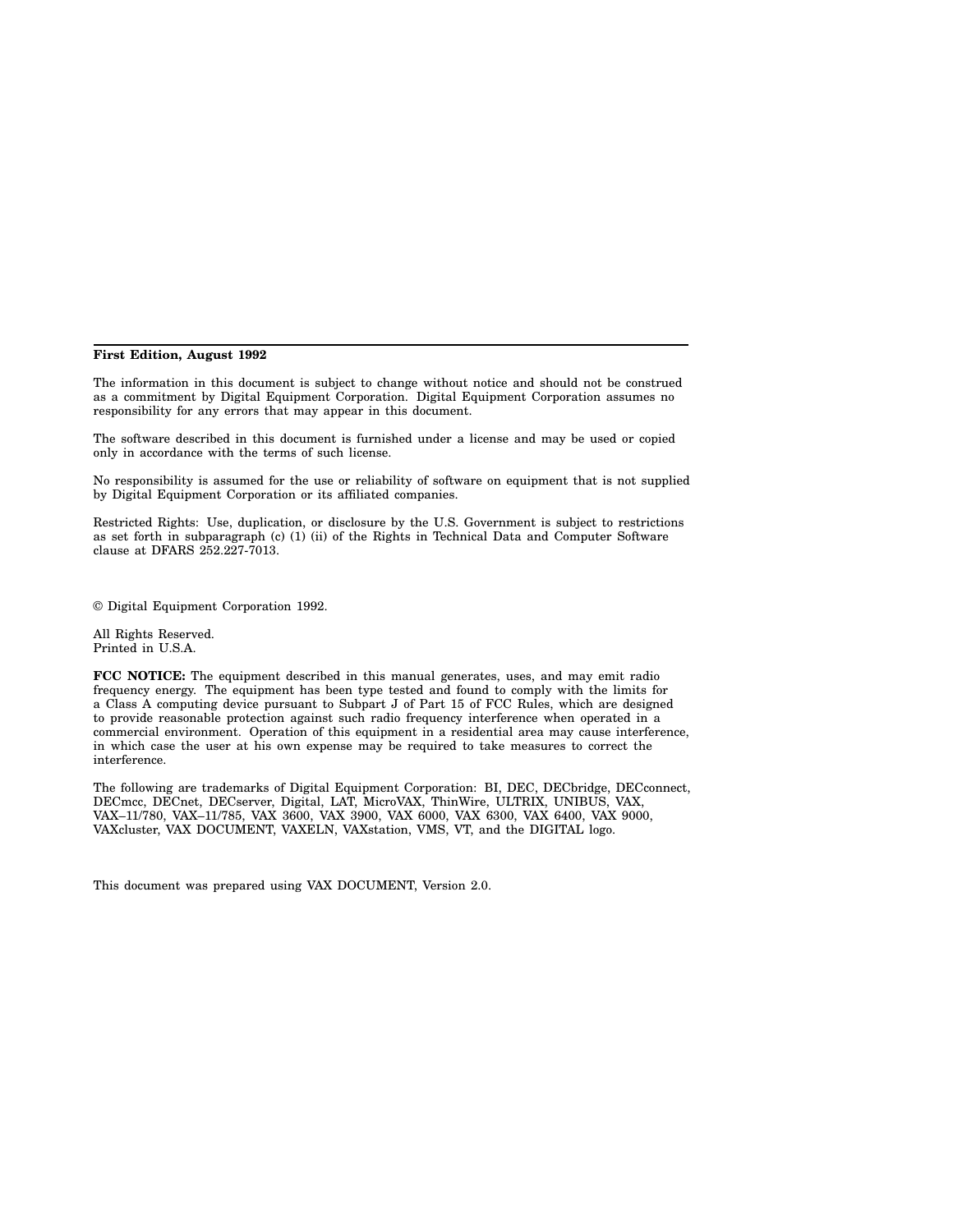#### **First Edition, August 1992**

The information in this document is subject to change without notice and should not be construed as a commitment by Digital Equipment Corporation. Digital Equipment Corporation assumes no responsibility for any errors that may appear in this document.

The software described in this document is furnished under a license and may be used or copied only in accordance with the terms of such license.

No responsibility is assumed for the use or reliability of software on equipment that is not supplied by Digital Equipment Corporation or its affiliated companies.

Restricted Rights: Use, duplication, or disclosure by the U.S. Government is subject to restrictions as set forth in subparagraph (c) (1) (ii) of the Rights in Technical Data and Computer Software clause at DFARS 252.227-7013.

© Digital Equipment Corporation 1992.

All Rights Reserved. Printed in U.S.A.

**FCC NOTICE:** The equipment described in this manual generates, uses, and may emit radio frequency energy. The equipment has been type tested and found to comply with the limits for a Class A computing device pursuant to Subpart J of Part 15 of FCC Rules, which are designed to provide reasonable protection against such radio frequency interference when operated in a commercial environment. Operation of this equipment in a residential area may cause interference, in which case the user at his own expense may be required to take measures to correct the interference.

The following are trademarks of Digital Equipment Corporation: BI, DEC, DECbridge, DECconnect, DECmcc, DECnet, DECserver, Digital, LAT, MicroVAX, ThinWire, ULTRIX, UNIBUS, VAX, VAX–11/780, VAX–11/785, VAX 3600, VAX 3900, VAX 6000, VAX 6300, VAX 6400, VAX 9000, VAXcluster, VAX DOCUMENT, VAXELN, VAXstation, VMS, VT, and the DIGITAL logo.

This document was prepared using VAX DOCUMENT, Version 2.0.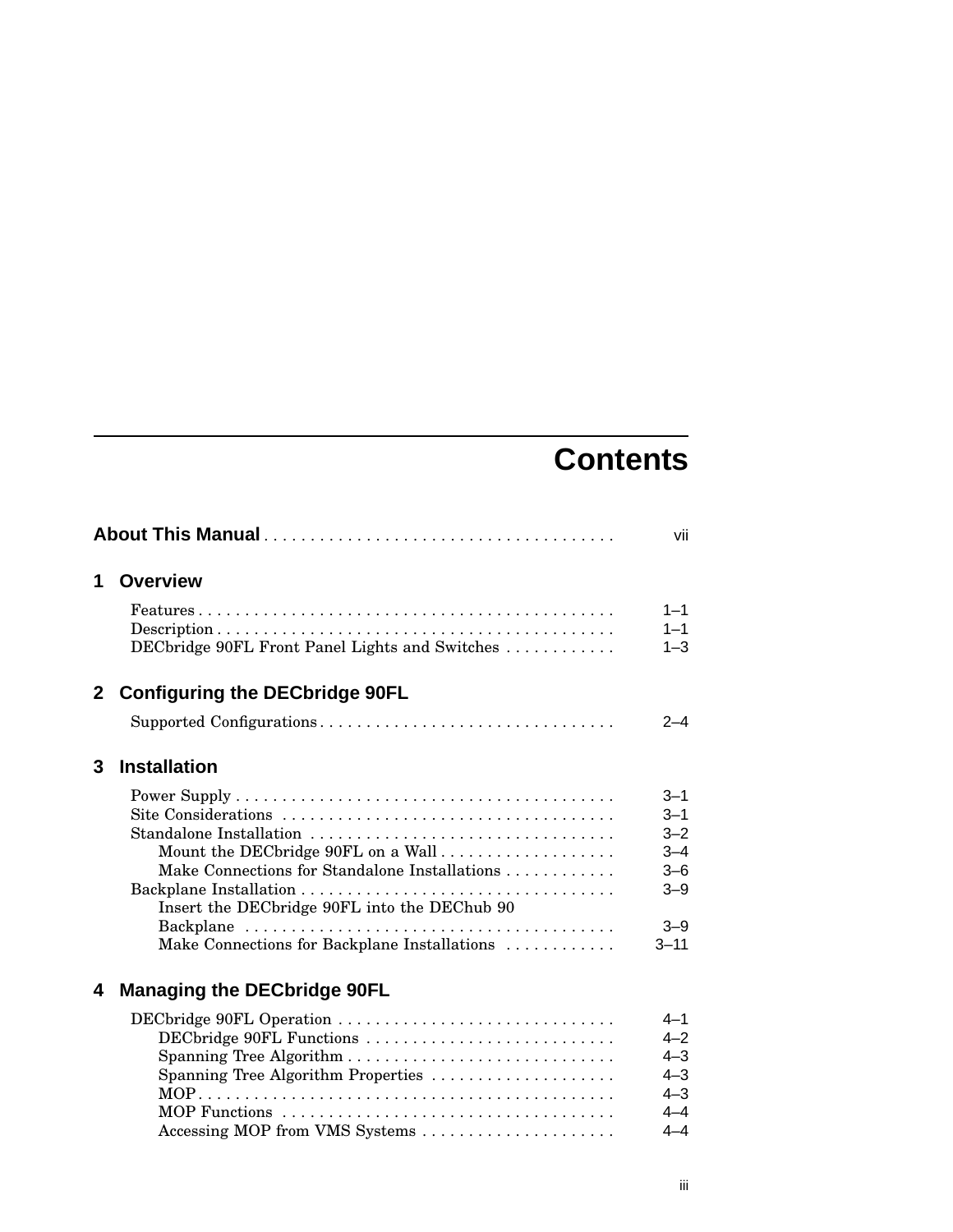# **Contents**

| vii          |                                                                                                                                                                                                                |                                                                                       |
|--------------|----------------------------------------------------------------------------------------------------------------------------------------------------------------------------------------------------------------|---------------------------------------------------------------------------------------|
| 1.           | <b>Overview</b>                                                                                                                                                                                                |                                                                                       |
|              | $Features \dots \dots \dots \dots \dots \dots \dots \dots \dots \dots \dots \dots \dots \dots \dots \dots$<br>DECbridge 90FL Front Panel Lights and Switches                                                   | $1 - 1$<br>$1 - 1$<br>$1 - 3$                                                         |
| $\mathbf{2}$ | <b>Configuring the DECbridge 90FL</b>                                                                                                                                                                          |                                                                                       |
|              | Supported Configurations                                                                                                                                                                                       | $2 - 4$                                                                               |
| 3            | <b>Installation</b>                                                                                                                                                                                            |                                                                                       |
|              | Standalone Installation<br>Mount the DECbridge 90FL on a Wall<br>Make Connections for Standalone Installations<br>Insert the DECbridge 90FL into the DEChub 90<br>Make Connections for Backplane Installations | $3 - 1$<br>$3 - 1$<br>$3 - 2$<br>$3 - 4$<br>$3 - 6$<br>$3 - 9$<br>$3 - 9$<br>$3 - 11$ |
| 4            | <b>Managing the DECbridge 90FL</b>                                                                                                                                                                             |                                                                                       |
|              | DECbridge 90FL Operation<br>DECbridge 90FL Functions<br>Spanning Tree Algorithm Properties<br>Accessing MOP from VMS Systems                                                                                   | $4 - 1$<br>$4 - 2$<br>$4 - 3$<br>$4 - 3$<br>$4 - 3$<br>$4 - 4$<br>$4 - 4$             |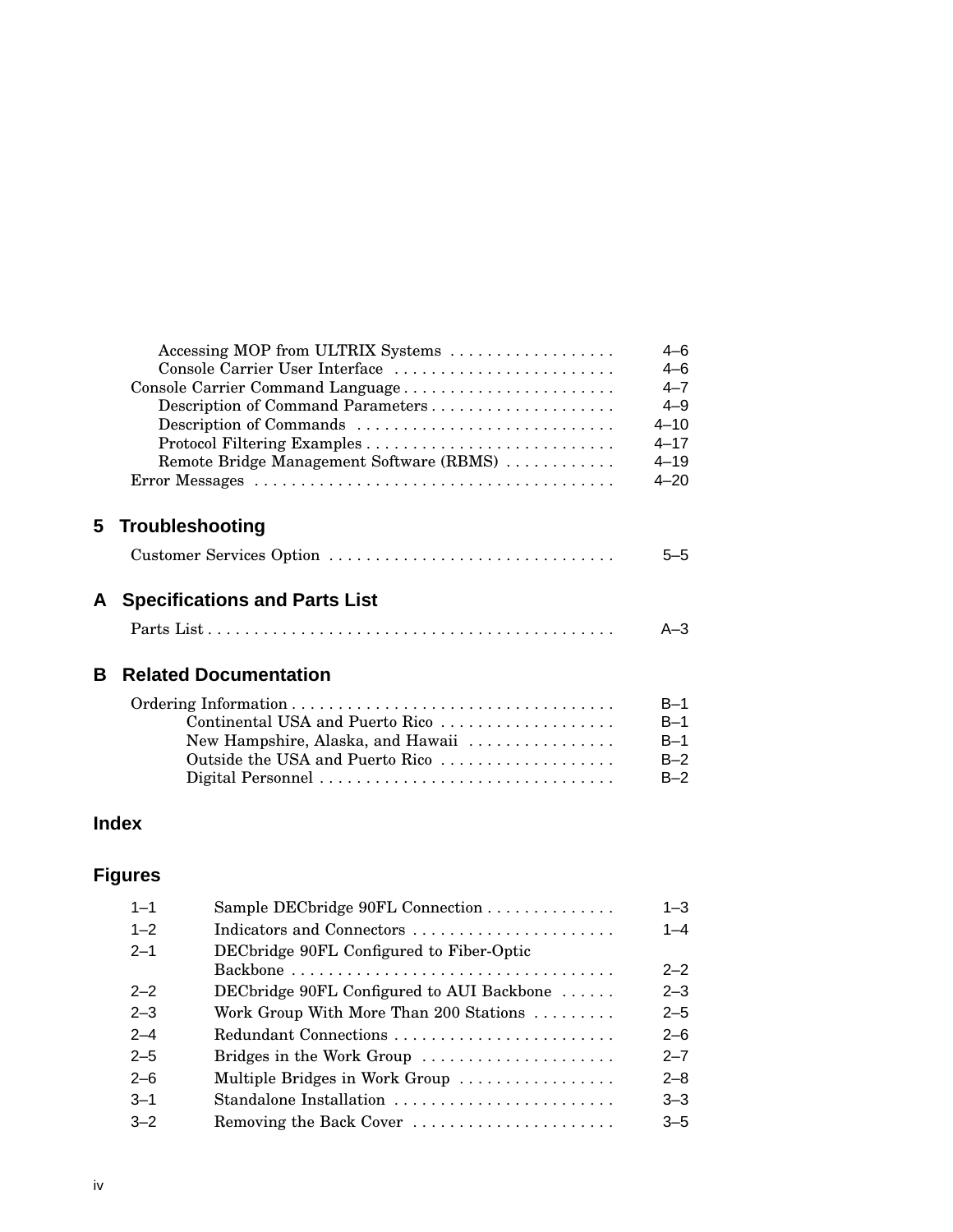|    | Accessing MOP from ULTRIX Systems<br>Console Carrier User Interface<br>Console Carrier Command Language<br>Description of Command Parameters<br>Description of Commands<br>Remote Bridge Management Software (RBMS) | $4 - 6$<br>$4 - 6$<br>$4 - 7$<br>$4 - 9$<br>$4 - 10$<br>$4 - 17$<br>$4 - 19$<br>$4 - 20$ |
|----|---------------------------------------------------------------------------------------------------------------------------------------------------------------------------------------------------------------------|------------------------------------------------------------------------------------------|
|    | 5 Troubleshooting                                                                                                                                                                                                   |                                                                                          |
|    | Customer Services Option                                                                                                                                                                                            | 5-5                                                                                      |
| A  | <b>Specifications and Parts List</b>                                                                                                                                                                                |                                                                                          |
|    |                                                                                                                                                                                                                     | $A - 3$                                                                                  |
| B. | <b>Related Documentation</b>                                                                                                                                                                                        |                                                                                          |
|    | Continental USA and Puerto Rico<br>New Hampshire, Alaska, and Hawaii<br>Outside the USA and Puerto Rico                                                                                                             | $B-1$<br>$B-1$<br>$B-1$<br>$B-2$<br>$B-2$                                                |
|    | Index                                                                                                                                                                                                               |                                                                                          |

| <b>Figures</b> |
|----------------|
|----------------|

| $1 - 1$ | Sample DECbridge 90FL Connection                       | $1 - 3$ |
|---------|--------------------------------------------------------|---------|
| $1 - 2$ | Indicators and Connectors                              | $1 - 4$ |
| $2 - 1$ | DECbridge 90FL Configured to Fiber-Optic               |         |
|         |                                                        | $2 - 2$ |
| $2 - 2$ | DECbridge 90FL Configured to AUI Backbone              | $2 - 3$ |
| $2 - 3$ | Work Group With More Than 200 Stations $\ldots \ldots$ | $2 - 5$ |
| $2 - 4$ | Redundant Connections                                  | $2 - 6$ |
| $2 - 5$ | Bridges in the Work Group                              | $2 - 7$ |
| $2 - 6$ | Multiple Bridges in Work Group                         | $2 - 8$ |
| $3 - 1$ | Standalone Installation                                | $3 - 3$ |
| $3 - 2$ | Removing the Back Cover                                | $3 - 5$ |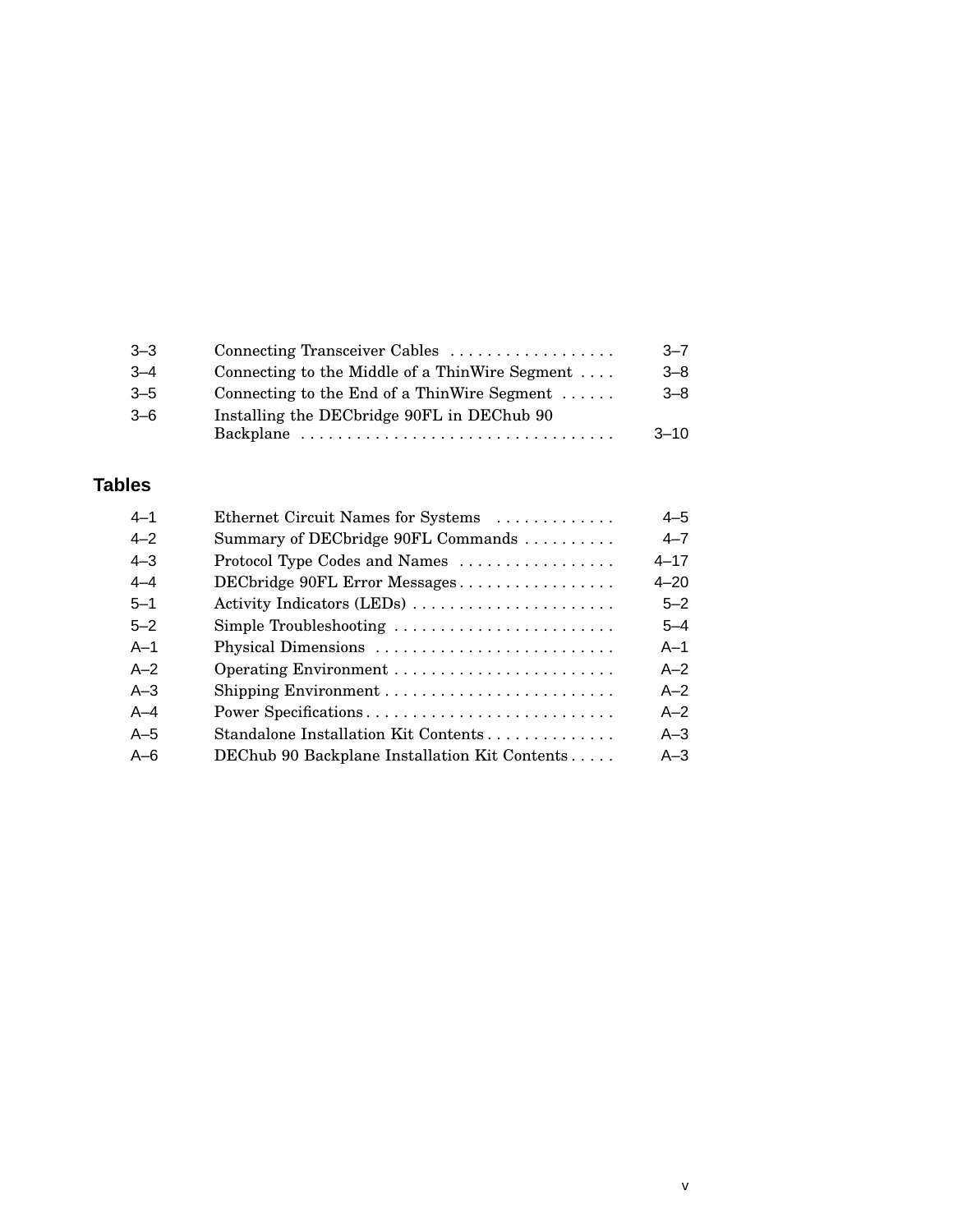| $3 - 3$ | Connecting Transceiver Cables                       | $-7$     |
|---------|-----------------------------------------------------|----------|
| $3 - 4$ | Connecting to the Middle of a ThinWire Segment      | $3 - 8$  |
| $3 - 5$ | Connecting to the End of a ThinWire Segment $\dots$ | $3 - 8$  |
| $3 - 6$ | Installing the DECbridge 90FL in DEChub 90          |          |
|         |                                                     | $3 - 10$ |
|         |                                                     |          |

## **Tables**

| $4 - 1$ | Ethernet Circuit Names for Systems            | $4 - 5$  |
|---------|-----------------------------------------------|----------|
| $4 - 2$ | Summary of DECbridge 90FL Commands            | $4 - 7$  |
| $4 - 3$ | Protocol Type Codes and Names                 | $4 - 17$ |
| $4 - 4$ | DECbridge 90FL Error Messages                 | $4 - 20$ |
| $5 - 1$ | Activity Indicators (LEDs)                    | $5 - 2$  |
| $5 - 2$ | Simple Troubleshooting                        | $5 - 4$  |
| $A-1$   | Physical Dimensions                           | $A-1$    |
| $A-2$   |                                               | $A - 2$  |
| $A - 3$ |                                               | $A - 2$  |
| $A-4$   | Power Specifications                          | $A - 2$  |
| $A-5$   | Standalone Installation Kit Contents          | $A - 3$  |
| $A - 6$ | DEChub 90 Backplane Installation Kit Contents | $A - 3$  |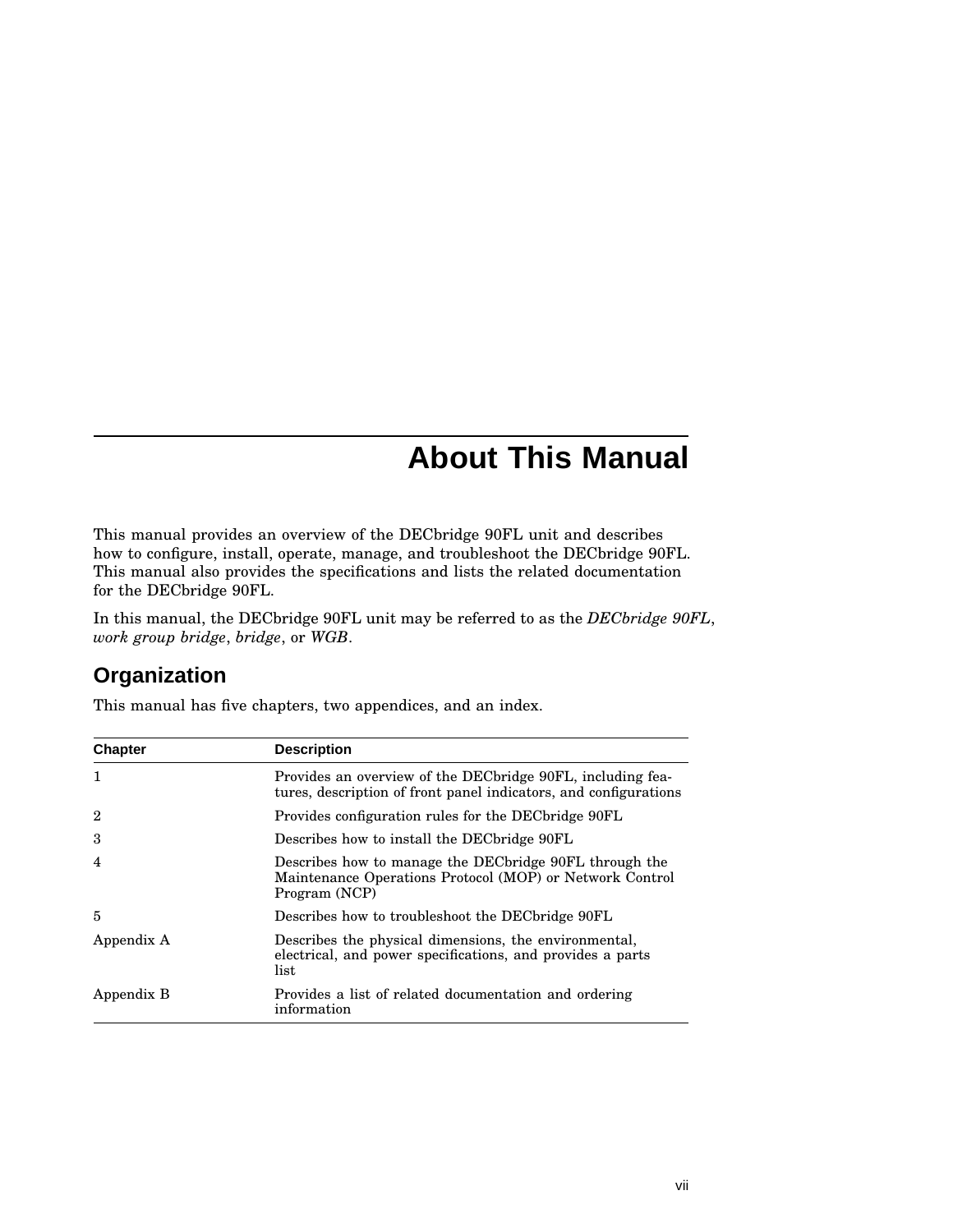# **About This Manual**

This manual provides an overview of the DECbridge 90FL unit and describes how to configure, install, operate, manage, and troubleshoot the DECbridge 90FL. This manual also provides the specifications and lists the related documentation for the DECbridge 90FL.

In this manual, the DECbridge 90FL unit may be referred to as the *DECbridge 90FL*, *work group bridge*, *bridge*, or *WGB*.

## **Organization**

This manual has five chapters, two appendices, and an index.

| <b>Chapter</b> | <b>Description</b>                                                                                                                   |  |
|----------------|--------------------------------------------------------------------------------------------------------------------------------------|--|
| $\mathbf{1}$   | Provides an overview of the DEC bridge 90FL, including fea-<br>tures, description of front panel indicators, and configurations      |  |
| $\overline{2}$ | Provides configuration rules for the DEC bridge 90FL                                                                                 |  |
| 3              | Describes how to install the DEC bridge 90FL                                                                                         |  |
| 4              | Describes how to manage the DEC bridge 90FL through the<br>Maintenance Operations Protocol (MOP) or Network Control<br>Program (NCP) |  |
| 5              | Describes how to troubleshoot the DEC bridge 90FL                                                                                    |  |
| Appendix A     | Describes the physical dimensions, the environmental,<br>electrical, and power specifications, and provides a parts<br>list          |  |
| Appendix B     | Provides a list of related documentation and ordering<br>information                                                                 |  |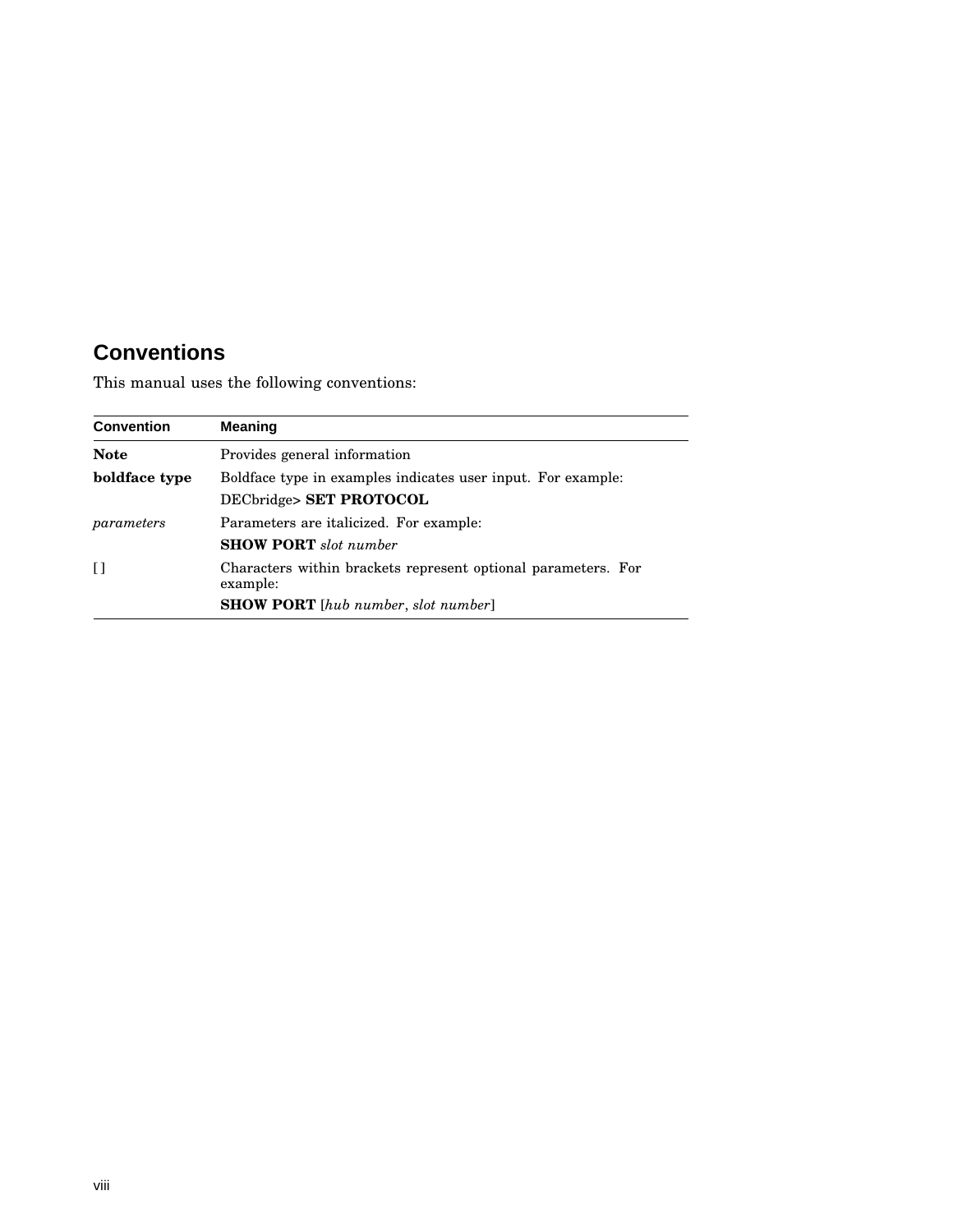# **Conventions**

This manual uses the following conventions:

| <b>Convention</b> | <b>Meaning</b>                                                                          |  |
|-------------------|-----------------------------------------------------------------------------------------|--|
| <b>Note</b>       | Provides general information                                                            |  |
| boldface type     | Boldface type in examples indicates user input. For example:<br>DECbridge> SET PROTOCOL |  |
| parameters        | Parameters are italicized. For example:<br><b>SHOW PORT</b> slot number                 |  |
| $\mathsf{L}$      | Characters within brackets represent optional parameters. For<br>example:               |  |
|                   | <b>SHOW PORT</b> [hub number, slot number]                                              |  |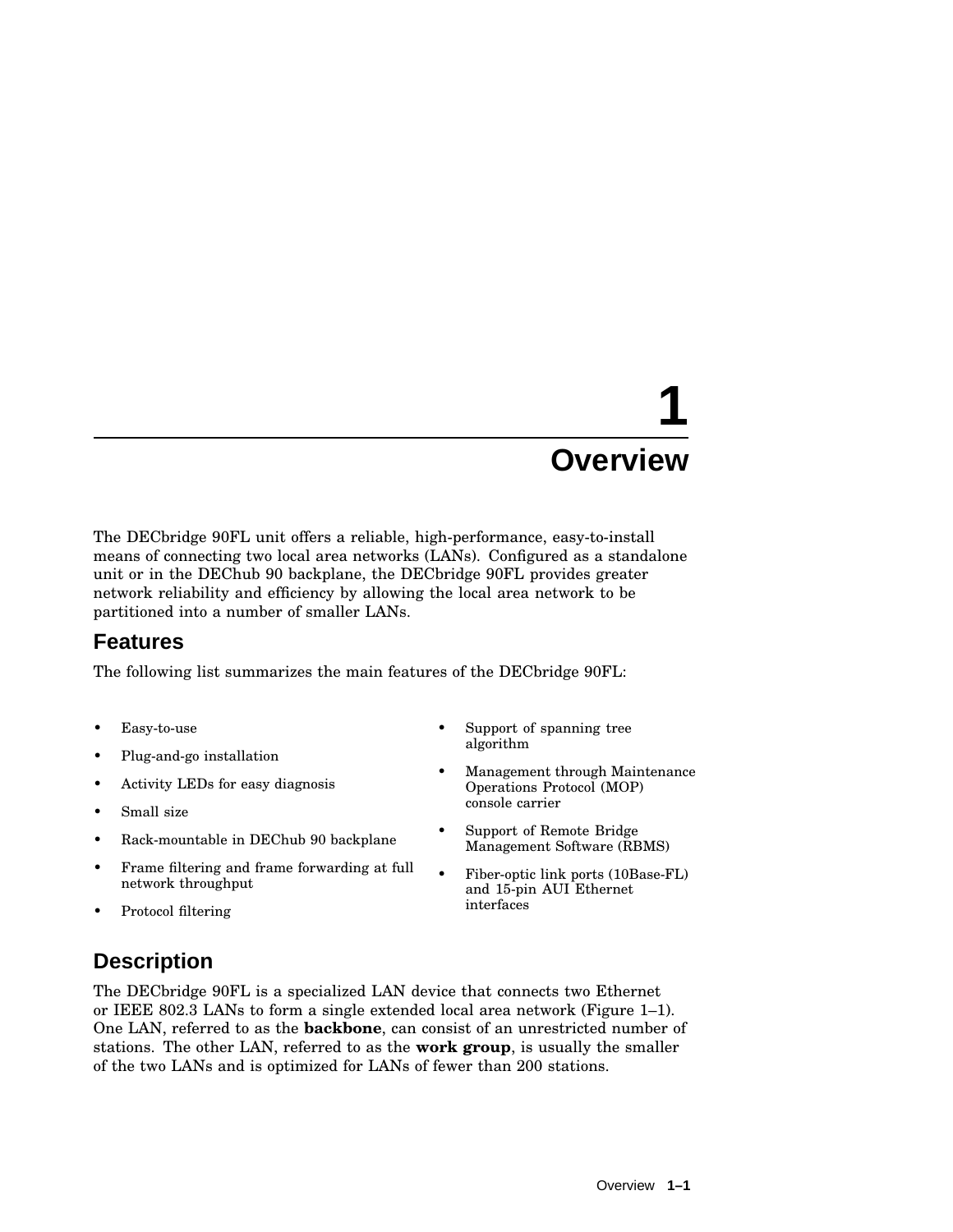# **1 Overview**

The DECbridge 90FL unit offers a reliable, high-performance, easy-to-install means of connecting two local area networks (LANs). Configured as a standalone unit or in the DEChub 90 backplane, the DECbridge 90FL provides greater network reliability and efficiency by allowing the local area network to be partitioned into a number of smaller LANs.

## **Features**

The following list summarizes the main features of the DECbridge 90FL:

- Easy-to-use
- Plug-and-go installation
- Activity LEDs for easy diagnosis
- Small size
- Rack-mountable in DEChub 90 backplane
- Frame filtering and frame forwarding at full network throughput
- Protocol filtering

#### Support of spanning tree algorithm

- Management through Maintenance Operations Protocol (MOP) console carrier
- Support of Remote Bridge Management Software (RBMS)
- Fiber-optic link ports (10Base-FL) and 15-pin AUI Ethernet interfaces

## **Description**

The DECbridge 90FL is a specialized LAN device that connects two Ethernet or IEEE 802.3 LANs to form a single extended local area network (Figure 1–1). One LAN, referred to as the **backbone**, can consist of an unrestricted number of stations. The other LAN, referred to as the **work group**, is usually the smaller of the two LANs and is optimized for LANs of fewer than 200 stations.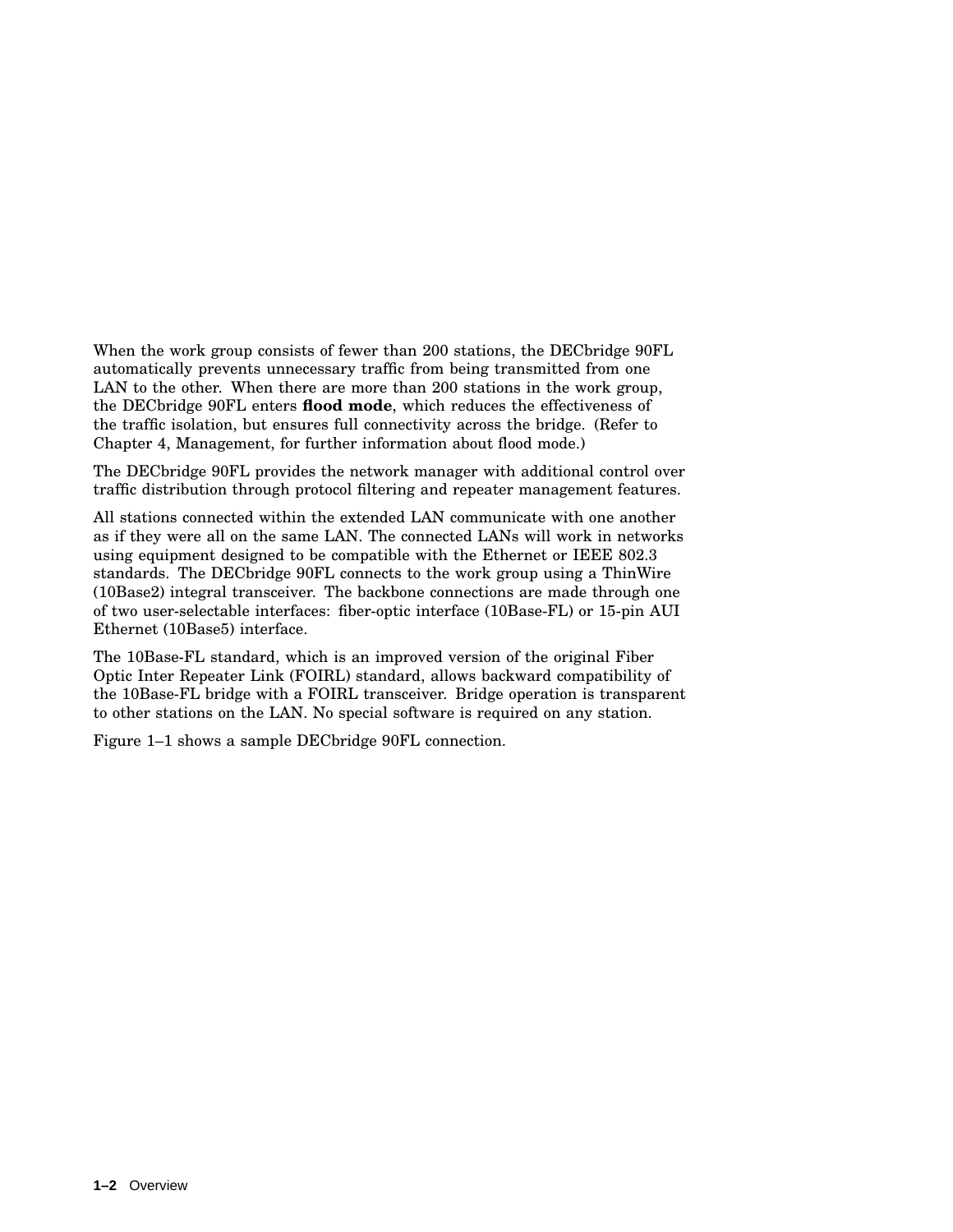When the work group consists of fewer than 200 stations, the DECbridge 90FL automatically prevents unnecessary traffic from being transmitted from one LAN to the other. When there are more than 200 stations in the work group, the DECbridge 90FL enters **flood mode**, which reduces the effectiveness of the traffic isolation, but ensures full connectivity across the bridge. (Refer to Chapter 4, Management, for further information about flood mode.)

The DECbridge 90FL provides the network manager with additional control over traffic distribution through protocol filtering and repeater management features.

All stations connected within the extended LAN communicate with one another as if they were all on the same LAN. The connected LANs will work in networks using equipment designed to be compatible with the Ethernet or IEEE 802.3 standards. The DECbridge 90FL connects to the work group using a ThinWire (10Base2) integral transceiver. The backbone connections are made through one of two user-selectable interfaces: fiber-optic interface (10Base-FL) or 15-pin AUI Ethernet (10Base5) interface.

The 10Base-FL standard, which is an improved version of the original Fiber Optic Inter Repeater Link (FOIRL) standard, allows backward compatibility of the 10Base-FL bridge with a FOIRL transceiver. Bridge operation is transparent to other stations on the LAN. No special software is required on any station.

Figure 1–1 shows a sample DECbridge 90FL connection.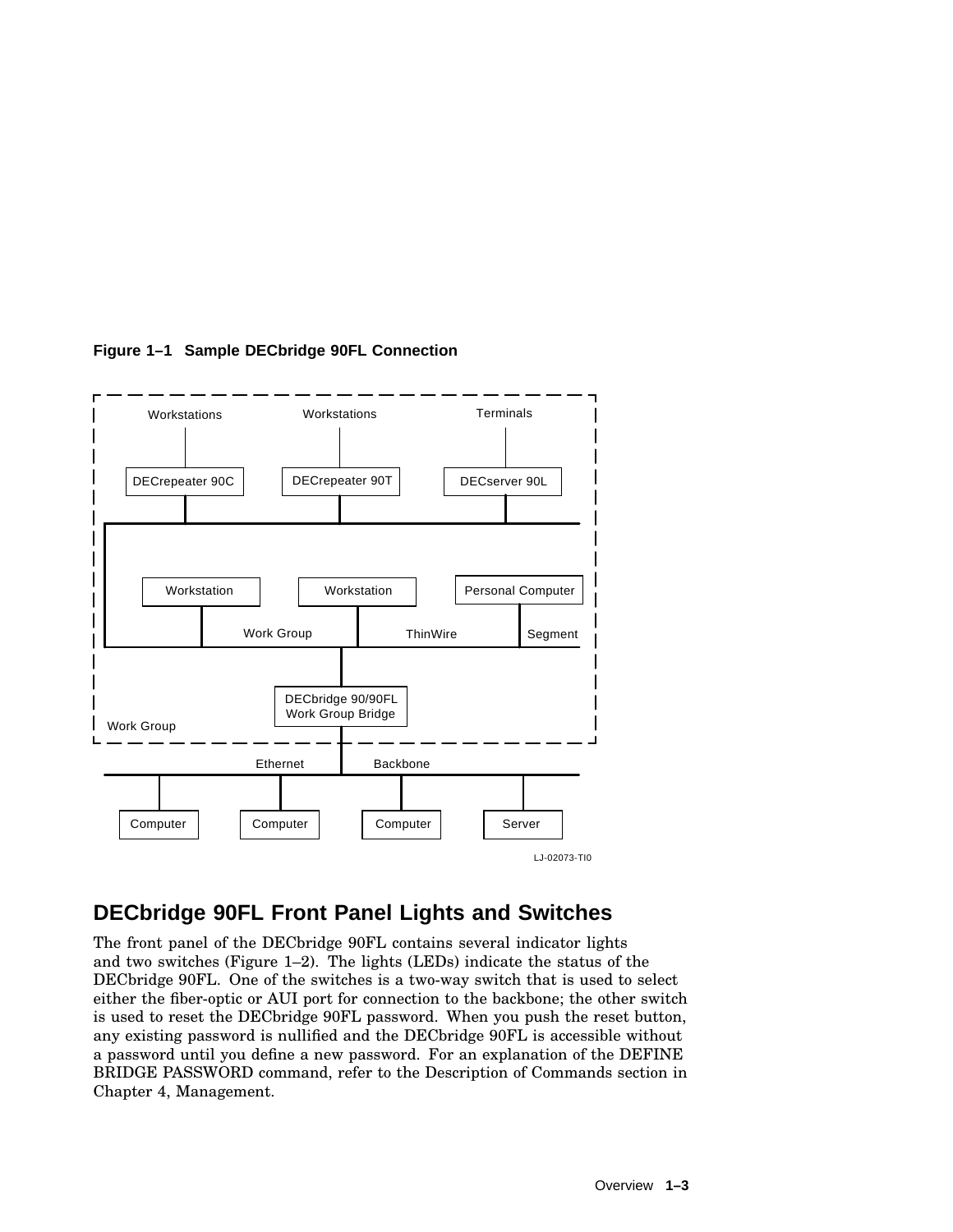

**Figure 1–1 Sample DECbridge 90FL Connection**

## **DECbridge 90FL Front Panel Lights and Switches**

The front panel of the DECbridge 90FL contains several indicator lights and two switches (Figure 1–2). The lights (LEDs) indicate the status of the DECbridge 90FL. One of the switches is a two-way switch that is used to select either the fiber-optic or AUI port for connection to the backbone; the other switch is used to reset the DECbridge 90FL password. When you push the reset button, any existing password is nullified and the DECbridge 90FL is accessible without a password until you define a new password. For an explanation of the DEFINE BRIDGE PASSWORD command, refer to the Description of Commands section in Chapter 4, Management.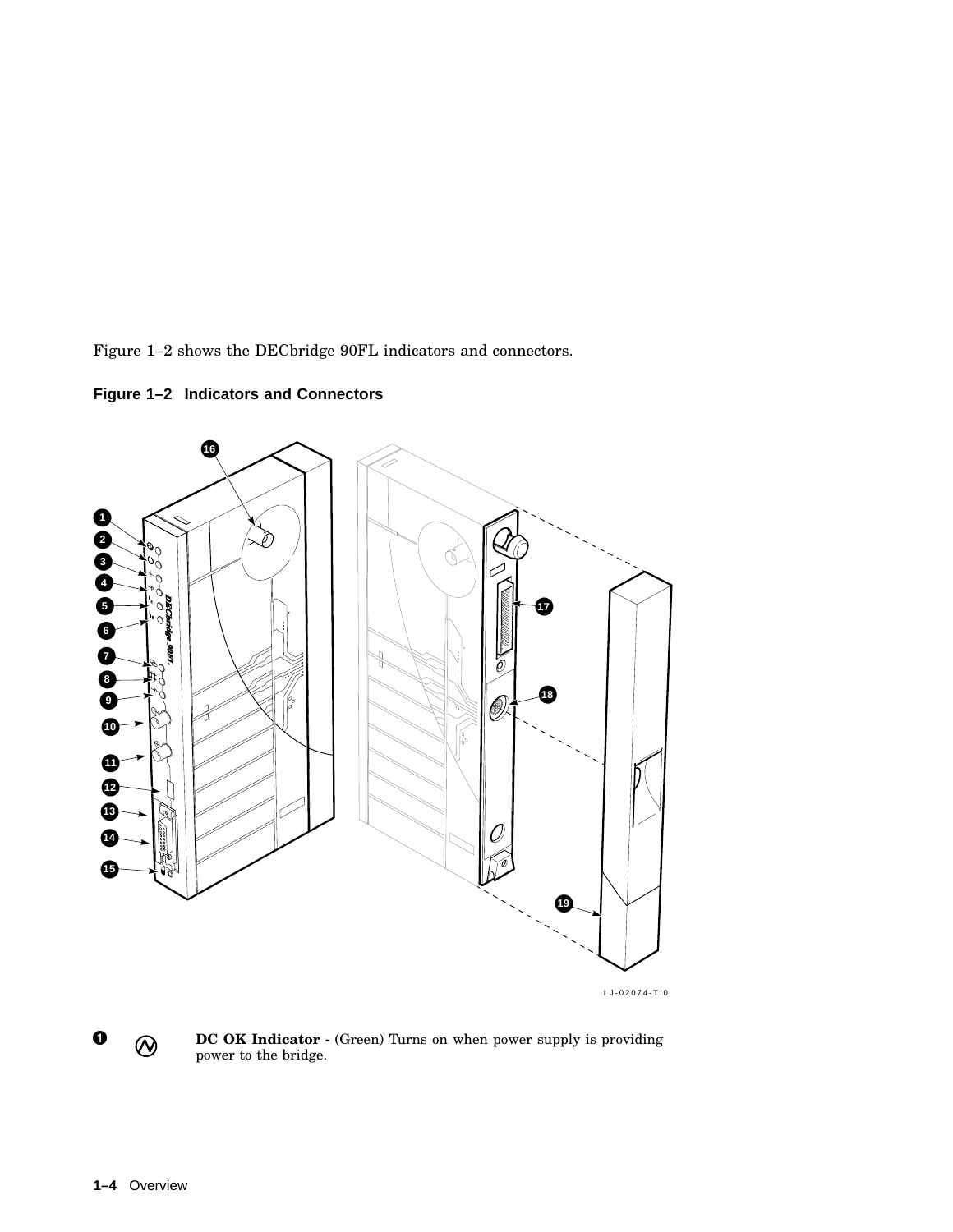Figure 1–2 shows the DECbridge 90FL indicators and connectors.

**16 1 2** Ď **3** οq **4 5**  $\mathcal{O}$ **17 6 7** Ó **8 18** Ø **9**  $\frac{1}{\sqrt{2}}$ **10**  $\sqrt{\frac{2}{\sigma}}$ **1 12 13 14 15 19**

**Figure 1–2 Indicators and Connectors**



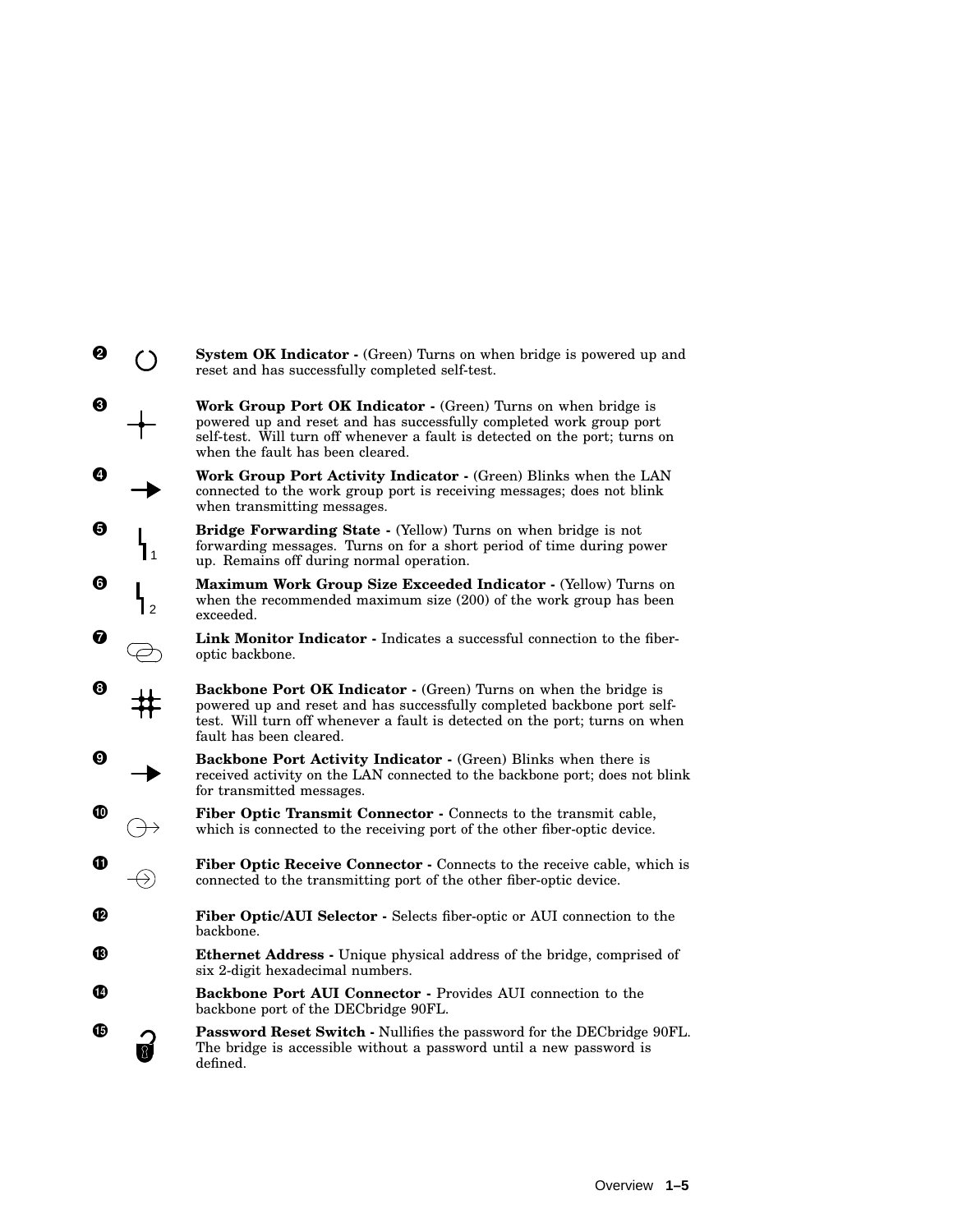| ❷ |               | System OK Indicator - (Green) Turns on when bridge is powered up and<br>reset and has successfully completed self-test.                                                                                                                                  |
|---|---------------|----------------------------------------------------------------------------------------------------------------------------------------------------------------------------------------------------------------------------------------------------------|
| ❸ |               | Work Group Port OK Indicator - (Green) Turns on when bridge is<br>powered up and reset and has successfully completed work group port<br>self-test. Will turn off whenever a fault is detected on the port; turns on<br>when the fault has been cleared. |
| Ø |               | Work Group Port Activity Indicator - (Green) Blinks when the LAN<br>connected to the work group port is receiving messages; does not blink<br>when transmitting messages.                                                                                |
| ❺ |               | <b>Bridge Forwarding State - (Yellow) Turns on when bridge is not</b><br>forwarding messages. Turns on for a short period of time during power<br>up. Remains off during normal operation.                                                               |
| 0 | $\mathcal{P}$ | Maximum Work Group Size Exceeded Indicator - (Yellow) Turns on<br>when the recommended maximum size (200) of the work group has been<br>exceeded.                                                                                                        |
| Ø |               | Link Monitor Indicator - Indicates a successful connection to the fiber-<br>optic backbone.                                                                                                                                                              |
| Θ |               | Backbone Port OK Indicator - (Green) Turns on when the bridge is<br>powered up and reset and has successfully completed backbone port self-<br>test. Will turn off whenever a fault is detected on the port; turns on when<br>fault has been cleared.    |
| Ø |               | Backbone Port Activity Indicator - (Green) Blinks when there is<br>received activity on the LAN connected to the backbone port; does not blink<br>for transmitted messages.                                                                              |
| ⑩ |               | Fiber Optic Transmit Connector - Connects to the transmit cable,<br>which is connected to the receiving port of the other fiber-optic device.                                                                                                            |
| ⊕ | $\rightarrow$ | Fiber Optic Receive Connector - Connects to the receive cable, which is<br>connected to the transmitting port of the other fiber-optic device.                                                                                                           |
| œ |               | Fiber Optic/AUI Selector - Selects fiber-optic or AUI connection to the<br>backbone.                                                                                                                                                                     |
| ® |               | Ethernet Address - Unique physical address of the bridge, comprised of<br>six 2-digit hexadecimal numbers.                                                                                                                                               |
| Ø |               | Backbone Port AUI Connector - Provides AUI connection to the<br>backbone port of the DECbridge 90FL.                                                                                                                                                     |
| G |               | Password Reset Switch - Nullifies the password for the DECbridge 90FL.<br>The bridge is accessible without a password until a new password is<br>defined.                                                                                                |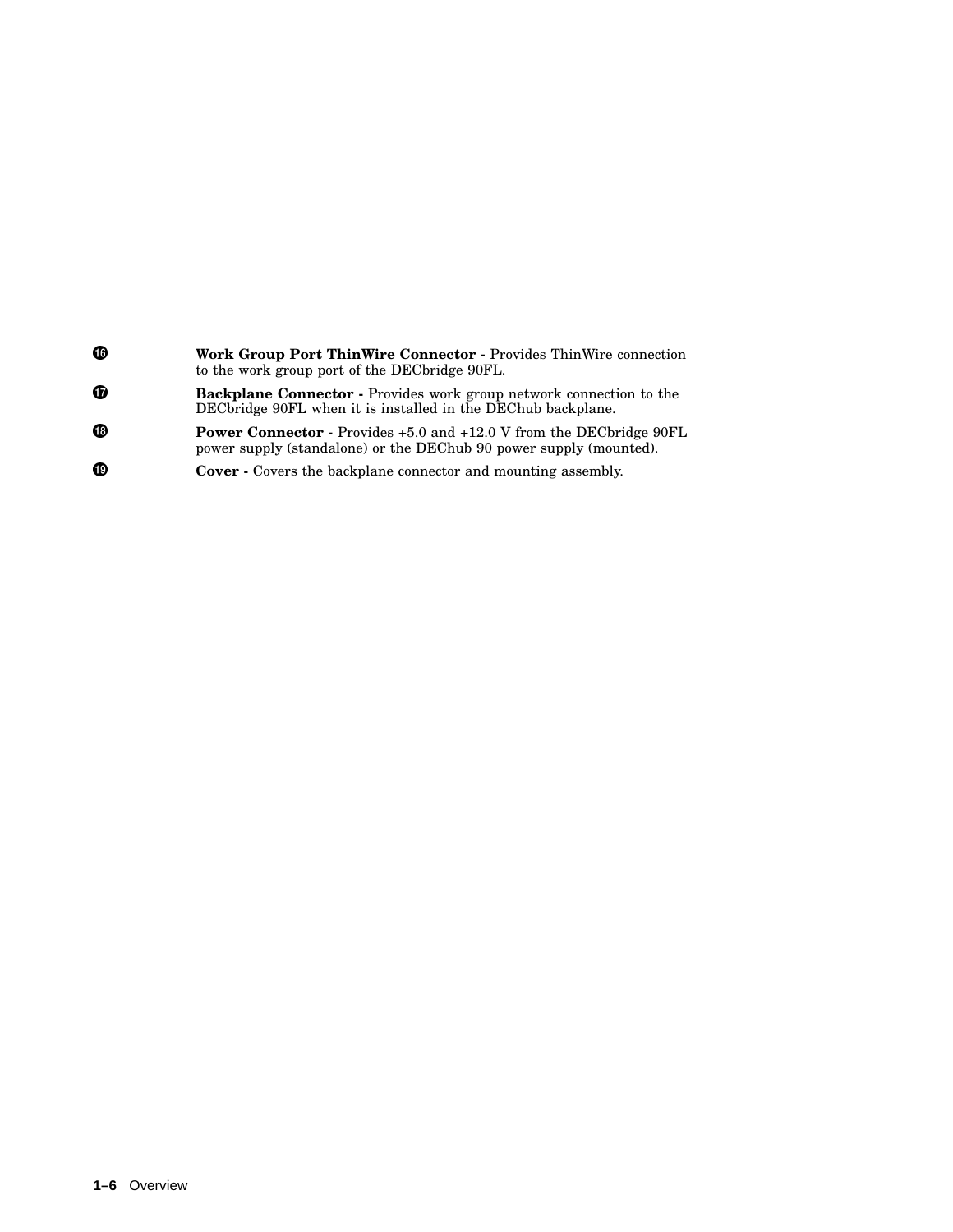| ⊕ | <b>Work Group Port ThinWire Connector - Provides ThinWire connection</b><br>to the work group port of the DEC bridge 90FL.                       |
|---|--------------------------------------------------------------------------------------------------------------------------------------------------|
| Đ | <b>Backplane Connector</b> - Provides work group network connection to the<br>DEC bridge 90 FL when it is installed in the DEC hub backplane.    |
| ⊕ | <b>Power Connector - Provides +5.0 and +12.0 V from the DECbridge 90FL</b><br>power supply (standalone) or the DEChub 90 power supply (mounted). |
| ⊕ | <b>Cover</b> - Covers the backplane connector and mounting assembly.                                                                             |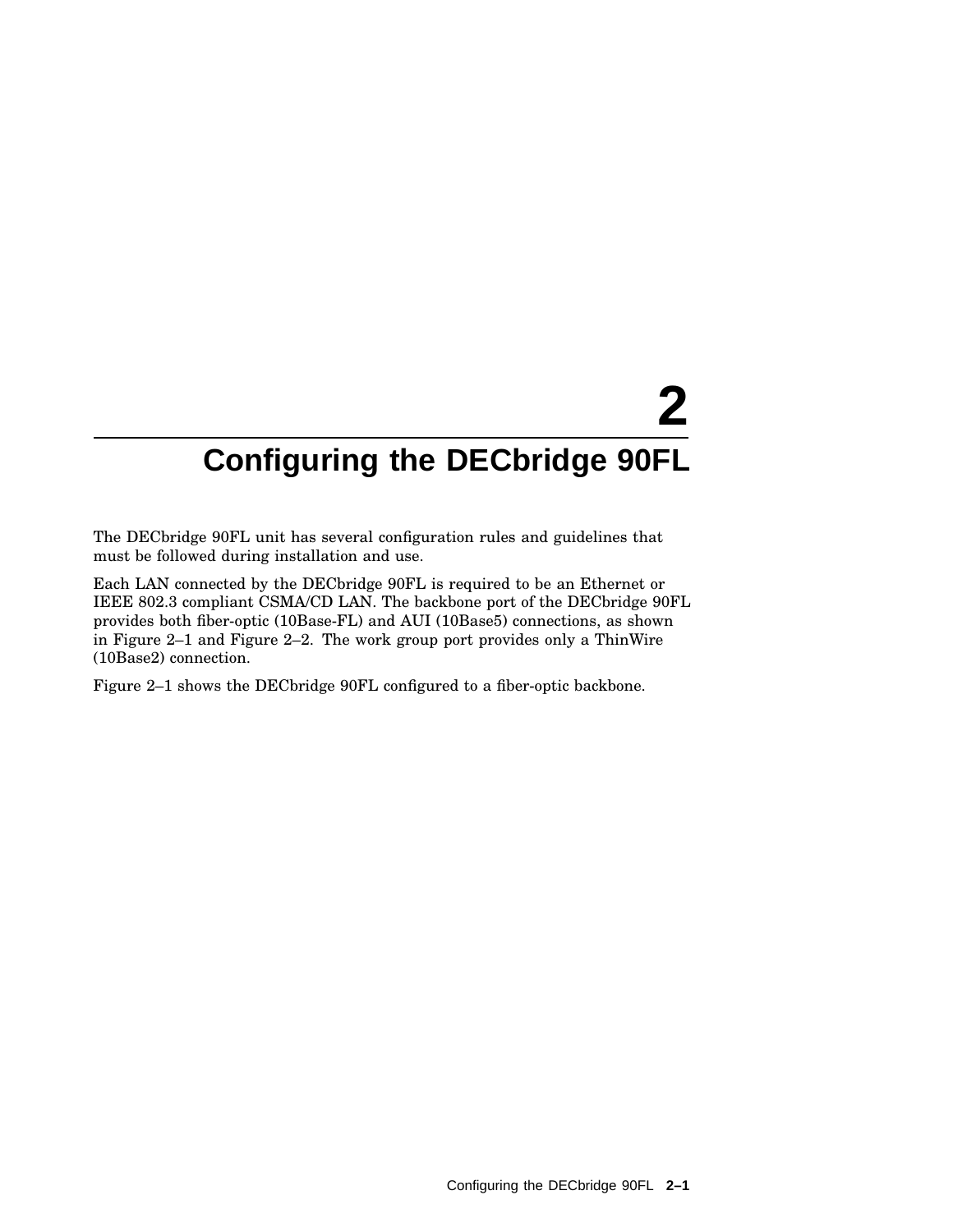# **2 Configuring the DECbridge 90FL**

The DECbridge 90FL unit has several configuration rules and guidelines that must be followed during installation and use.

Each LAN connected by the DECbridge 90FL is required to be an Ethernet or IEEE 802.3 compliant CSMA/CD LAN. The backbone port of the DECbridge 90FL provides both fiber-optic (10Base-FL) and AUI (10Base5) connections, as shown in Figure 2–1 and Figure 2–2. The work group port provides only a ThinWire (10Base2) connection.

Figure 2–1 shows the DECbridge 90FL configured to a fiber-optic backbone.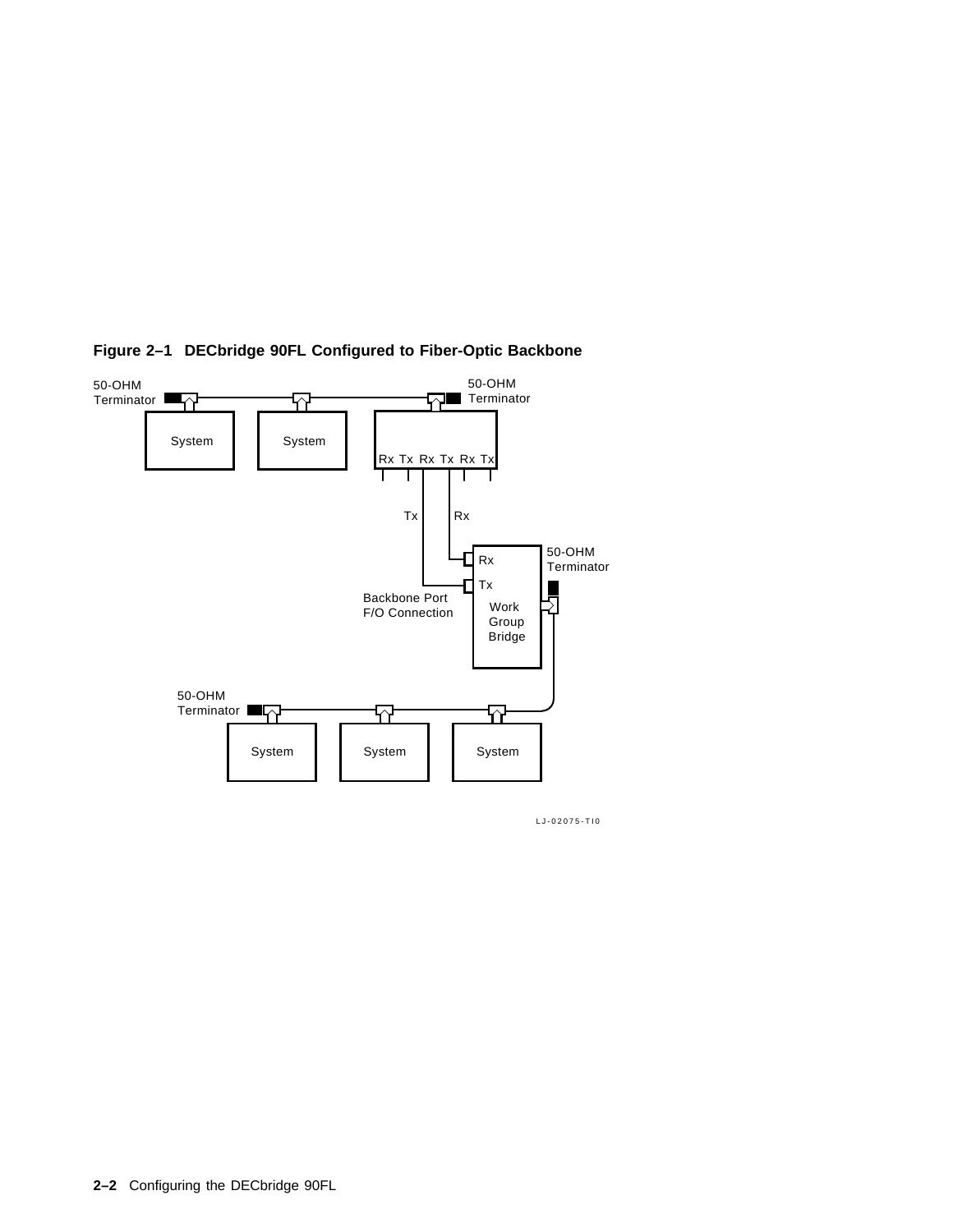

#### **Figure 2–1 DECbridge 90FL Configured to Fiber-Optic Backbone**

LJ-02075-TI0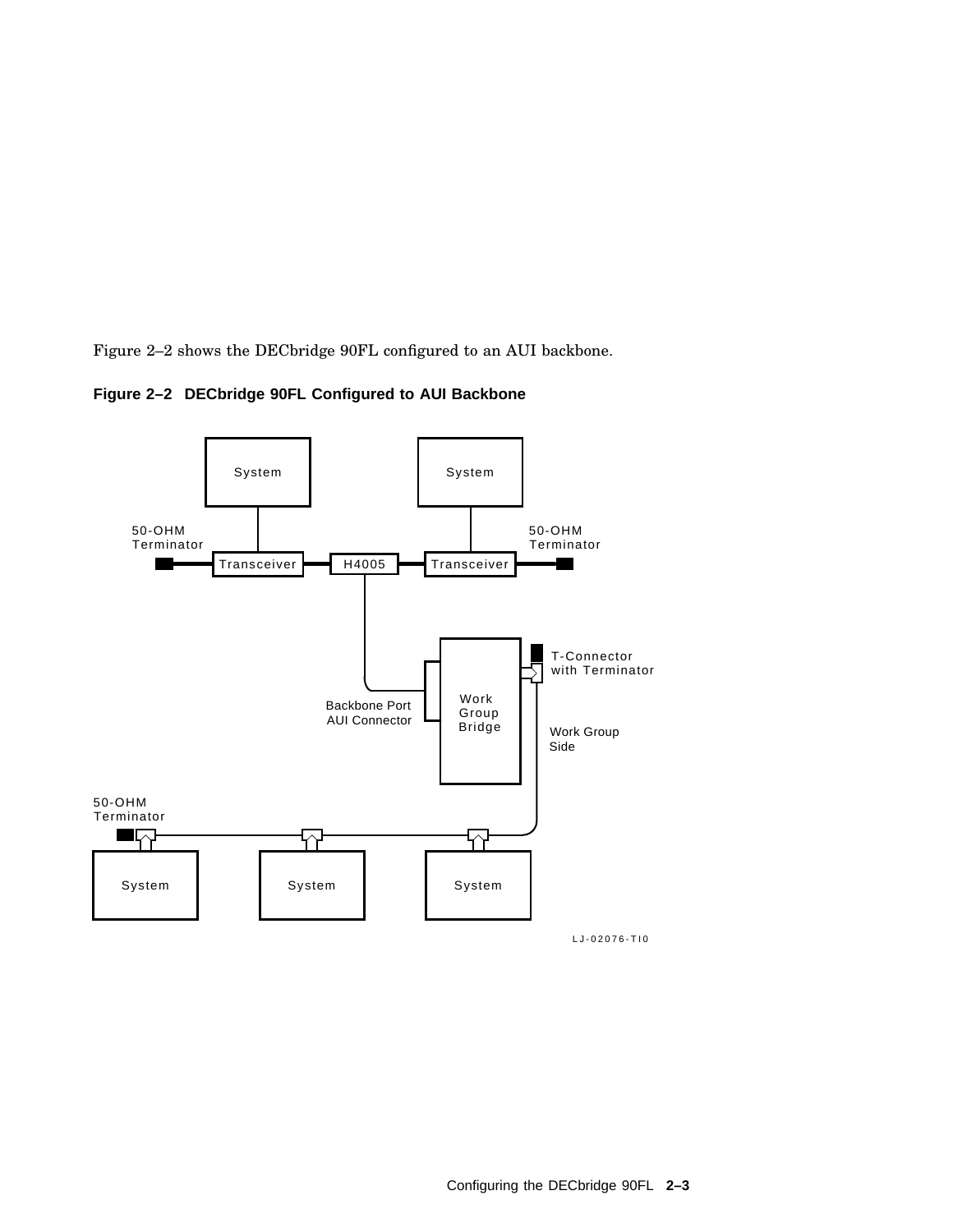Figure 2–2 shows the DECbridge 90FL configured to an AUI backbone.



**Figure 2–2 DECbridge 90FL Configured to AUI Backbone**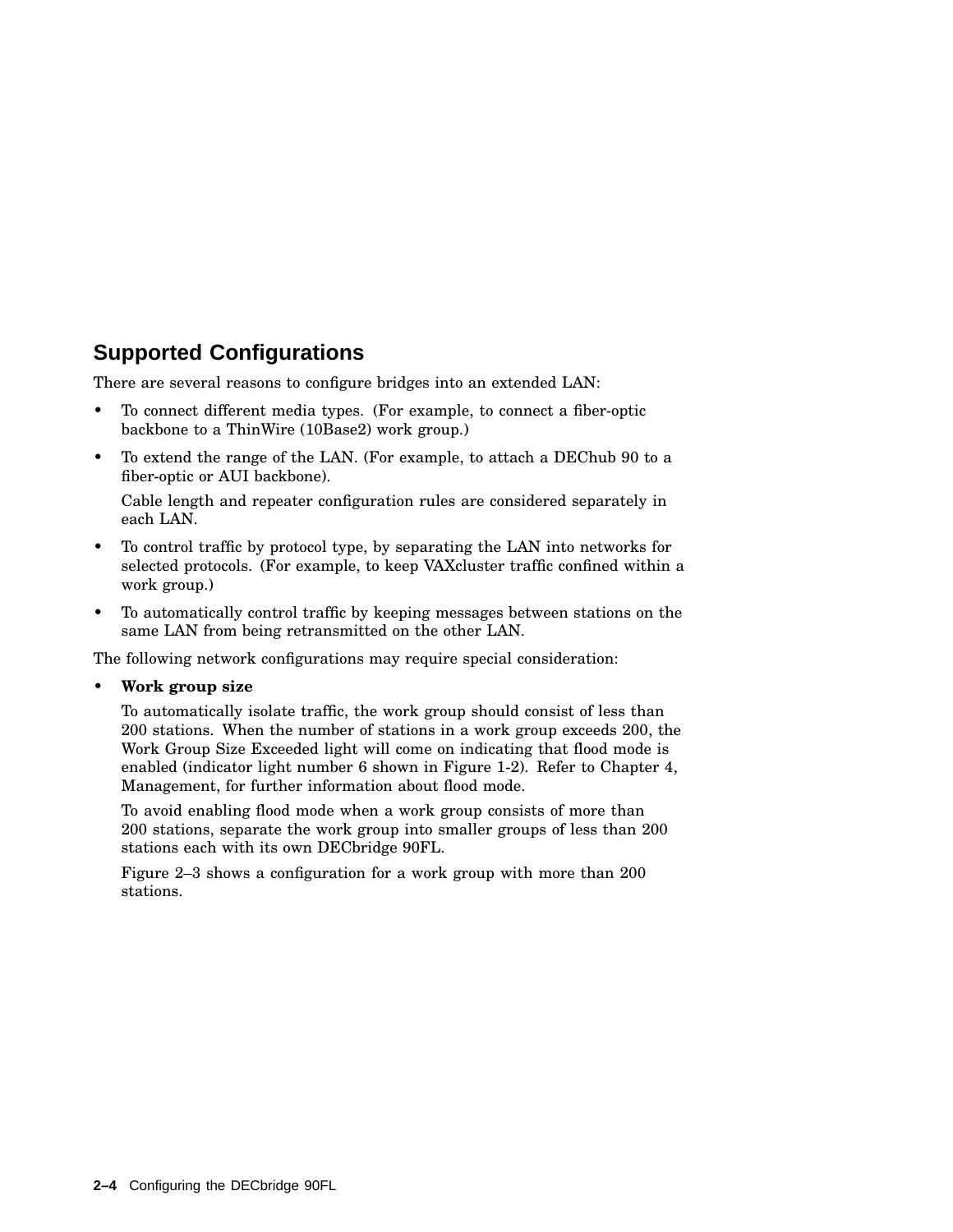## **Supported Configurations**

There are several reasons to configure bridges into an extended LAN:

- To connect different media types. (For example, to connect a fiber-optic backbone to a ThinWire (10Base2) work group.)
- To extend the range of the LAN. (For example, to attach a DEChub 90 to a fiber-optic or AUI backbone).

Cable length and repeater configuration rules are considered separately in each LAN.

- To control traffic by protocol type, by separating the LAN into networks for selected protocols. (For example, to keep VAXcluster traffic confined within a work group.)
- To automatically control traffic by keeping messages between stations on the same LAN from being retransmitted on the other LAN.

The following network configurations may require special consideration:

• **Work group size**

To automatically isolate traffic, the work group should consist of less than 200 stations. When the number of stations in a work group exceeds 200, the Work Group Size Exceeded light will come on indicating that flood mode is enabled (indicator light number 6 shown in Figure 1-2). Refer to Chapter 4, Management, for further information about flood mode.

To avoid enabling flood mode when a work group consists of more than 200 stations, separate the work group into smaller groups of less than 200 stations each with its own DECbridge 90FL.

Figure 2–3 shows a configuration for a work group with more than 200 stations.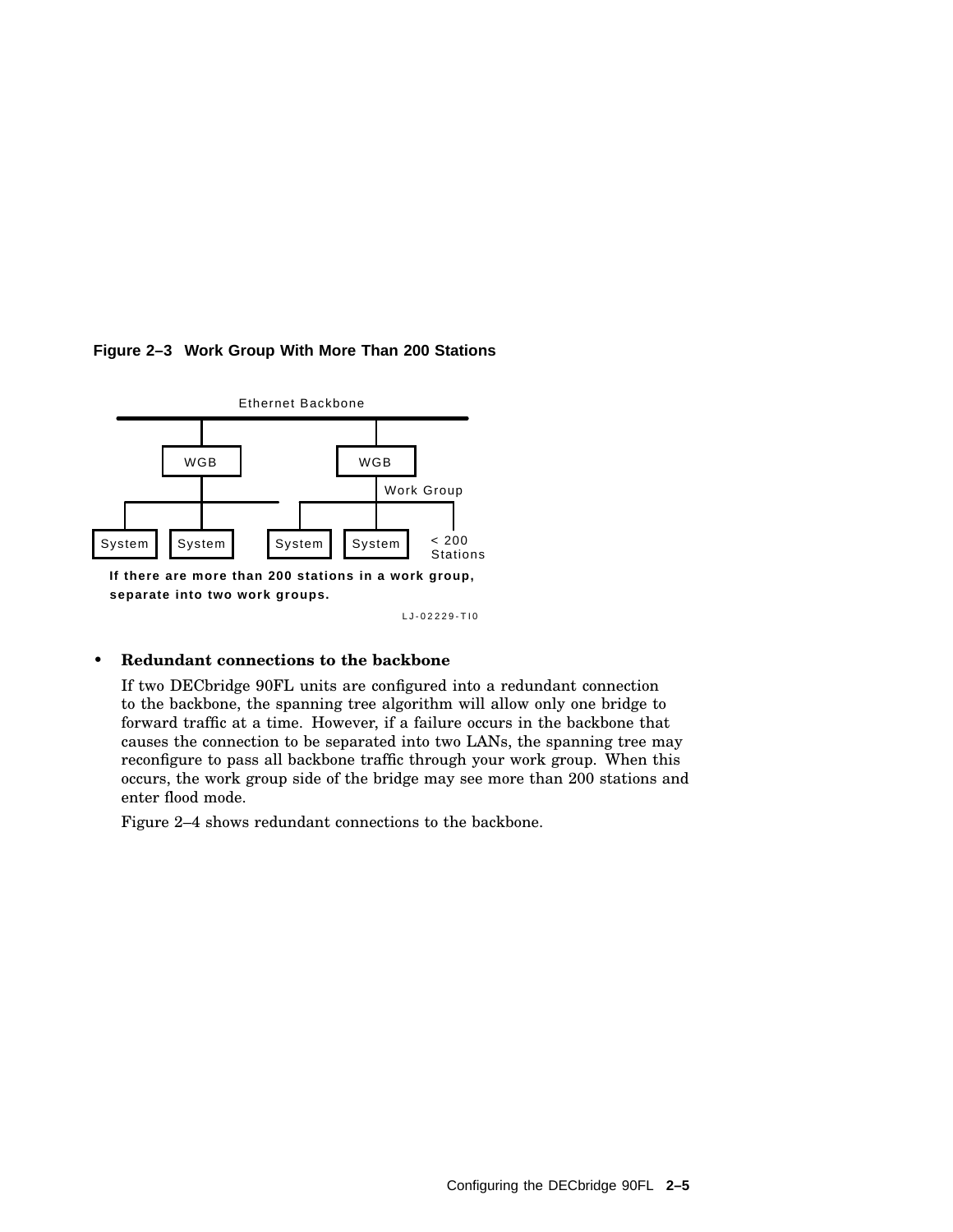

#### **Figure 2–3 Work Group With More Than 200 Stations**

LJ-02229-TI0

#### • **Redundant connections to the backbone**

If two DECbridge 90FL units are configured into a redundant connection to the backbone, the spanning tree algorithm will allow only one bridge to forward traffic at a time. However, if a failure occurs in the backbone that causes the connection to be separated into two LANs, the spanning tree may reconfigure to pass all backbone traffic through your work group. When this occurs, the work group side of the bridge may see more than 200 stations and enter flood mode.

Figure 2–4 shows redundant connections to the backbone.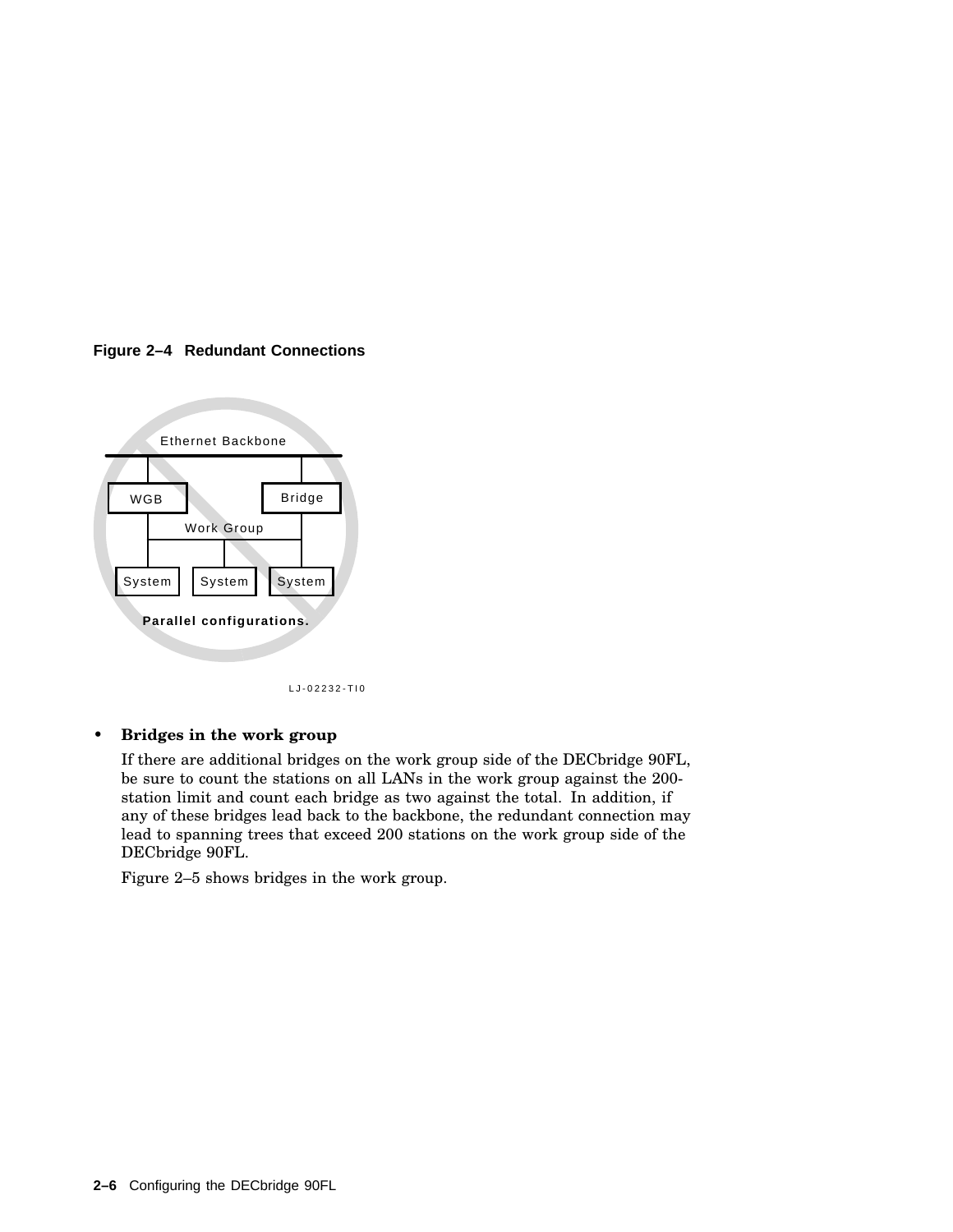



LJ-02232-TI0

#### • **Bridges in the work group**

If there are additional bridges on the work group side of the DECbridge 90FL, be sure to count the stations on all LANs in the work group against the 200 station limit and count each bridge as two against the total. In addition, if any of these bridges lead back to the backbone, the redundant connection may lead to spanning trees that exceed 200 stations on the work group side of the DECbridge 90FL.

Figure 2–5 shows bridges in the work group.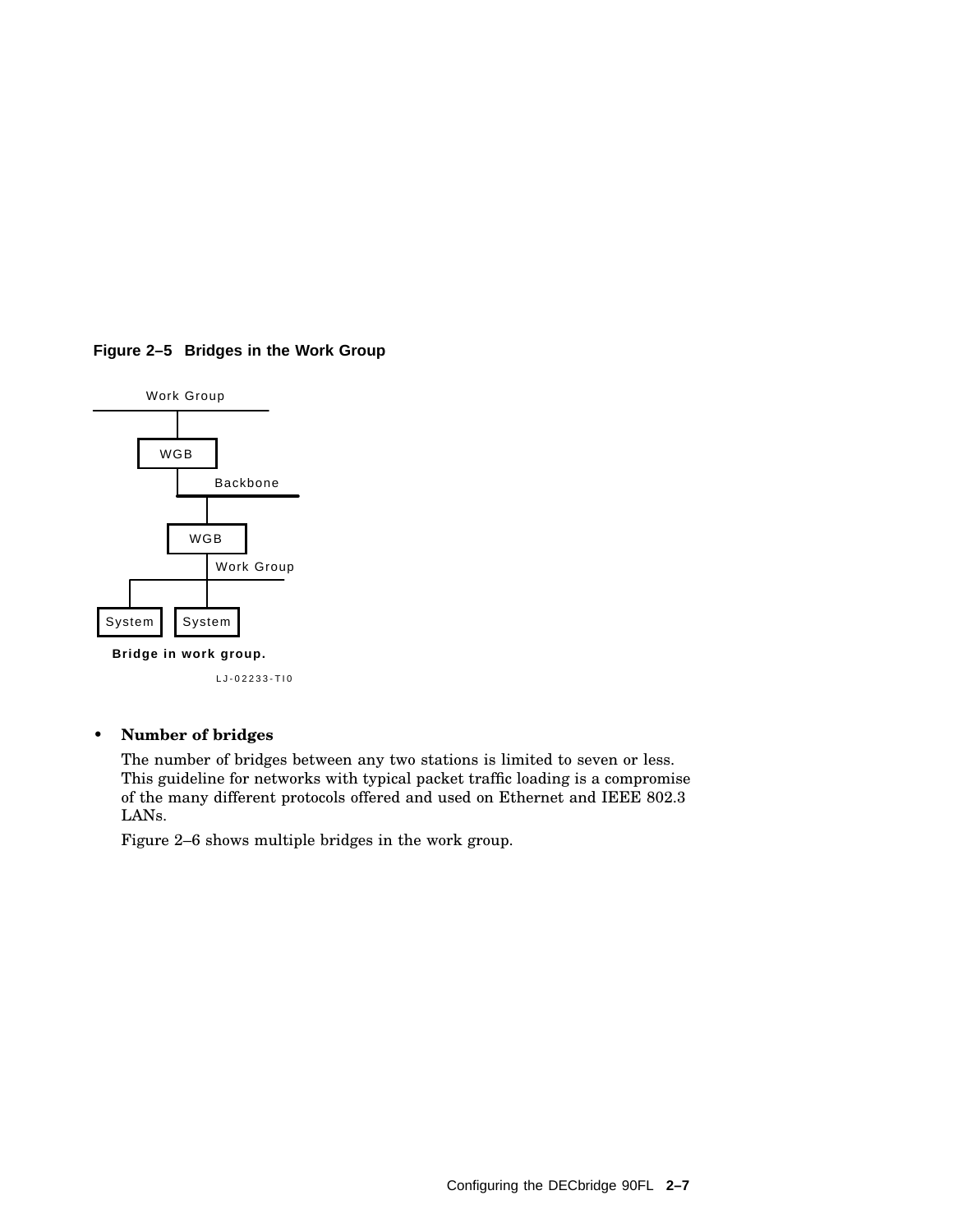



LJ-02233-TI0

#### • **Number of bridges**

The number of bridges between any two stations is limited to seven or less. This guideline for networks with typical packet traffic loading is a compromise of the many different protocols offered and used on Ethernet and IEEE 802.3 LANs.

Figure 2–6 shows multiple bridges in the work group.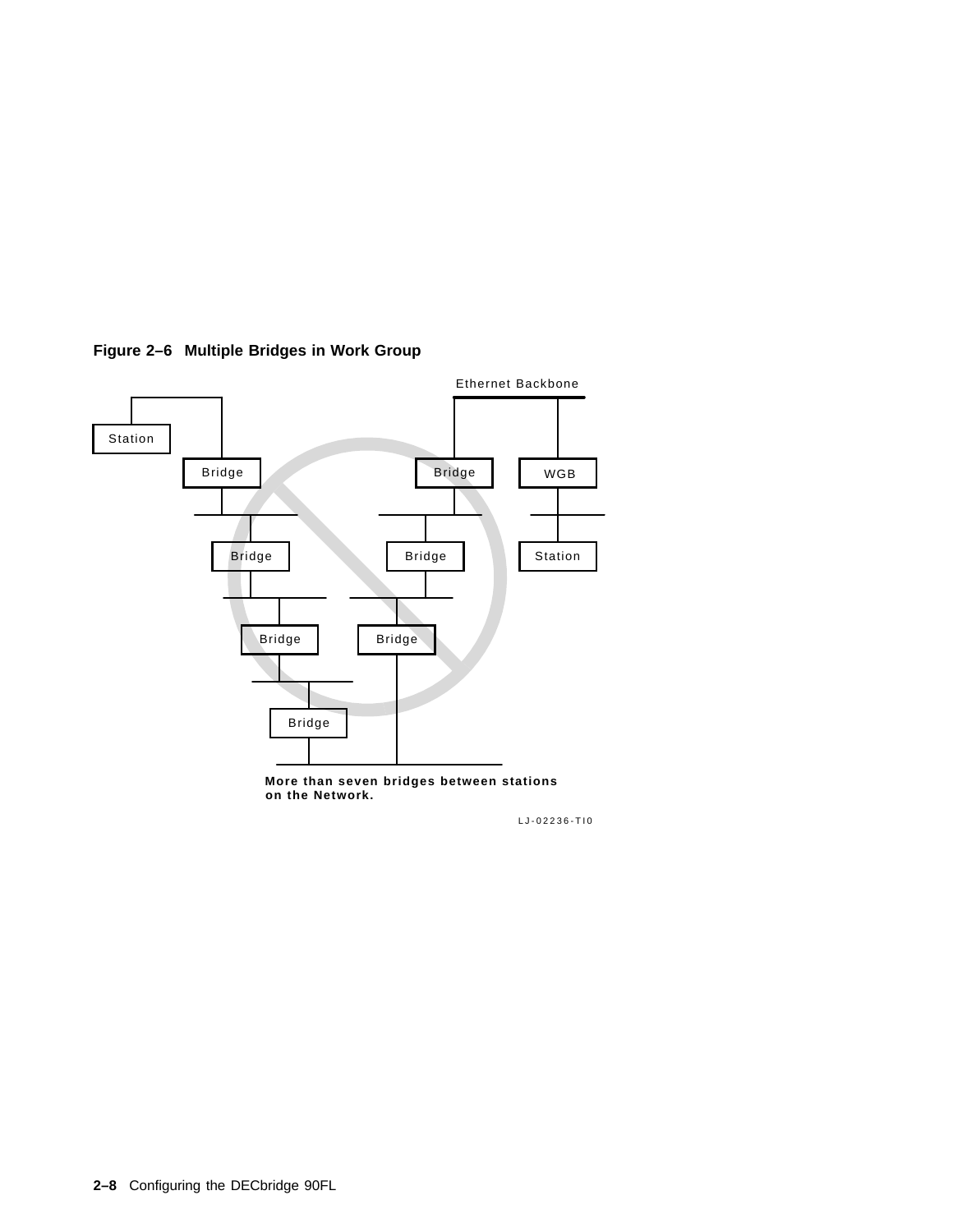

#### **Figure 2–6 Multiple Bridges in Work Group**

**More than seven bridges between stations on the Network.**

LJ-02236-TI0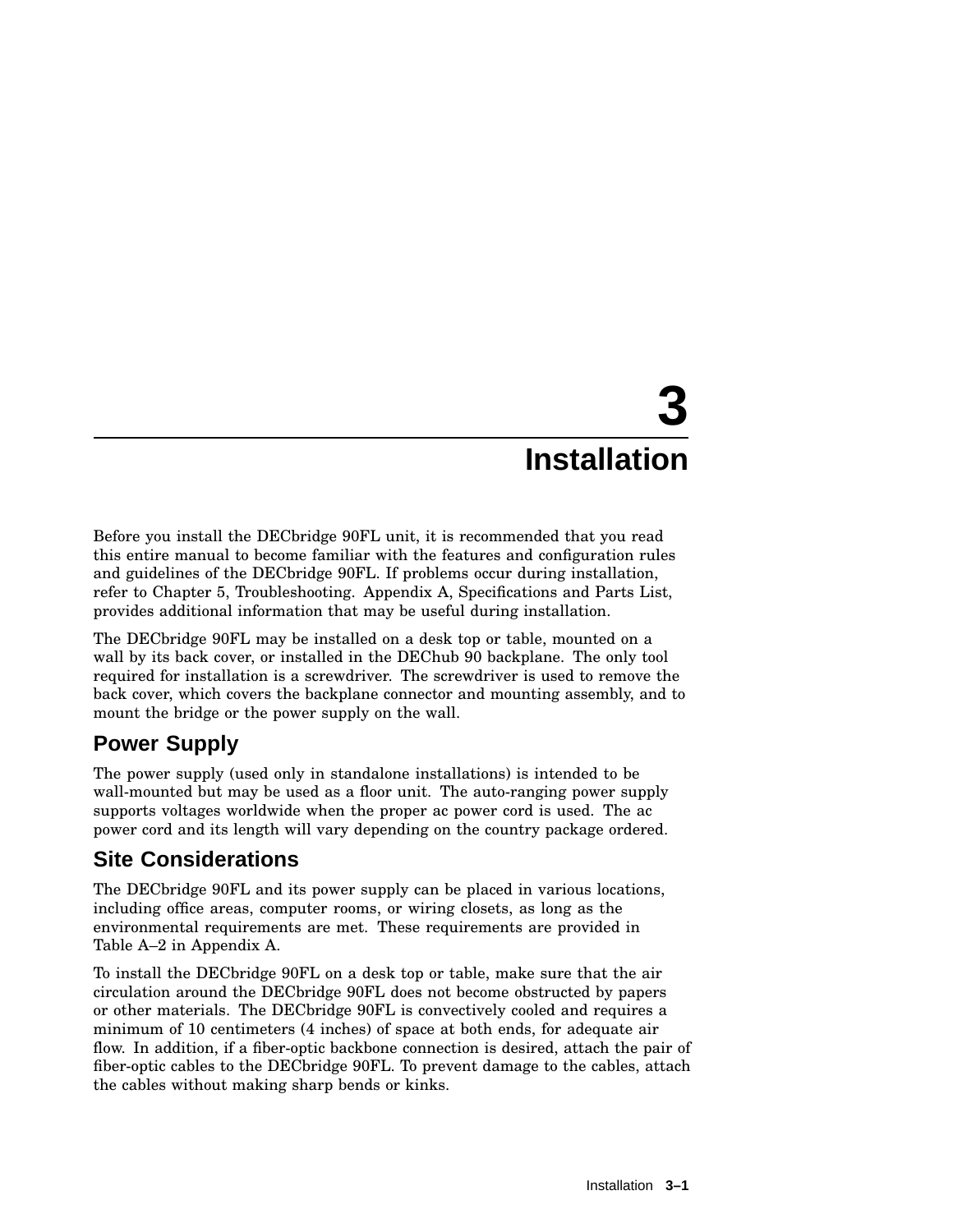# **3 Installation**

Before you install the DECbridge 90FL unit, it is recommended that you read this entire manual to become familiar with the features and configuration rules and guidelines of the DECbridge 90FL. If problems occur during installation, refer to Chapter 5, Troubleshooting. Appendix A, Specifications and Parts List, provides additional information that may be useful during installation.

The DECbridge 90FL may be installed on a desk top or table, mounted on a wall by its back cover, or installed in the DEChub 90 backplane. The only tool required for installation is a screwdriver. The screwdriver is used to remove the back cover, which covers the backplane connector and mounting assembly, and to mount the bridge or the power supply on the wall.

# **Power Supply**

The power supply (used only in standalone installations) is intended to be wall-mounted but may be used as a floor unit. The auto-ranging power supply supports voltages worldwide when the proper ac power cord is used. The ac power cord and its length will vary depending on the country package ordered.

# **Site Considerations**

The DECbridge 90FL and its power supply can be placed in various locations, including office areas, computer rooms, or wiring closets, as long as the environmental requirements are met. These requirements are provided in Table A–2 in Appendix A.

To install the DECbridge 90FL on a desk top or table, make sure that the air circulation around the DECbridge 90FL does not become obstructed by papers or other materials. The DECbridge 90FL is convectively cooled and requires a minimum of 10 centimeters (4 inches) of space at both ends, for adequate air flow. In addition, if a fiber-optic backbone connection is desired, attach the pair of fiber-optic cables to the DECbridge 90FL. To prevent damage to the cables, attach the cables without making sharp bends or kinks.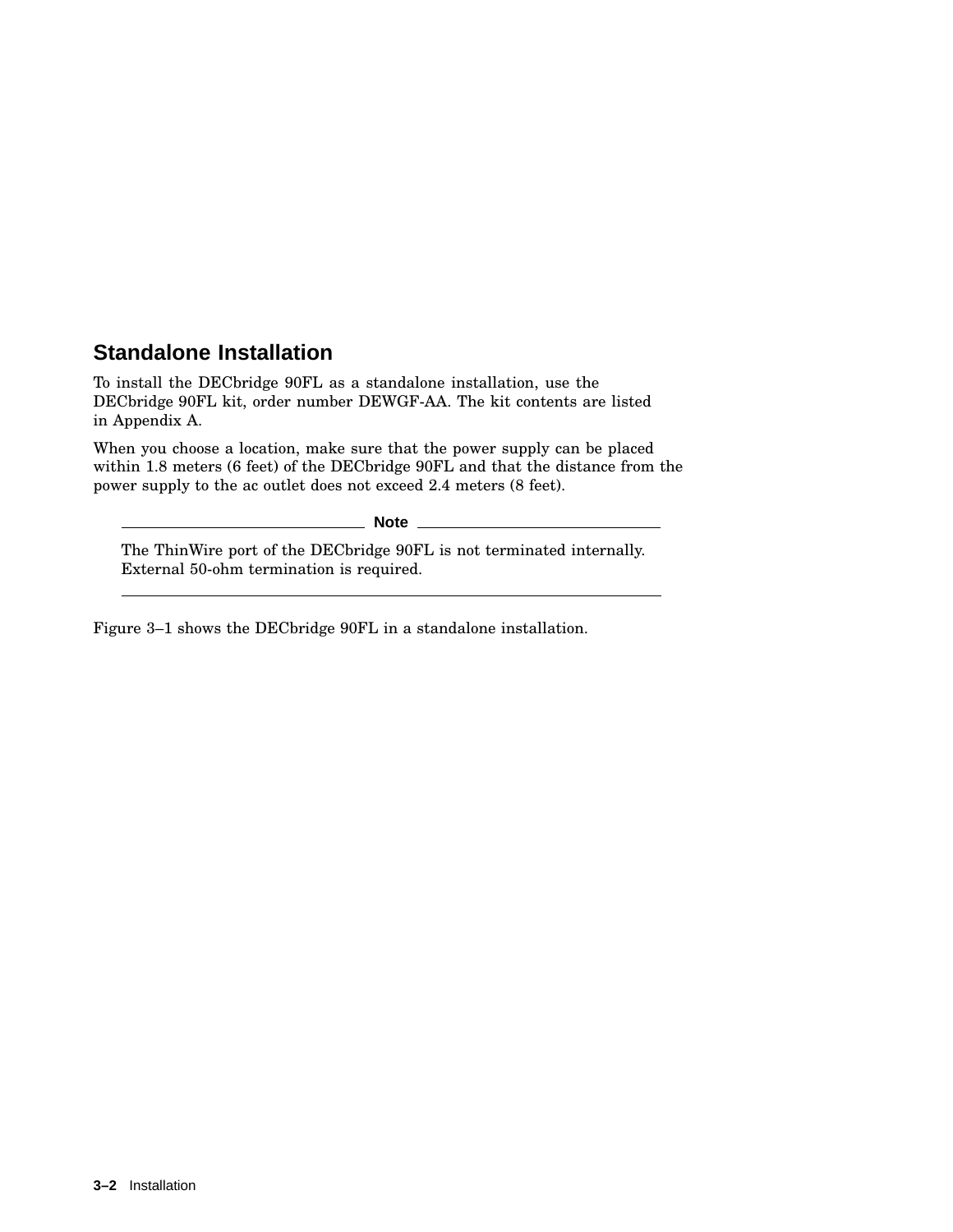## **Standalone Installation**

To install the DECbridge 90FL as a standalone installation, use the DECbridge 90FL kit, order number DEWGF-AA. The kit contents are listed in Appendix A.

When you choose a location, make sure that the power supply can be placed within 1.8 meters (6 feet) of the DECbridge 90FL and that the distance from the power supply to the ac outlet does not exceed 2.4 meters (8 feet).

**Note** The ThinWire port of the DECbridge 90FL is not terminated internally. External 50-ohm termination is required.

Figure 3–1 shows the DECbridge 90FL in a standalone installation.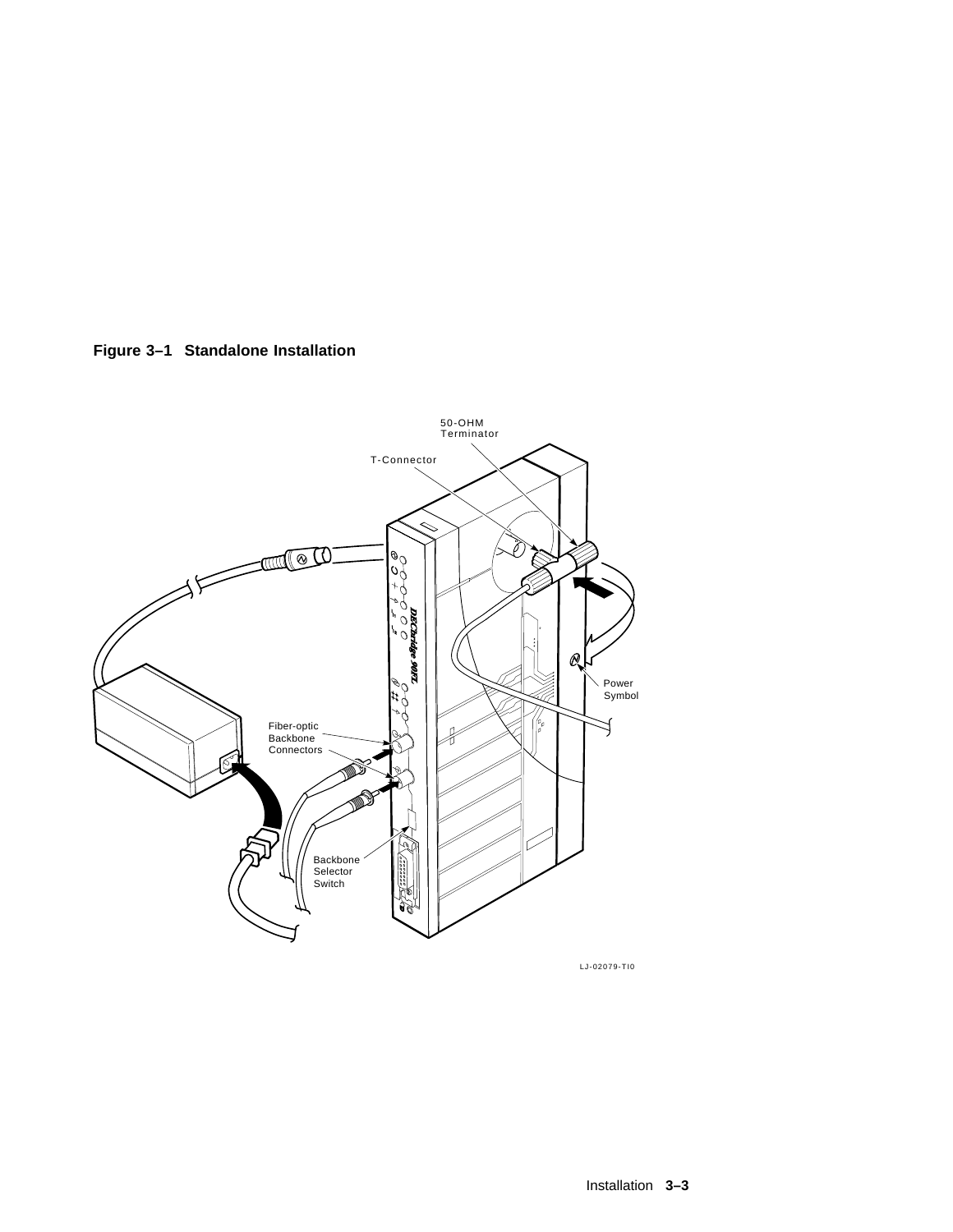



LJ-02079-TI0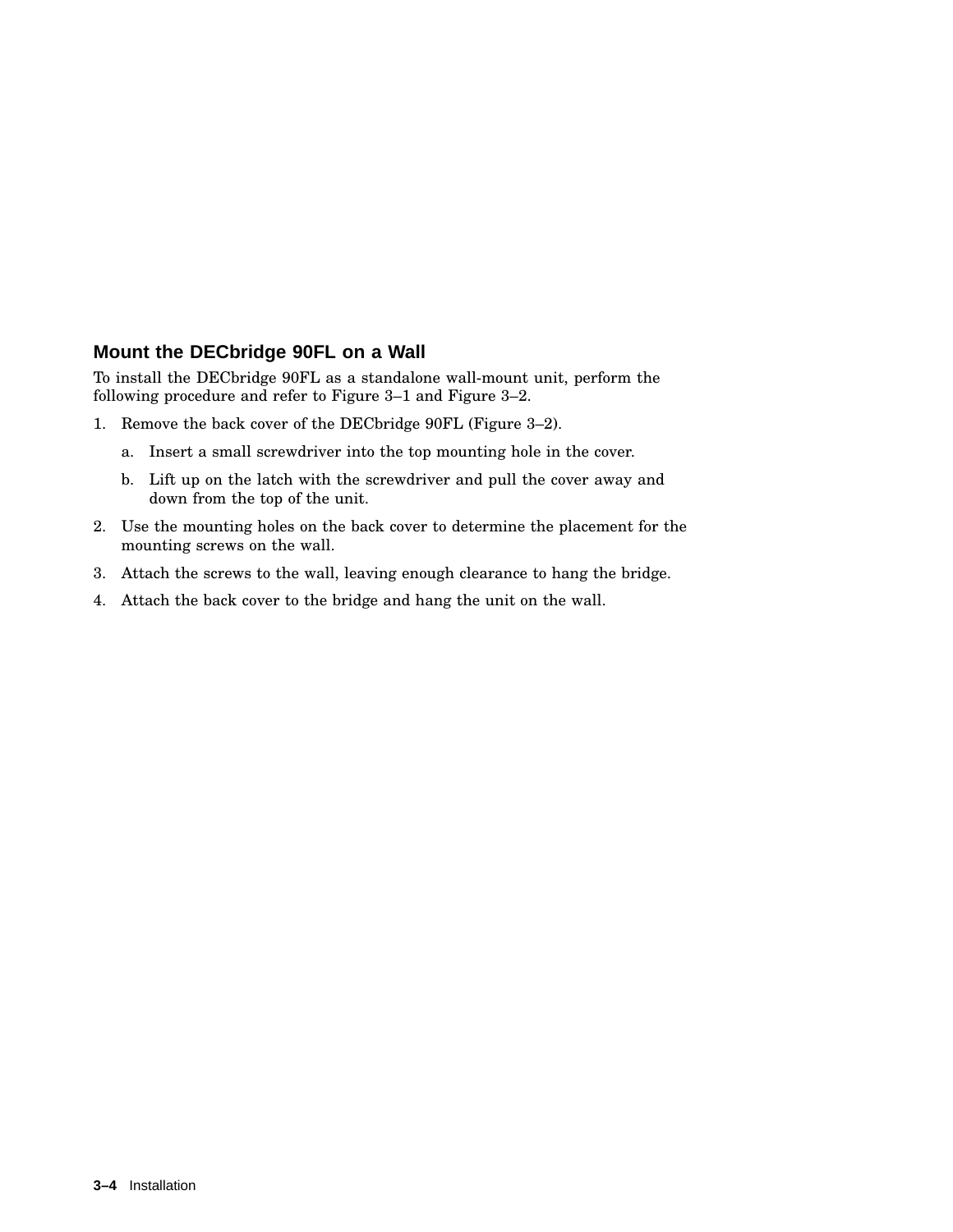#### **Mount the DECbridge 90FL on a Wall**

To install the DECbridge 90FL as a standalone wall-mount unit, perform the following procedure and refer to Figure 3–1 and Figure 3–2.

- 1. Remove the back cover of the DECbridge 90FL (Figure 3–2).
	- a. Insert a small screwdriver into the top mounting hole in the cover.
	- b. Lift up on the latch with the screwdriver and pull the cover away and down from the top of the unit.
- 2. Use the mounting holes on the back cover to determine the placement for the mounting screws on the wall.
- 3. Attach the screws to the wall, leaving enough clearance to hang the bridge.
- 4. Attach the back cover to the bridge and hang the unit on the wall.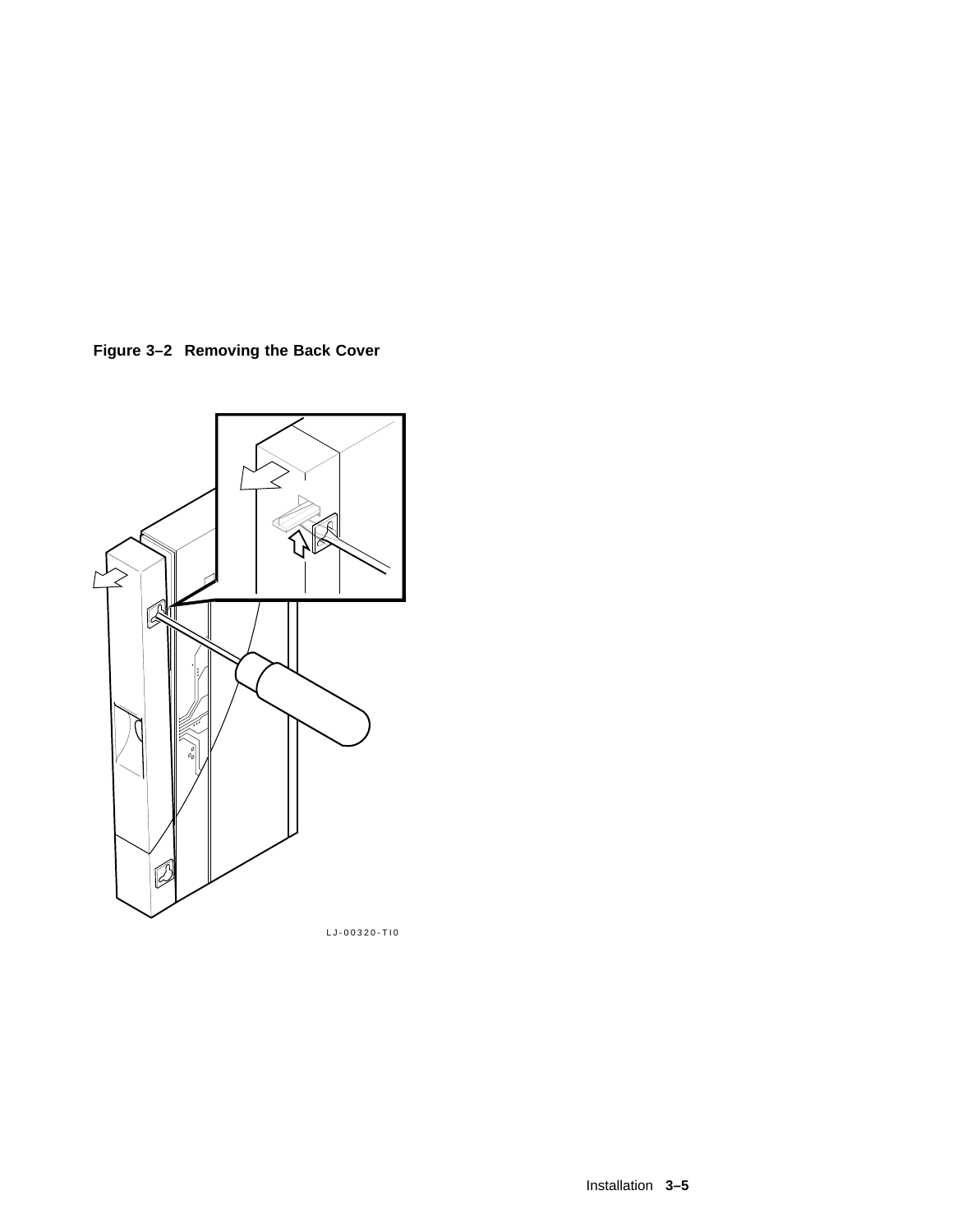



LJ-00320-TI0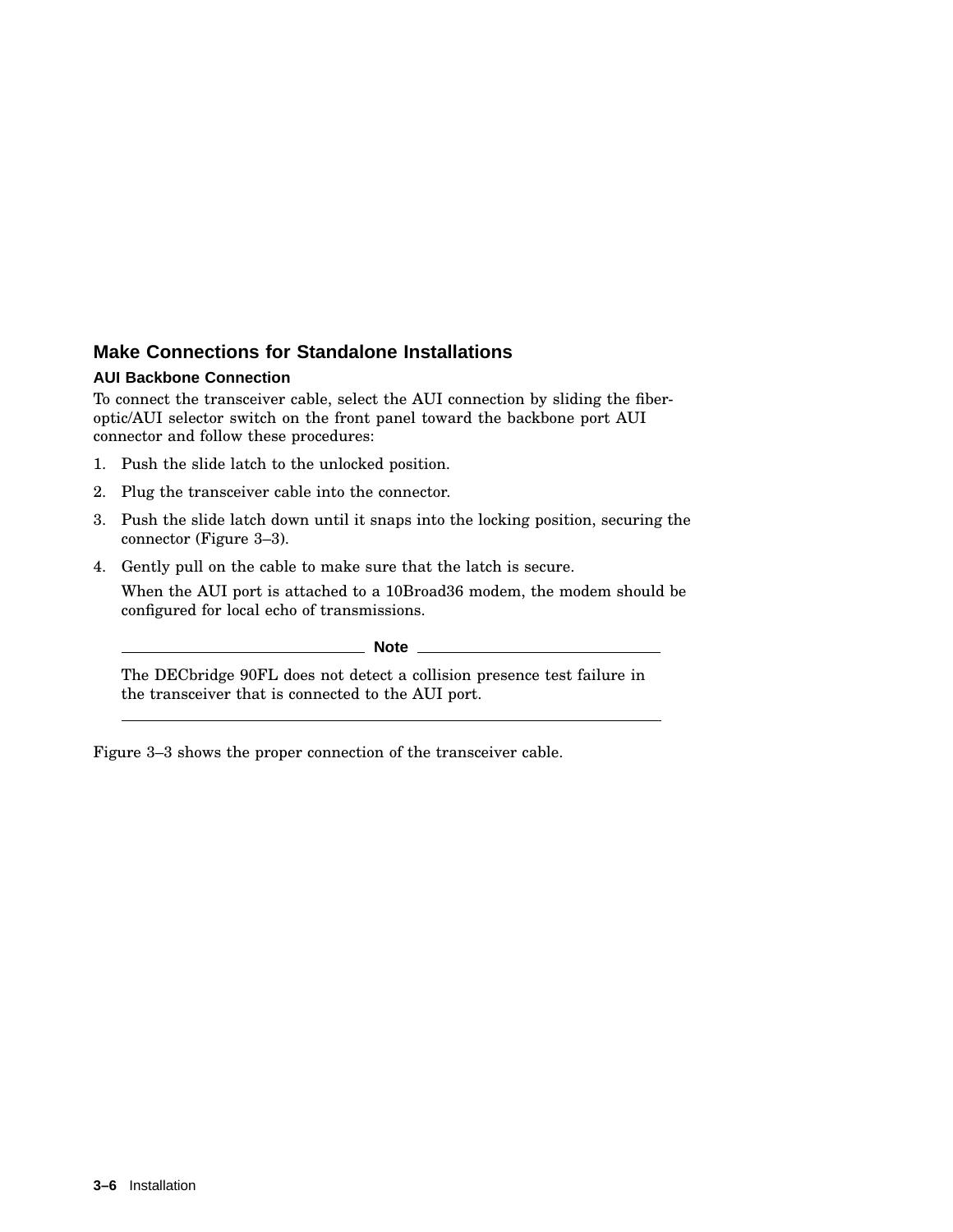#### **Make Connections for Standalone Installations**

#### **AUI Backbone Connection**

To connect the transceiver cable, select the AUI connection by sliding the fiberoptic/AUI selector switch on the front panel toward the backbone port AUI connector and follow these procedures:

- 1. Push the slide latch to the unlocked position.
- 2. Plug the transceiver cable into the connector.
- 3. Push the slide latch down until it snaps into the locking position, securing the connector (Figure 3–3).
- 4. Gently pull on the cable to make sure that the latch is secure.

When the AUI port is attached to a 10Broad36 modem, the modem should be configured for local echo of transmissions.

**Note**

The DECbridge 90FL does not detect a collision presence test failure in the transceiver that is connected to the AUI port.

Figure 3–3 shows the proper connection of the transceiver cable.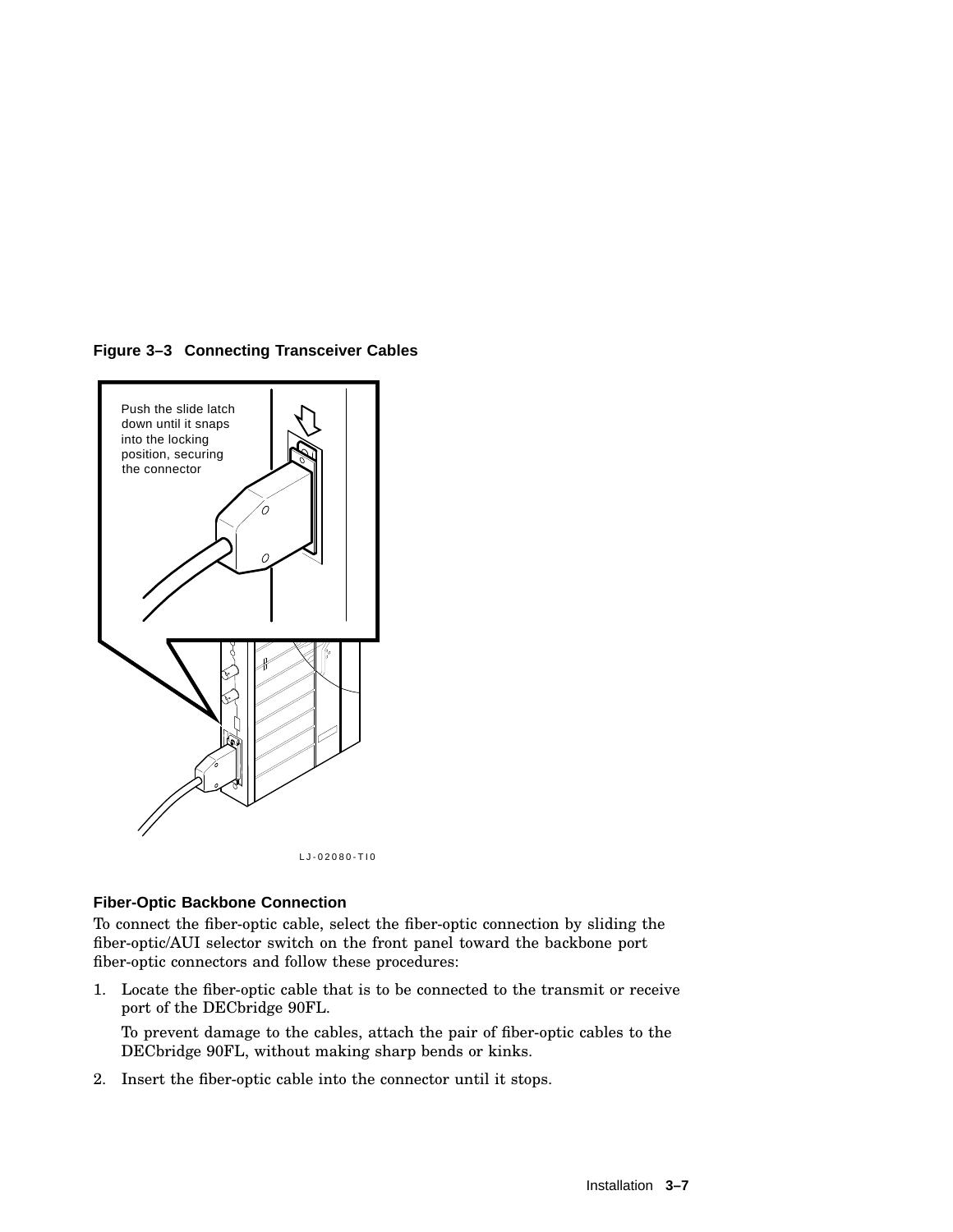





#### **Fiber-Optic Backbone Connection**

To connect the fiber-optic cable, select the fiber-optic connection by sliding the fiber-optic/AUI selector switch on the front panel toward the backbone port fiber-optic connectors and follow these procedures:

1. Locate the fiber-optic cable that is to be connected to the transmit or receive port of the DECbridge 90FL.

To prevent damage to the cables, attach the pair of fiber-optic cables to the DECbridge 90FL, without making sharp bends or kinks.

2. Insert the fiber-optic cable into the connector until it stops.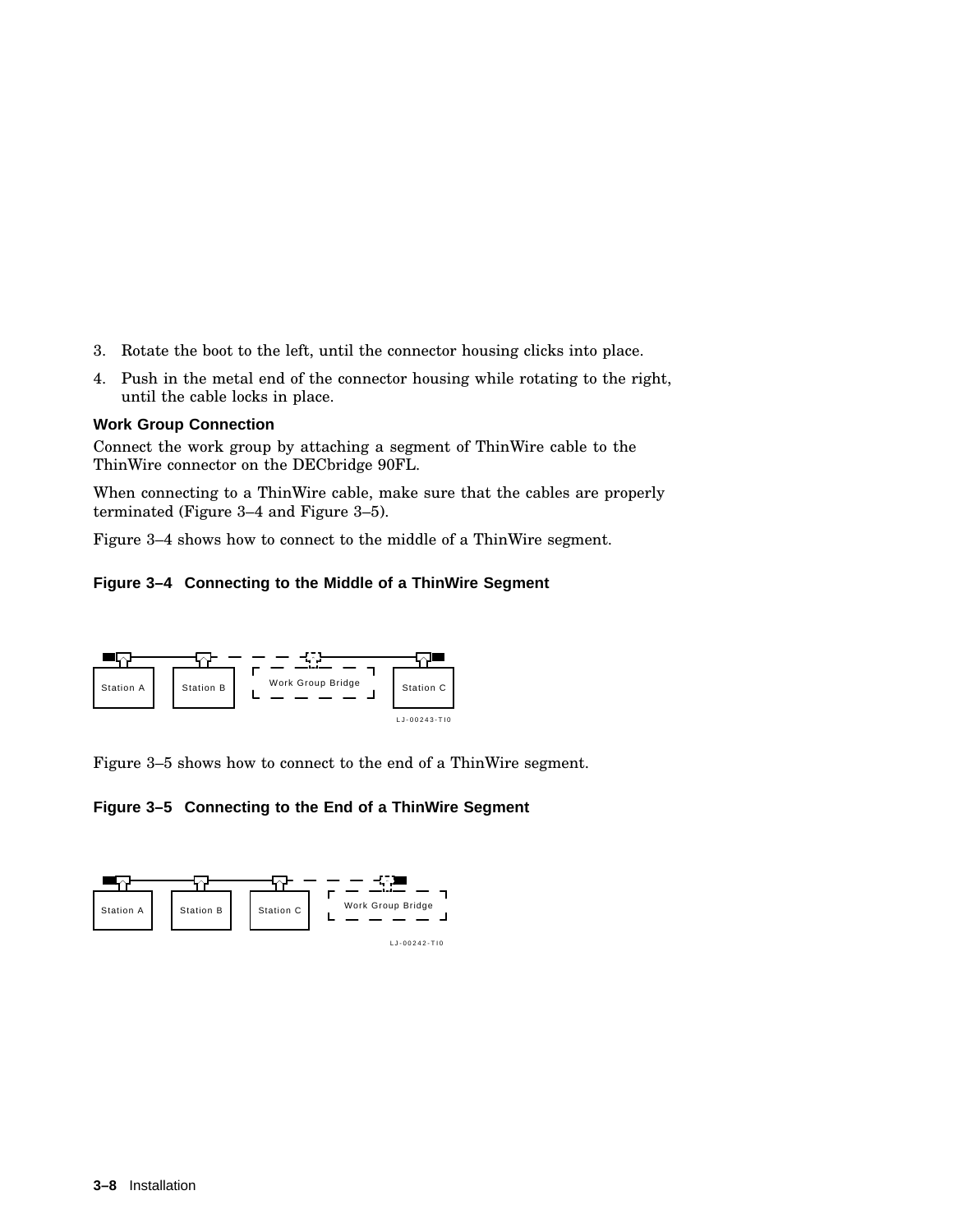- 3. Rotate the boot to the left, until the connector housing clicks into place.
- 4. Push in the metal end of the connector housing while rotating to the right, until the cable locks in place.

#### **Work Group Connection**

Connect the work group by attaching a segment of ThinWire cable to the ThinWire connector on the DECbridge 90FL.

When connecting to a ThinWire cable, make sure that the cables are properly terminated (Figure 3–4 and Figure 3–5).

Figure 3–4 shows how to connect to the middle of a ThinWire segment.

#### **Figure 3–4 Connecting to the Middle of a ThinWire Segment**



Figure 3–5 shows how to connect to the end of a ThinWire segment.

**Figure 3–5 Connecting to the End of a ThinWire Segment**

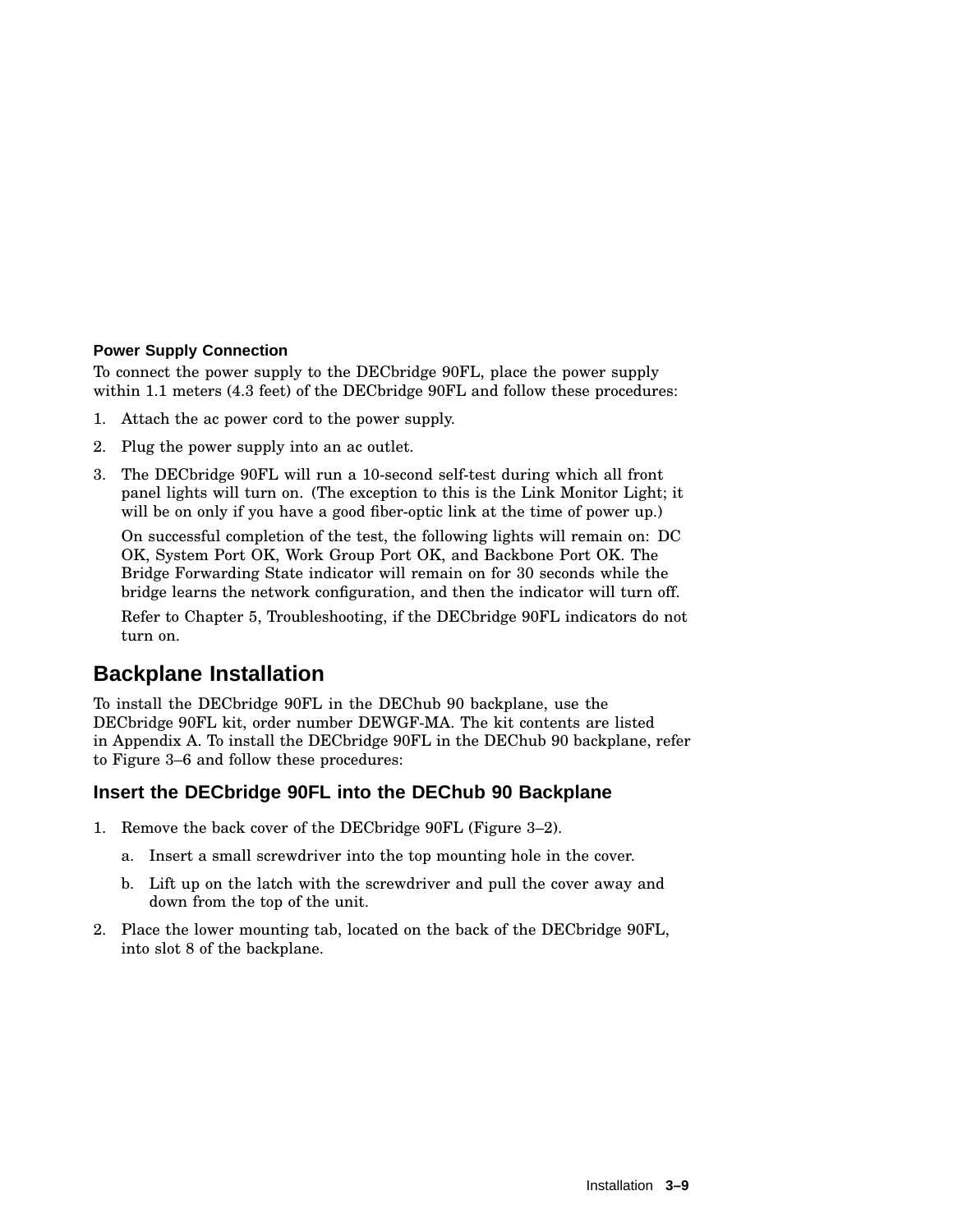#### **Power Supply Connection**

To connect the power supply to the DECbridge 90FL, place the power supply within 1.1 meters (4.3 feet) of the DECbridge 90FL and follow these procedures:

- 1. Attach the ac power cord to the power supply.
- 2. Plug the power supply into an ac outlet.
- 3. The DECbridge 90FL will run a 10-second self-test during which all front panel lights will turn on. (The exception to this is the Link Monitor Light; it will be on only if you have a good fiber-optic link at the time of power up.)

On successful completion of the test, the following lights will remain on: DC OK, System Port OK, Work Group Port OK, and Backbone Port OK. The Bridge Forwarding State indicator will remain on for 30 seconds while the bridge learns the network configuration, and then the indicator will turn off.

Refer to Chapter 5, Troubleshooting, if the DECbridge 90FL indicators do not turn on.

## **Backplane Installation**

To install the DECbridge 90FL in the DEChub 90 backplane, use the DECbridge 90FL kit, order number DEWGF-MA. The kit contents are listed in Appendix A. To install the DECbridge 90FL in the DEChub 90 backplane, refer to Figure 3–6 and follow these procedures:

#### **Insert the DECbridge 90FL into the DEChub 90 Backplane**

- 1. Remove the back cover of the DECbridge 90FL (Figure 3–2).
	- a. Insert a small screwdriver into the top mounting hole in the cover.
	- b. Lift up on the latch with the screwdriver and pull the cover away and down from the top of the unit.
- 2. Place the lower mounting tab, located on the back of the DECbridge 90FL, into slot 8 of the backplane.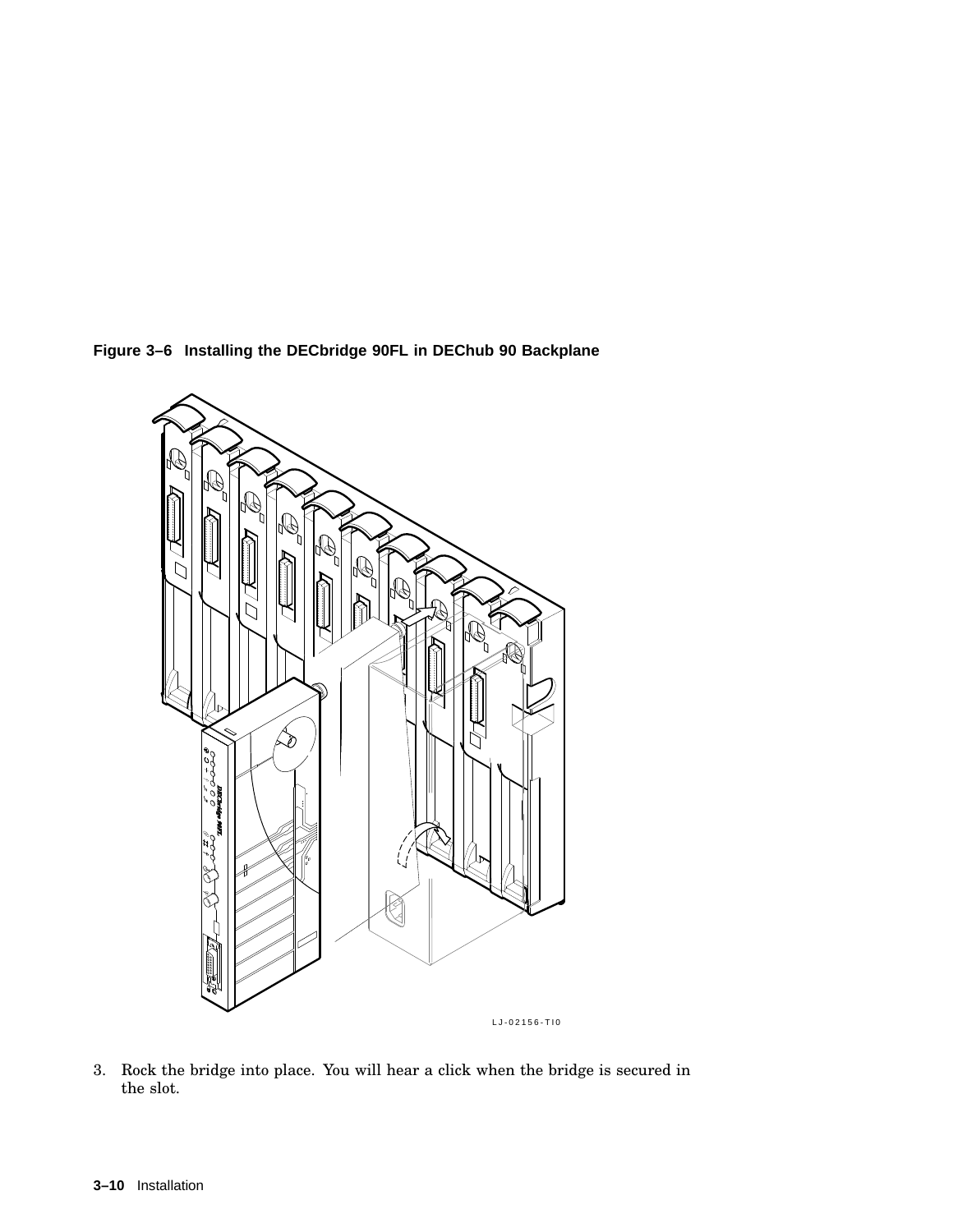**Figure 3–6 Installing the DECbridge 90FL in DEChub 90 Backplane**



3. Rock the bridge into place. You will hear a click when the bridge is secured in the slot.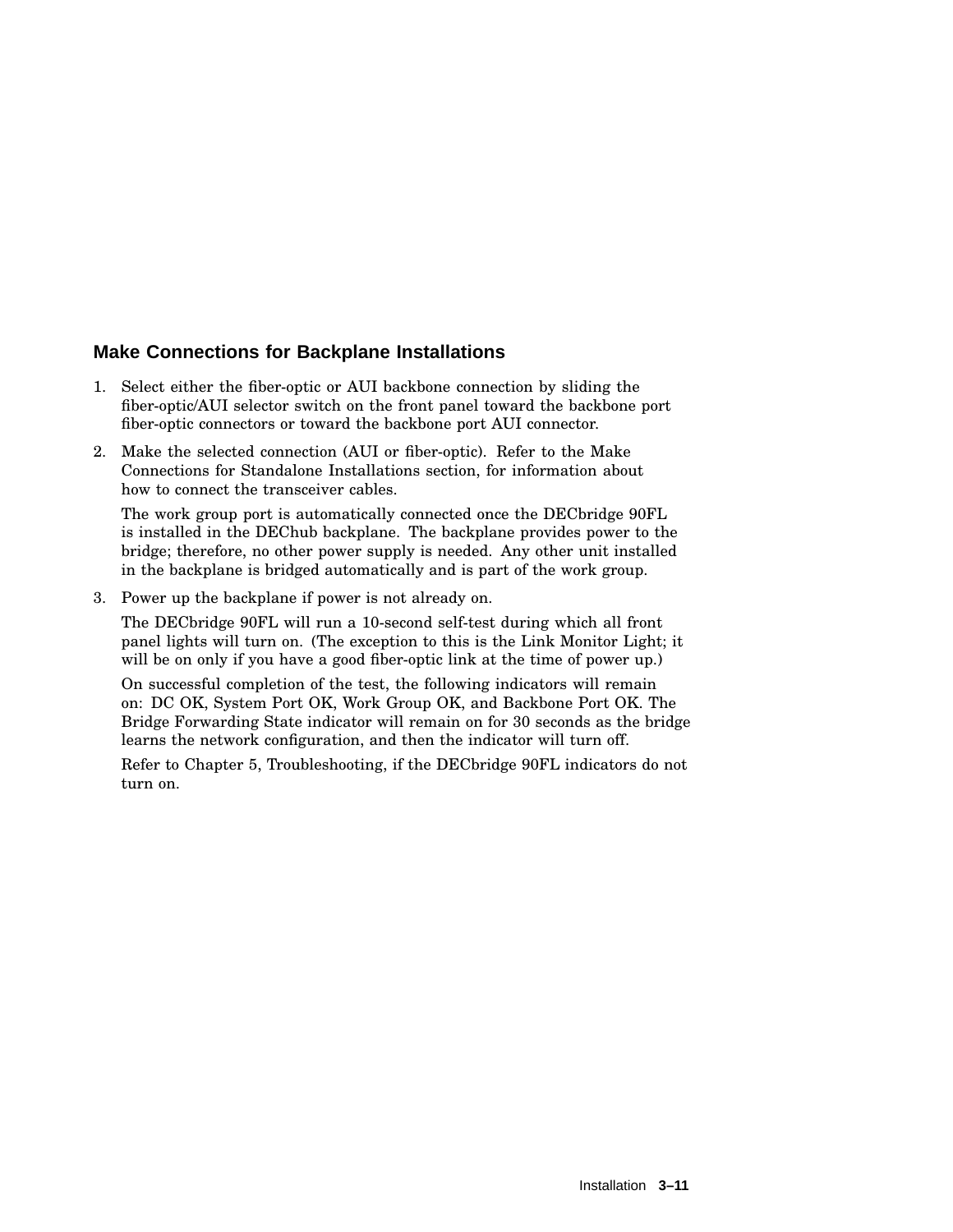#### **Make Connections for Backplane Installations**

- 1. Select either the fiber-optic or AUI backbone connection by sliding the fiber-optic/AUI selector switch on the front panel toward the backbone port fiber-optic connectors or toward the backbone port AUI connector.
- 2. Make the selected connection (AUI or fiber-optic). Refer to the Make Connections for Standalone Installations section, for information about how to connect the transceiver cables.

The work group port is automatically connected once the DECbridge 90FL is installed in the DEChub backplane. The backplane provides power to the bridge; therefore, no other power supply is needed. Any other unit installed in the backplane is bridged automatically and is part of the work group.

3. Power up the backplane if power is not already on.

The DECbridge 90FL will run a 10-second self-test during which all front panel lights will turn on. (The exception to this is the Link Monitor Light; it will be on only if you have a good fiber-optic link at the time of power up.)

On successful completion of the test, the following indicators will remain on: DC OK, System Port OK, Work Group OK, and Backbone Port OK. The Bridge Forwarding State indicator will remain on for 30 seconds as the bridge learns the network configuration, and then the indicator will turn off.

Refer to Chapter 5, Troubleshooting, if the DECbridge 90FL indicators do not turn on.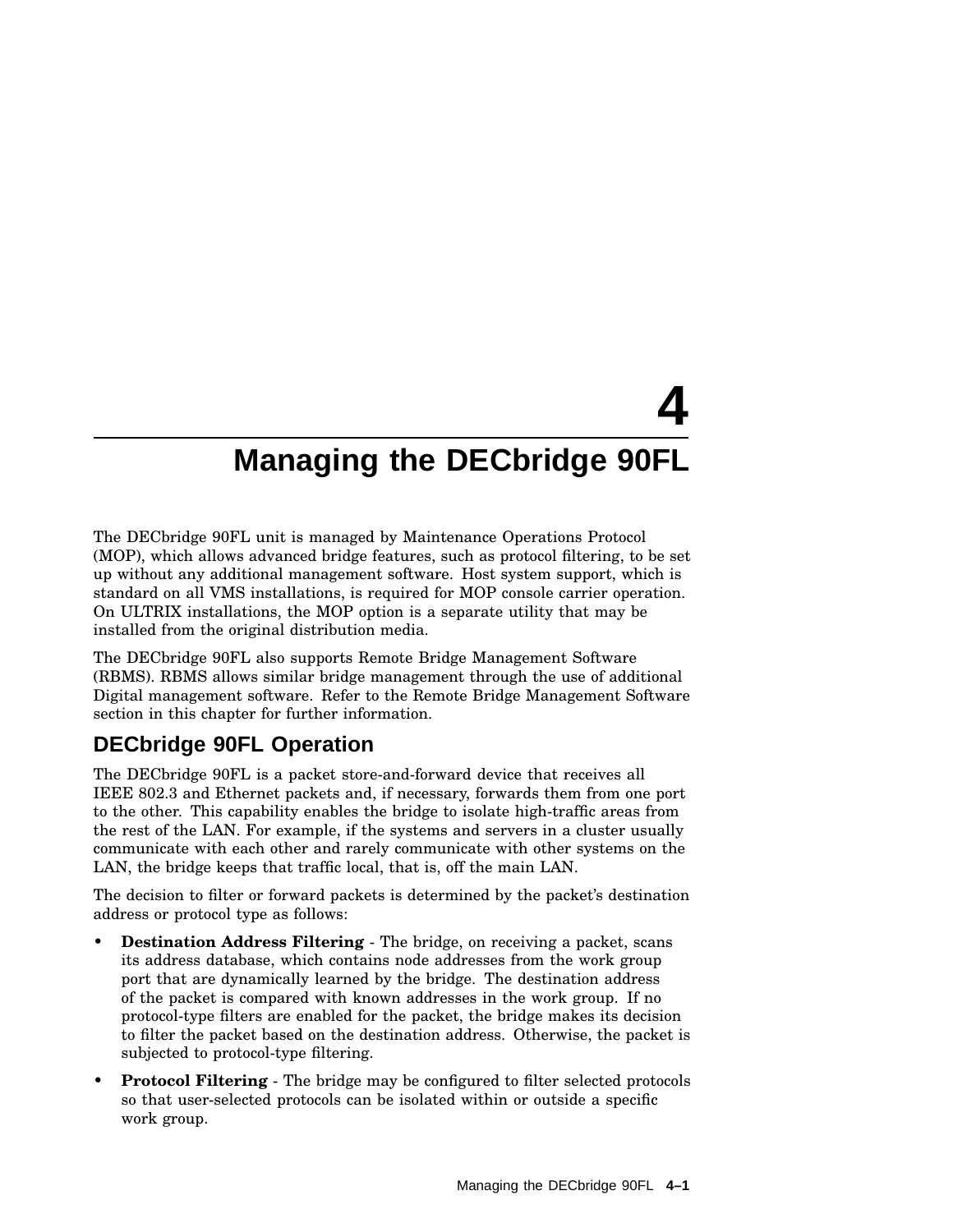# **4 Managing the DECbridge 90FL**

The DECbridge 90FL unit is managed by Maintenance Operations Protocol (MOP), which allows advanced bridge features, such as protocol filtering, to be set up without any additional management software. Host system support, which is standard on all VMS installations, is required for MOP console carrier operation. On ULTRIX installations, the MOP option is a separate utility that may be installed from the original distribution media.

The DECbridge 90FL also supports Remote Bridge Management Software (RBMS). RBMS allows similar bridge management through the use of additional Digital management software. Refer to the Remote Bridge Management Software section in this chapter for further information.

# **DECbridge 90FL Operation**

The DECbridge 90FL is a packet store-and-forward device that receives all IEEE 802.3 and Ethernet packets and, if necessary, forwards them from one port to the other. This capability enables the bridge to isolate high-traffic areas from the rest of the LAN. For example, if the systems and servers in a cluster usually communicate with each other and rarely communicate with other systems on the LAN, the bridge keeps that traffic local, that is, off the main LAN.

The decision to filter or forward packets is determined by the packet's destination address or protocol type as follows:

- **Destination Address Filtering** The bridge, on receiving a packet, scans its address database, which contains node addresses from the work group port that are dynamically learned by the bridge. The destination address of the packet is compared with known addresses in the work group. If no protocol-type filters are enabled for the packet, the bridge makes its decision to filter the packet based on the destination address. Otherwise, the packet is subjected to protocol-type filtering.
- **Protocol Filtering** The bridge may be configured to filter selected protocols so that user-selected protocols can be isolated within or outside a specific work group.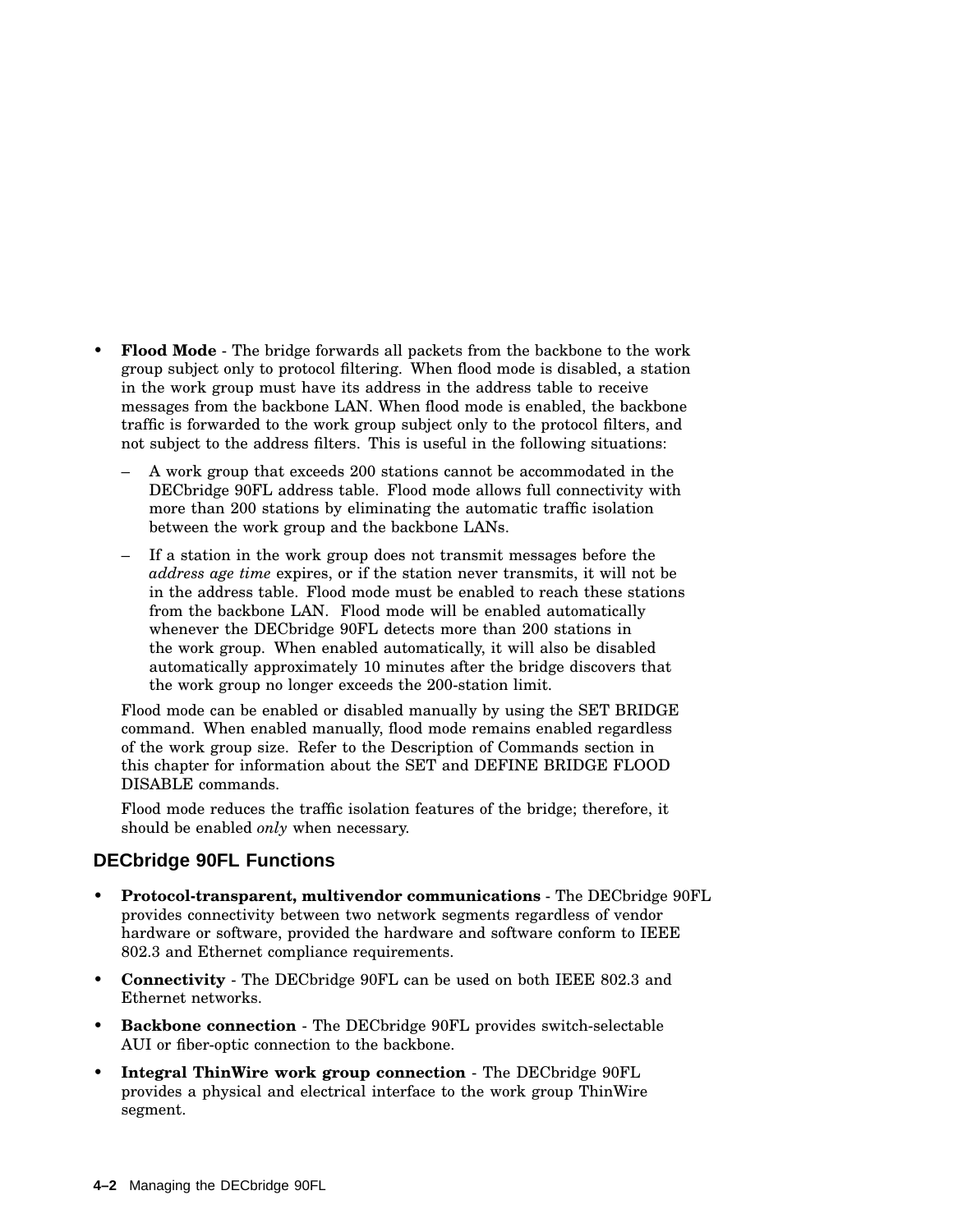- **Flood Mode** The bridge forwards all packets from the backbone to the work group subject only to protocol filtering. When flood mode is disabled, a station in the work group must have its address in the address table to receive messages from the backbone LAN. When flood mode is enabled, the backbone traffic is forwarded to the work group subject only to the protocol filters, and not subject to the address filters. This is useful in the following situations:
	- A work group that exceeds 200 stations cannot be accommodated in the DECbridge 90FL address table. Flood mode allows full connectivity with more than 200 stations by eliminating the automatic traffic isolation between the work group and the backbone LANs.
	- If a station in the work group does not transmit messages before the *address age time* expires, or if the station never transmits, it will not be in the address table. Flood mode must be enabled to reach these stations from the backbone LAN. Flood mode will be enabled automatically whenever the DECbridge 90FL detects more than 200 stations in the work group. When enabled automatically, it will also be disabled automatically approximately 10 minutes after the bridge discovers that the work group no longer exceeds the 200-station limit.

Flood mode can be enabled or disabled manually by using the SET BRIDGE command. When enabled manually, flood mode remains enabled regardless of the work group size. Refer to the Description of Commands section in this chapter for information about the SET and DEFINE BRIDGE FLOOD DISABLE commands.

Flood mode reduces the traffic isolation features of the bridge; therefore, it should be enabled *only* when necessary.

#### **DECbridge 90FL Functions**

- **Protocol-transparent, multivendor communications** The DECbridge 90FL provides connectivity between two network segments regardless of vendor hardware or software, provided the hardware and software conform to IEEE 802.3 and Ethernet compliance requirements.
- **Connectivity** The DECbridge 90FL can be used on both IEEE 802.3 and Ethernet networks.
- **Backbone connection** The DECbridge 90FL provides switch-selectable AUI or fiber-optic connection to the backbone.
- **Integral ThinWire work group connection** The DECbridge 90FL provides a physical and electrical interface to the work group ThinWire segment.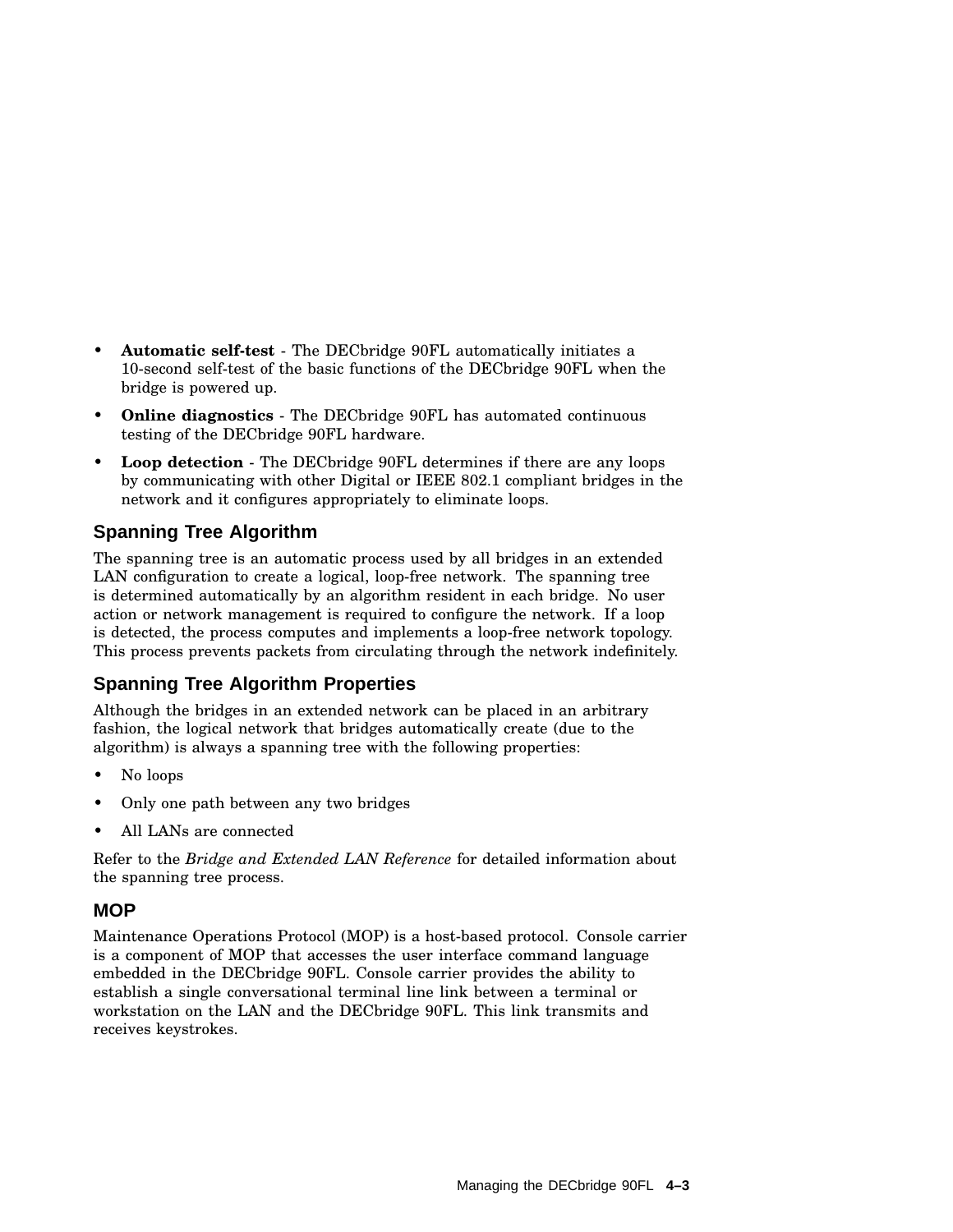- **Automatic self-test** The DECbridge 90FL automatically initiates a 10-second self-test of the basic functions of the DECbridge 90FL when the bridge is powered up.
- **Online diagnostics** The DECbridge 90FL has automated continuous testing of the DECbridge 90FL hardware.
- **Loop detection** The DECbridge 90FL determines if there are any loops by communicating with other Digital or IEEE 802.1 compliant bridges in the network and it configures appropriately to eliminate loops.

## **Spanning Tree Algorithm**

The spanning tree is an automatic process used by all bridges in an extended LAN configuration to create a logical, loop-free network. The spanning tree is determined automatically by an algorithm resident in each bridge. No user action or network management is required to configure the network. If a loop is detected, the process computes and implements a loop-free network topology. This process prevents packets from circulating through the network indefinitely.

## **Spanning Tree Algorithm Properties**

Although the bridges in an extended network can be placed in an arbitrary fashion, the logical network that bridges automatically create (due to the algorithm) is always a spanning tree with the following properties:

- No loops
- Only one path between any two bridges
- All LANs are connected

Refer to the *Bridge and Extended LAN Reference* for detailed information about the spanning tree process.

### **MOP**

Maintenance Operations Protocol (MOP) is a host-based protocol. Console carrier is a component of MOP that accesses the user interface command language embedded in the DECbridge 90FL. Console carrier provides the ability to establish a single conversational terminal line link between a terminal or workstation on the LAN and the DECbridge 90FL. This link transmits and receives keystrokes.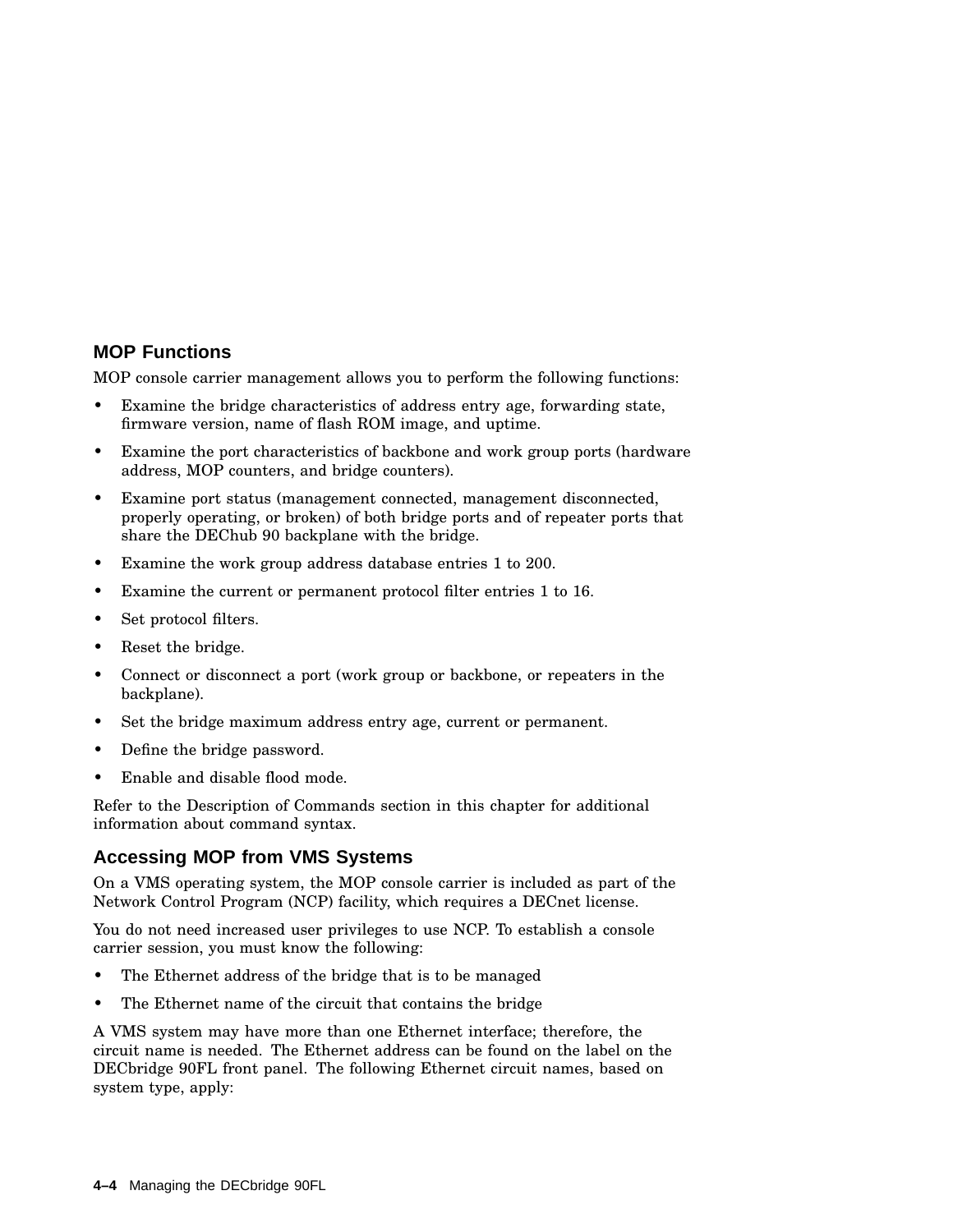#### **MOP Functions**

MOP console carrier management allows you to perform the following functions:

- Examine the bridge characteristics of address entry age, forwarding state, firmware version, name of flash ROM image, and uptime.
- Examine the port characteristics of backbone and work group ports (hardware address, MOP counters, and bridge counters).
- Examine port status (management connected, management disconnected, properly operating, or broken) of both bridge ports and of repeater ports that share the DEChub 90 backplane with the bridge.
- Examine the work group address database entries 1 to 200.
- Examine the current or permanent protocol filter entries 1 to 16.
- Set protocol filters.
- Reset the bridge.
- Connect or disconnect a port (work group or backbone, or repeaters in the backplane).
- Set the bridge maximum address entry age, current or permanent.
- Define the bridge password.
- Enable and disable flood mode.

Refer to the Description of Commands section in this chapter for additional information about command syntax.

#### **Accessing MOP from VMS Systems**

On a VMS operating system, the MOP console carrier is included as part of the Network Control Program (NCP) facility, which requires a DECnet license.

You do not need increased user privileges to use NCP. To establish a console carrier session, you must know the following:

- The Ethernet address of the bridge that is to be managed
- The Ethernet name of the circuit that contains the bridge

A VMS system may have more than one Ethernet interface; therefore, the circuit name is needed. The Ethernet address can be found on the label on the DECbridge 90FL front panel. The following Ethernet circuit names, based on system type, apply: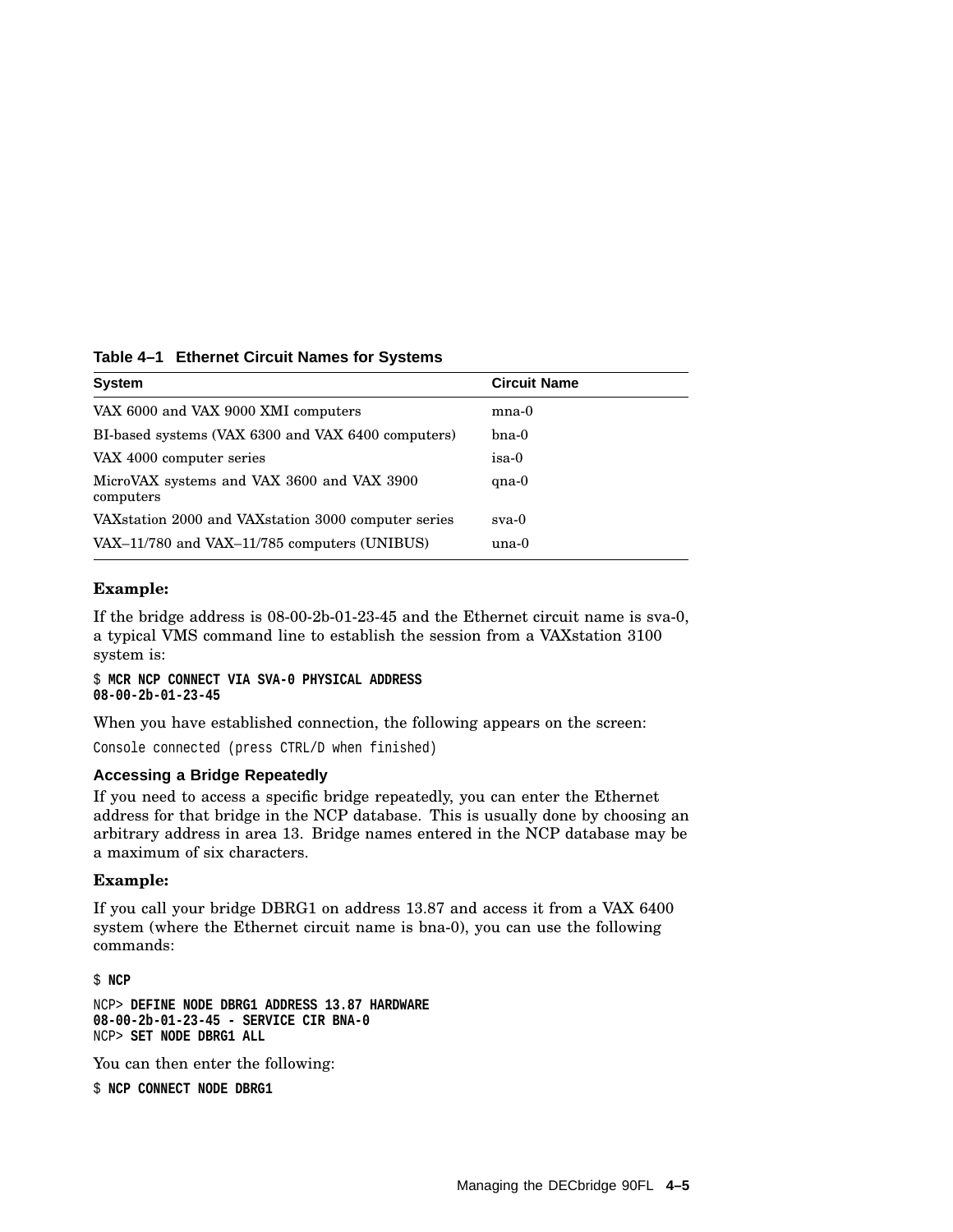| Table 4–1 Ethernet Circuit Names for Systems |  |  |  |  |  |
|----------------------------------------------|--|--|--|--|--|
|----------------------------------------------|--|--|--|--|--|

| <b>System</b>                                           | <b>Circuit Name</b> |
|---------------------------------------------------------|---------------------|
| VAX 6000 and VAX 9000 XMI computers                     | $_{\rm mna-0}$      |
| BI-based systems (VAX 6300 and VAX 6400 computers)      | $b$ na- $0$         |
| VAX 4000 computer series                                | isa-0               |
| MicroVAX systems and VAX 3600 and VAX 3900<br>computers | $qna-0$             |
| VAX station 2000 and VAX station 3000 computer series   | $sva-0$             |
| VAX-11/780 and VAX-11/785 computers (UNIBUS)            | una-0               |

#### **Example:**

If the bridge address is 08-00-2b-01-23-45 and the Ethernet circuit name is sva-0, a typical VMS command line to establish the session from a VAXstation 3100 system is:

\$ **MCR NCP CONNECT VIA SVA-0 PHYSICAL ADDRESS 08-00-2b-01-23-45**

When you have established connection, the following appears on the screen:

Console connected (press CTRL/D when finished)

#### **Accessing a Bridge Repeatedly**

If you need to access a specific bridge repeatedly, you can enter the Ethernet address for that bridge in the NCP database. This is usually done by choosing an arbitrary address in area 13. Bridge names entered in the NCP database may be a maximum of six characters.

#### **Example:**

If you call your bridge DBRG1 on address 13.87 and access it from a VAX 6400 system (where the Ethernet circuit name is bna-0), you can use the following commands:

\$ **NCP**

NCP> **DEFINE NODE DBRG1 ADDRESS 13.87 HARDWARE 08-00-2b-01-23-45 - SERVICE CIR BNA-0** NCP> **SET NODE DBRG1 ALL**

You can then enter the following:

\$ **NCP CONNECT NODE DBRG1**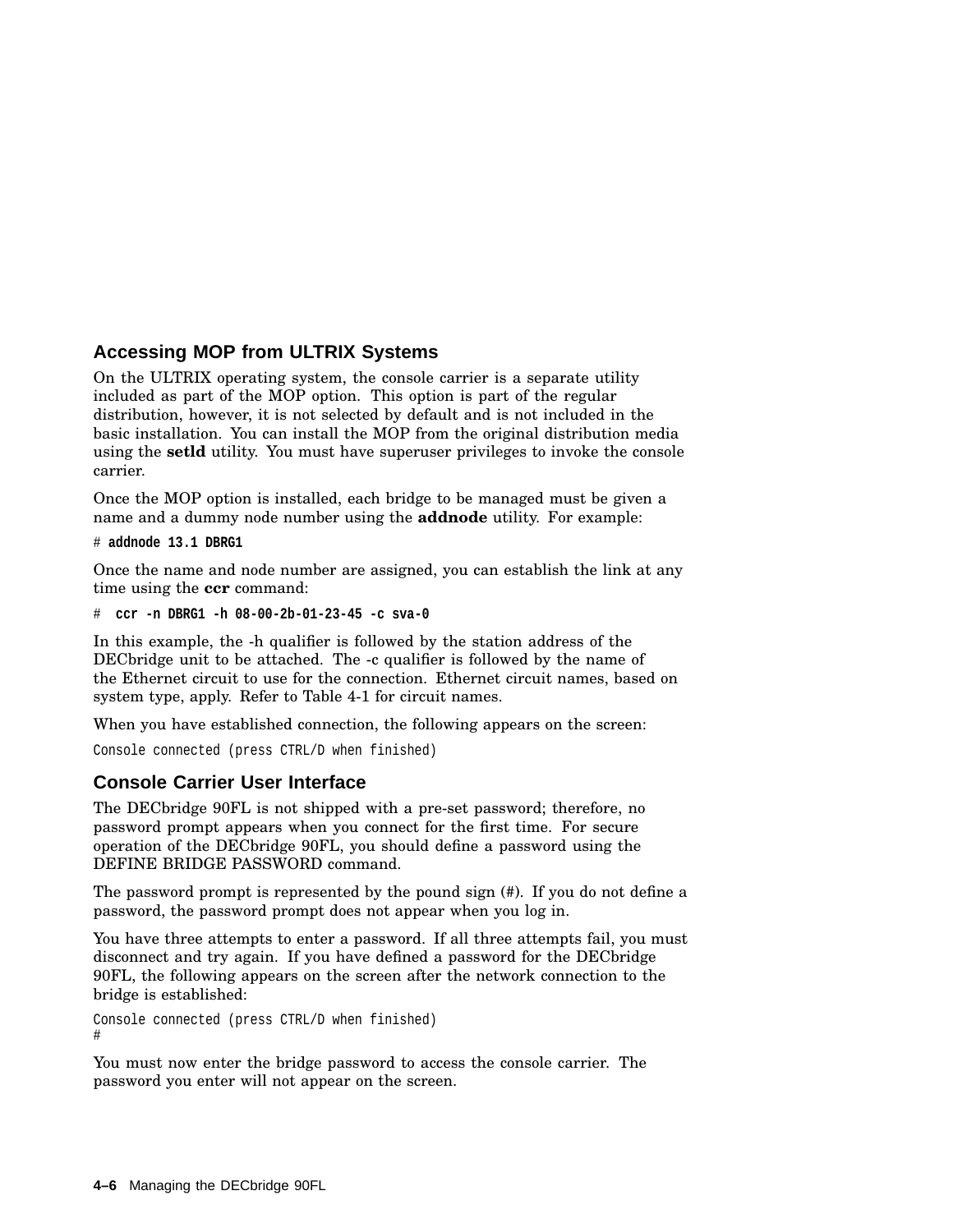#### **Accessing MOP from ULTRIX Systems**

On the ULTRIX operating system, the console carrier is a separate utility included as part of the MOP option. This option is part of the regular distribution, however, it is not selected by default and is not included in the basic installation. You can install the MOP from the original distribution media using the **setld** utility. You must have superuser privileges to invoke the console carrier.

Once the MOP option is installed, each bridge to be managed must be given a name and a dummy node number using the **addnode** utility. For example:

```
# addnode 13.1 DBRG1
```
Once the name and node number are assigned, you can establish the link at any time using the **ccr** command:

```
# ccr -n DBRG1 -h 08-00-2b-01-23-45 -c sva-0
```
In this example, the -h qualifier is followed by the station address of the DECbridge unit to be attached. The -c qualifier is followed by the name of the Ethernet circuit to use for the connection. Ethernet circuit names, based on system type, apply. Refer to Table 4-1 for circuit names.

When you have established connection, the following appears on the screen:

```
Console connected (press CTRL/D when finished)
```
## **Console Carrier User Interface**

The DECbridge 90FL is not shipped with a pre-set password; therefore, no password prompt appears when you connect for the first time. For secure operation of the DECbridge 90FL, you should define a password using the DEFINE BRIDGE PASSWORD command.

The password prompt is represented by the pound sign  $(\#)$ . If you do not define a password, the password prompt does not appear when you log in.

You have three attempts to enter a password. If all three attempts fail, you must disconnect and try again. If you have defined a password for the DECbridge 90FL, the following appears on the screen after the network connection to the bridge is established:

```
Console connected (press CTRL/D when finished)
#
```
You must now enter the bridge password to access the console carrier. The password you enter will not appear on the screen.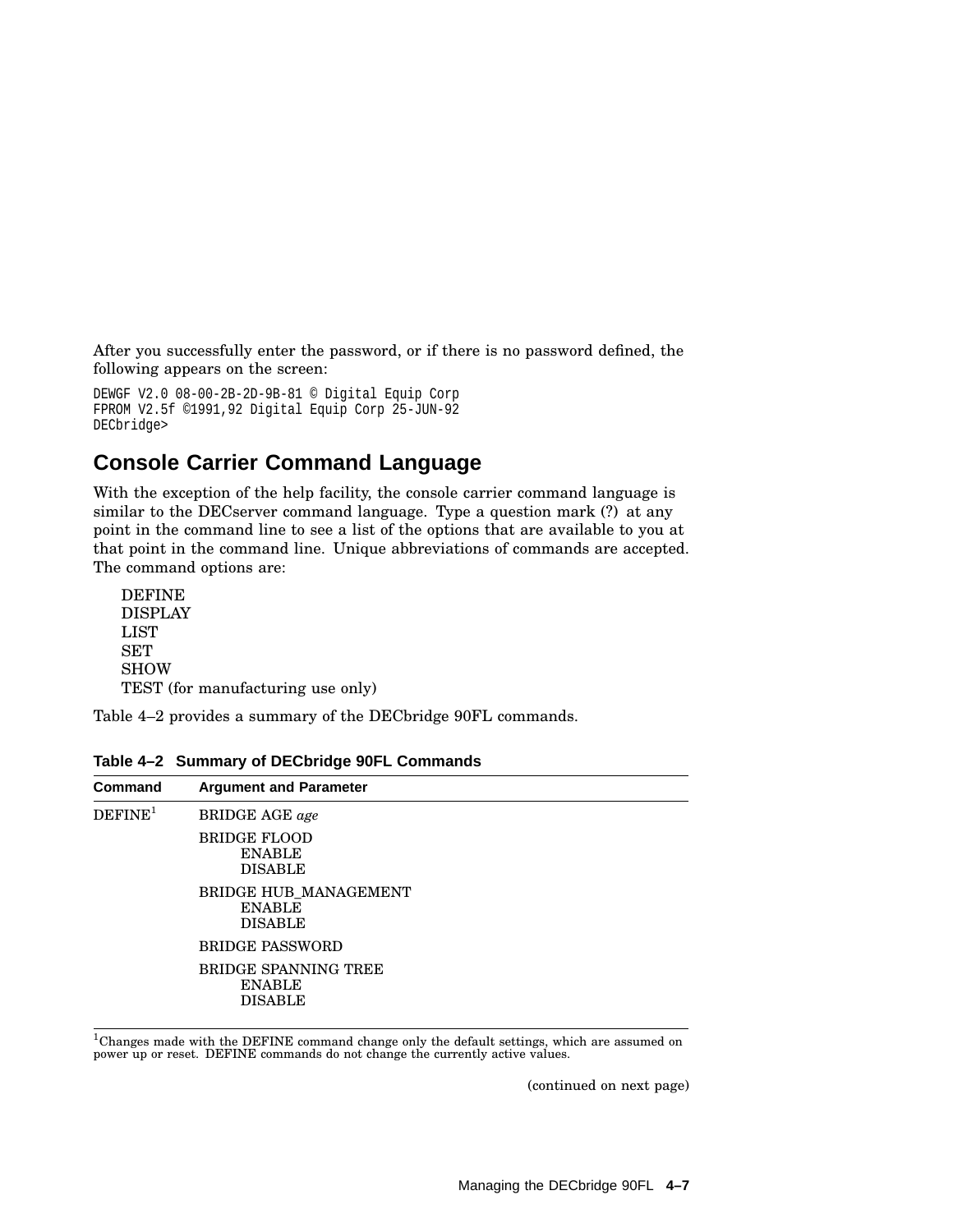After you successfully enter the password, or if there is no password defined, the following appears on the screen:

```
DEWGF V2.0 08-00-2B-2D-9B-81 © Digital Equip Corp
FPROM V2.5f ©1991,92 Digital Equip Corp 25-JUN-92
DECbridge>
```
## **Console Carrier Command Language**

With the exception of the help facility, the console carrier command language is similar to the DECserver command language. Type a question mark (?) at any point in the command line to see a list of the options that are available to you at that point in the command line. Unique abbreviations of commands are accepted. The command options are:

| <b>DEFINE</b>                     |
|-----------------------------------|
| <b>DISPLAY</b>                    |
| LIST                              |
| <b>SET</b>                        |
| <b>SHOW</b>                       |
| TEST (for manufacturing use only) |

Table 4–2 provides a summary of the DECbridge 90FL commands.

| <b>Command</b>      | <b>Argument and Parameter</b>                            |
|---------------------|----------------------------------------------------------|
| DEFINE <sup>1</sup> | <b>BRIDGE AGE</b> age                                    |
|                     | <b>BRIDGE FLOOD</b><br><b>ENABLE</b><br><b>DISABLE</b>   |
|                     | BRIDGE HUB MANAGEMENT<br><b>ENABLE</b><br><b>DISABLE</b> |
|                     | <b>BRIDGE PASSWORD</b>                                   |
|                     | BRIDGE SPANNING TREE<br><b>ENABLE</b><br><b>DISABLE</b>  |

**Table 4–2 Summary of DECbridge 90FL Commands**

 $^1$ Changes made with the DEFINE command change only the default settings, which are assumed on<br>power up or reset. DEFINE commands do not change the currently active values.

(continued on next page)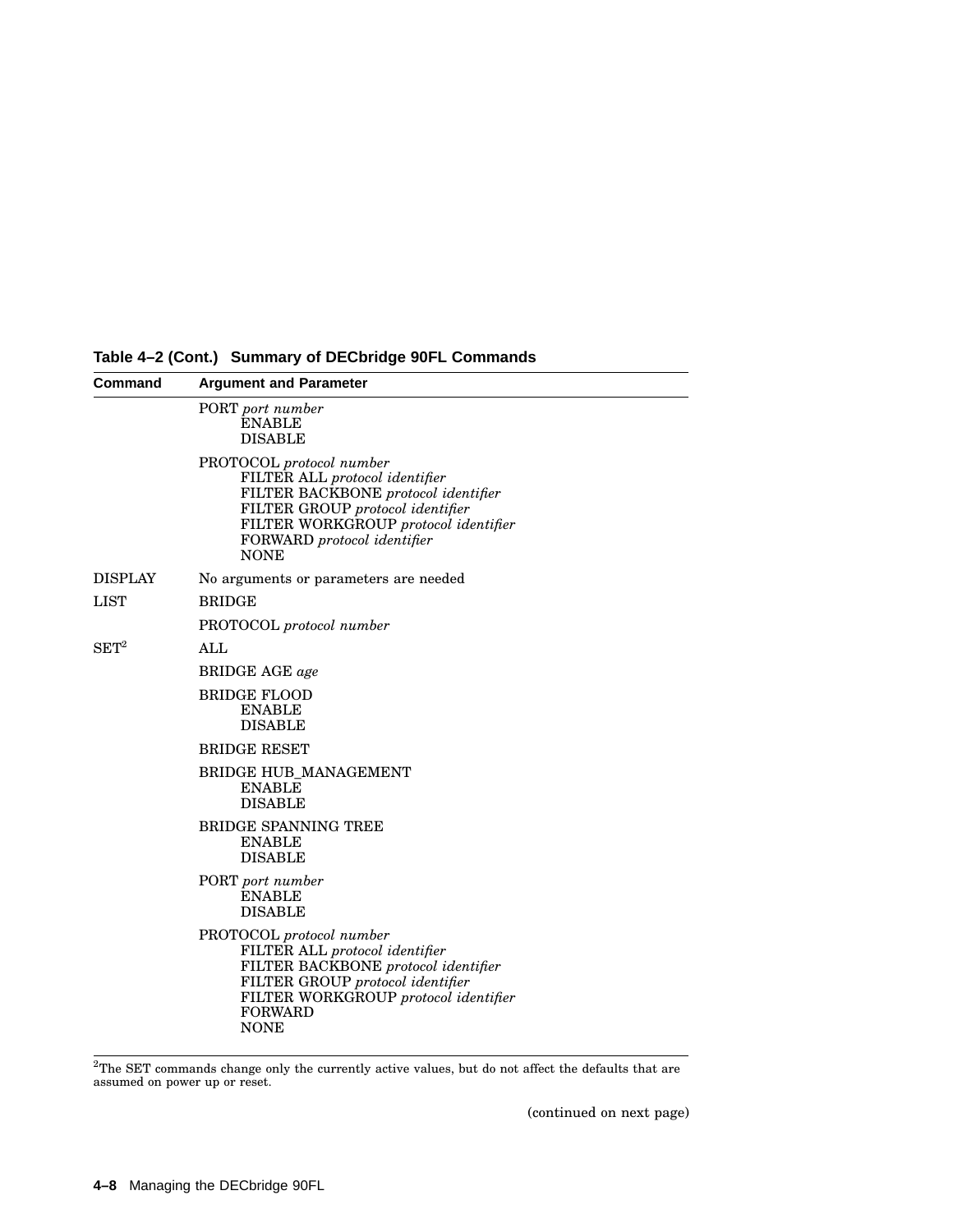| Command            | <b>Argument and Parameter</b>                                                                                                                                                                                               |
|--------------------|-----------------------------------------------------------------------------------------------------------------------------------------------------------------------------------------------------------------------------|
|                    | PORT port number<br><b>ENABLE</b><br><b>DISABLE</b>                                                                                                                                                                         |
|                    | PROTOCOL protocol number<br>FILTER ALL protocol identifier<br>FILTER BACKBONE protocol identifier<br>FILTER GROUP protocol identifier<br>FILTER WORKGROUP protocol identifier<br>FORWARD protocol identifier<br><b>NONE</b> |
| DISPLAY            | No arguments or parameters are needed                                                                                                                                                                                       |
| $_{\rm LIST}$      | <b>BRIDGE</b>                                                                                                                                                                                                               |
|                    | PROTOCOL protocol number                                                                                                                                                                                                    |
| $\mathrm{SET}^{2}$ | ALL                                                                                                                                                                                                                         |
|                    | <b>BRIDGE AGE</b> age                                                                                                                                                                                                       |
|                    | <b>BRIDGE FLOOD</b><br><b>ENABLE</b><br><b>DISABLE</b>                                                                                                                                                                      |
|                    | <b>BRIDGE RESET</b>                                                                                                                                                                                                         |
|                    | <b>BRIDGE HUB_MANAGEMENT</b><br><b>ENABLE</b><br><b>DISABLE</b>                                                                                                                                                             |
|                    | <b>BRIDGE SPANNING TREE</b><br><b>ENABLE</b><br><b>DISABLE</b>                                                                                                                                                              |
|                    | PORT port number<br><b>ENABLE</b><br><b>DISABLE</b>                                                                                                                                                                         |
|                    | PROTOCOL protocol number<br>FILTER ALL protocol identifier<br>FILTER BACKBONE protocol identifier<br>FILTER GROUP protocol identifier<br>FILTER WORKGROUP protocol identifier<br><b>FORWARD</b><br><b>NONE</b>              |

**Table 4–2 (Cont.) Summary of DECbridge 90FL Commands**

 $^{2}$ The SET commands change only the currently active values, but do not affect the defaults that are assumed on power up or reset.

(continued on next page)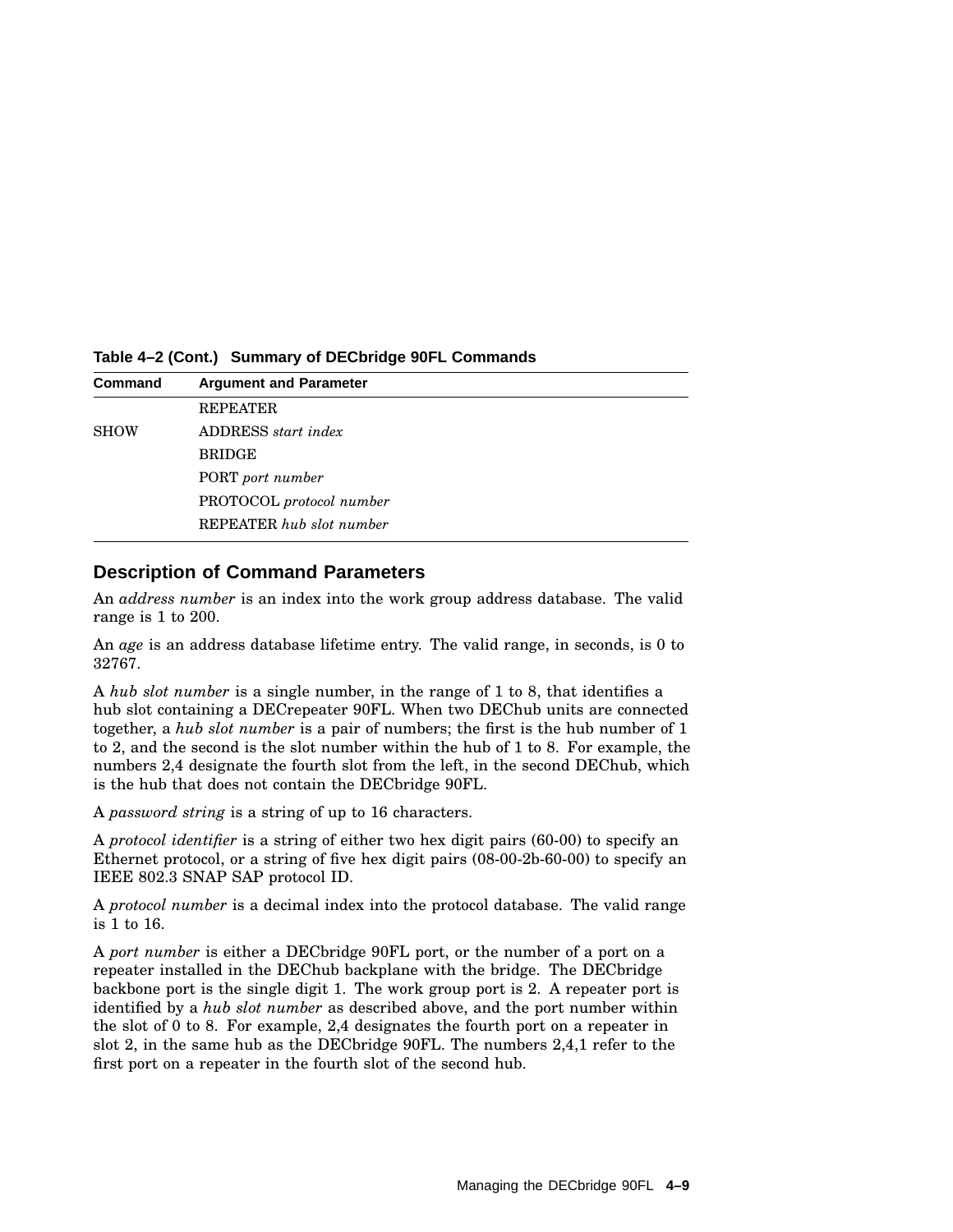**Command Argument and Parameter** REPEATER SHOW ADDRESS *start index* BRIDGE PORT *port number* PROTOCOL *protocol number* REPEATER *hub slot number*

**Table 4–2 (Cont.) Summary of DECbridge 90FL Commands**

#### **Description of Command Parameters**

An *address number* is an index into the work group address database. The valid range is 1 to 200.

An *age* is an address database lifetime entry. The valid range, in seconds, is 0 to 32767.

A *hub slot number* is a single number, in the range of 1 to 8, that identifies a hub slot containing a DECrepeater 90FL. When two DEChub units are connected together, a *hub slot number* is a pair of numbers; the first is the hub number of 1 to 2, and the second is the slot number within the hub of 1 to 8. For example, the numbers 2,4 designate the fourth slot from the left, in the second DEChub, which is the hub that does not contain the DECbridge 90FL.

A *password string* is a string of up to 16 characters.

A *protocol identifier* is a string of either two hex digit pairs (60-00) to specify an Ethernet protocol, or a string of five hex digit pairs (08-00-2b-60-00) to specify an IEEE 802.3 SNAP SAP protocol ID.

A *protocol number* is a decimal index into the protocol database. The valid range is 1 to 16.

A *port number* is either a DECbridge 90FL port, or the number of a port on a repeater installed in the DEChub backplane with the bridge. The DECbridge backbone port is the single digit 1. The work group port is 2. A repeater port is identified by a *hub slot number* as described above, and the port number within the slot of 0 to 8. For example, 2,4 designates the fourth port on a repeater in slot 2, in the same hub as the DECbridge 90FL. The numbers 2,4,1 refer to the first port on a repeater in the fourth slot of the second hub.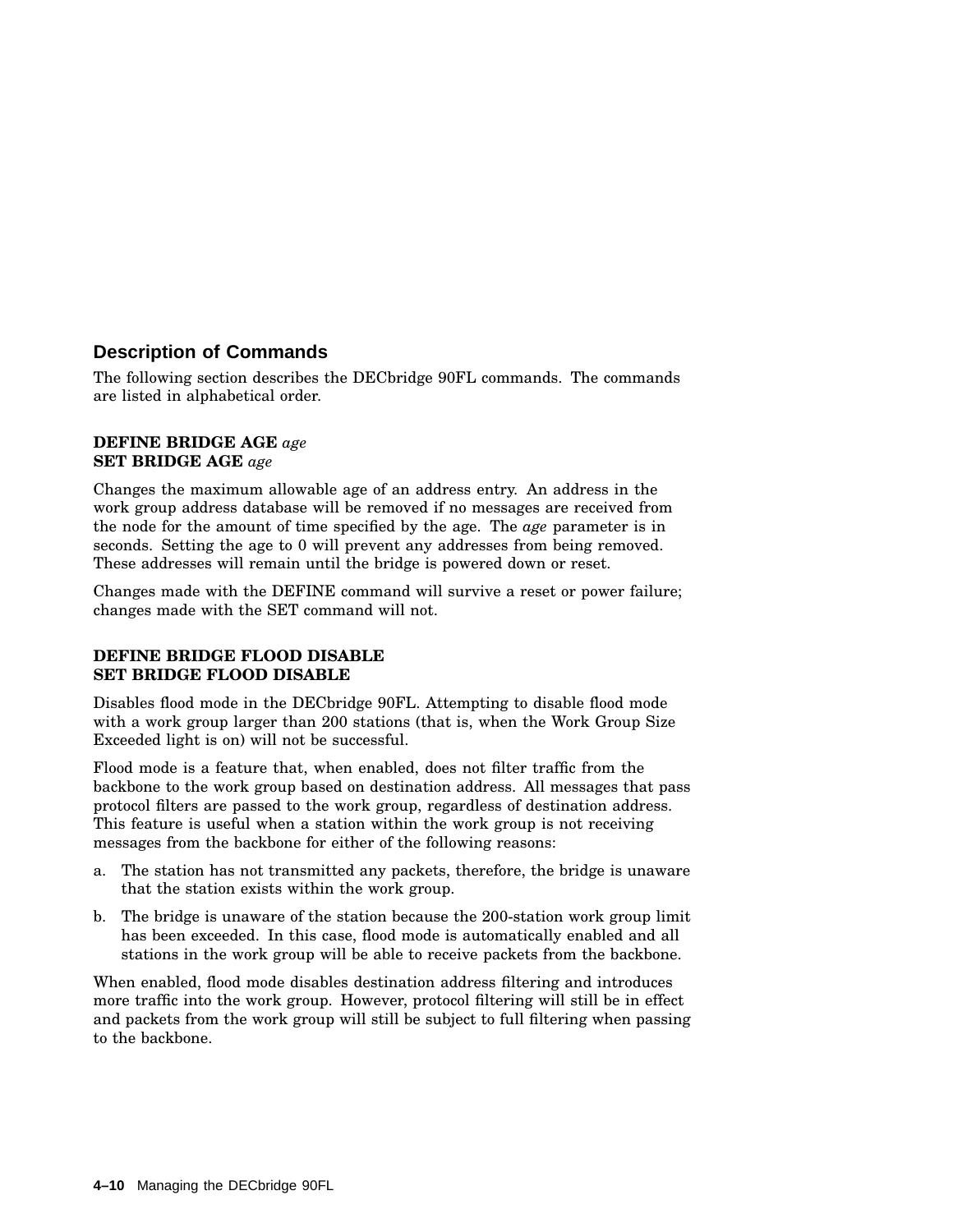#### **Description of Commands**

The following section describes the DECbridge 90FL commands. The commands are listed in alphabetical order.

#### **DEFINE BRIDGE AGE** *age* **SET BRIDGE AGE** *age*

Changes the maximum allowable age of an address entry. An address in the work group address database will be removed if no messages are received from the node for the amount of time specified by the age. The *age* parameter is in seconds. Setting the age to 0 will prevent any addresses from being removed. These addresses will remain until the bridge is powered down or reset.

Changes made with the DEFINE command will survive a reset or power failure; changes made with the SET command will not.

#### **DEFINE BRIDGE FLOOD DISABLE SET BRIDGE FLOOD DISABLE**

Disables flood mode in the DECbridge 90FL. Attempting to disable flood mode with a work group larger than 200 stations (that is, when the Work Group Size Exceeded light is on) will not be successful.

Flood mode is a feature that, when enabled, does not filter traffic from the backbone to the work group based on destination address. All messages that pass protocol filters are passed to the work group, regardless of destination address. This feature is useful when a station within the work group is not receiving messages from the backbone for either of the following reasons:

- a. The station has not transmitted any packets, therefore, the bridge is unaware that the station exists within the work group.
- b. The bridge is unaware of the station because the 200-station work group limit has been exceeded. In this case, flood mode is automatically enabled and all stations in the work group will be able to receive packets from the backbone.

When enabled, flood mode disables destination address filtering and introduces more traffic into the work group. However, protocol filtering will still be in effect and packets from the work group will still be subject to full filtering when passing to the backbone.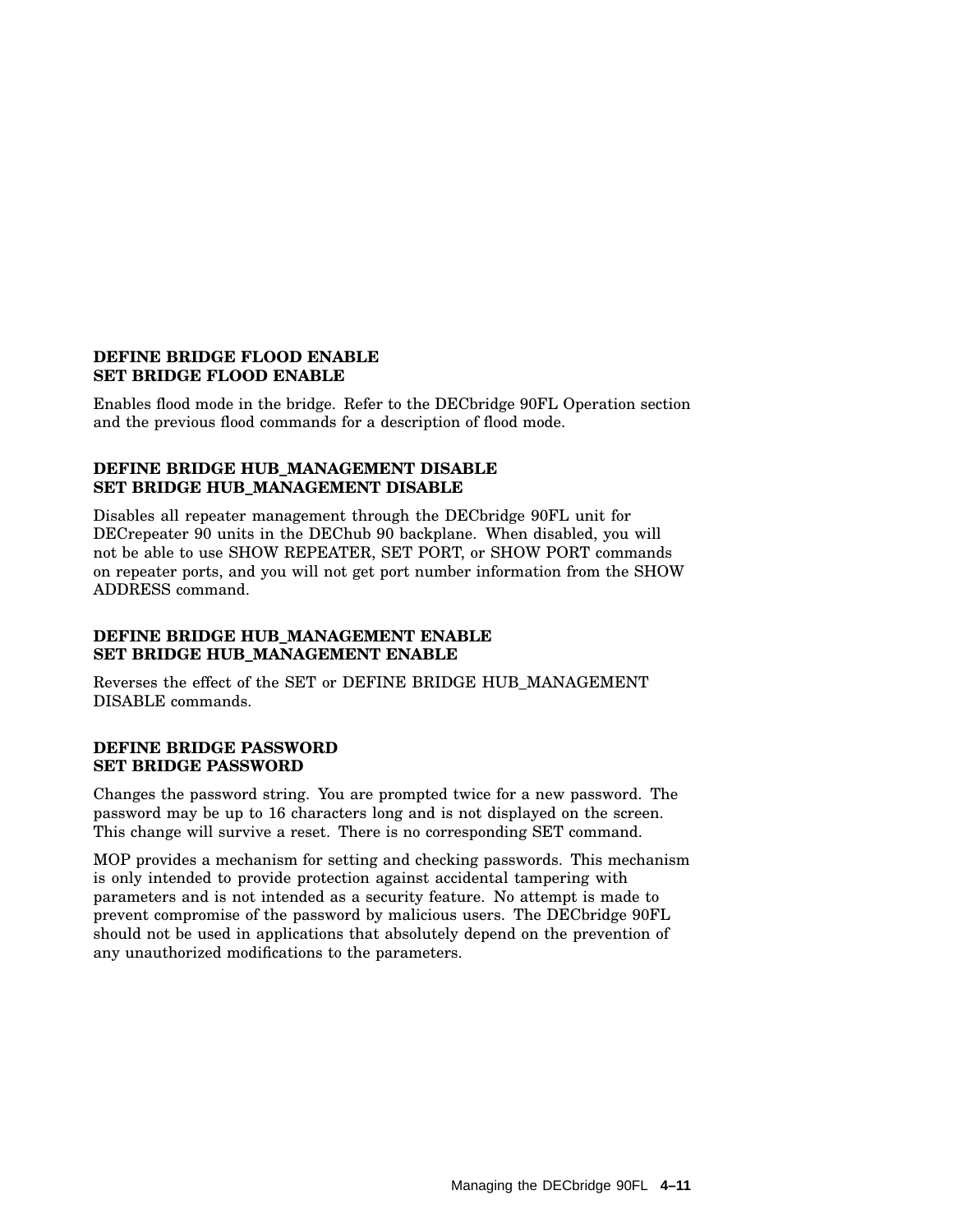#### **DEFINE BRIDGE FLOOD ENABLE SET BRIDGE FLOOD ENABLE**

Enables flood mode in the bridge. Refer to the DECbridge 90FL Operation section and the previous flood commands for a description of flood mode.

#### **DEFINE BRIDGE HUB\_MANAGEMENT DISABLE SET BRIDGE HUB\_MANAGEMENT DISABLE**

Disables all repeater management through the DECbridge 90FL unit for DECrepeater 90 units in the DEChub 90 backplane. When disabled, you will not be able to use SHOW REPEATER, SET PORT, or SHOW PORT commands on repeater ports, and you will not get port number information from the SHOW ADDRESS command.

#### **DEFINE BRIDGE HUB\_MANAGEMENT ENABLE SET BRIDGE HUB\_MANAGEMENT ENABLE**

Reverses the effect of the SET or DEFINE BRIDGE HUB\_MANAGEMENT DISABLE commands.

#### **DEFINE BRIDGE PASSWORD SET BRIDGE PASSWORD**

Changes the password string. You are prompted twice for a new password. The password may be up to 16 characters long and is not displayed on the screen. This change will survive a reset. There is no corresponding SET command.

MOP provides a mechanism for setting and checking passwords. This mechanism is only intended to provide protection against accidental tampering with parameters and is not intended as a security feature. No attempt is made to prevent compromise of the password by malicious users. The DECbridge 90FL should not be used in applications that absolutely depend on the prevention of any unauthorized modifications to the parameters.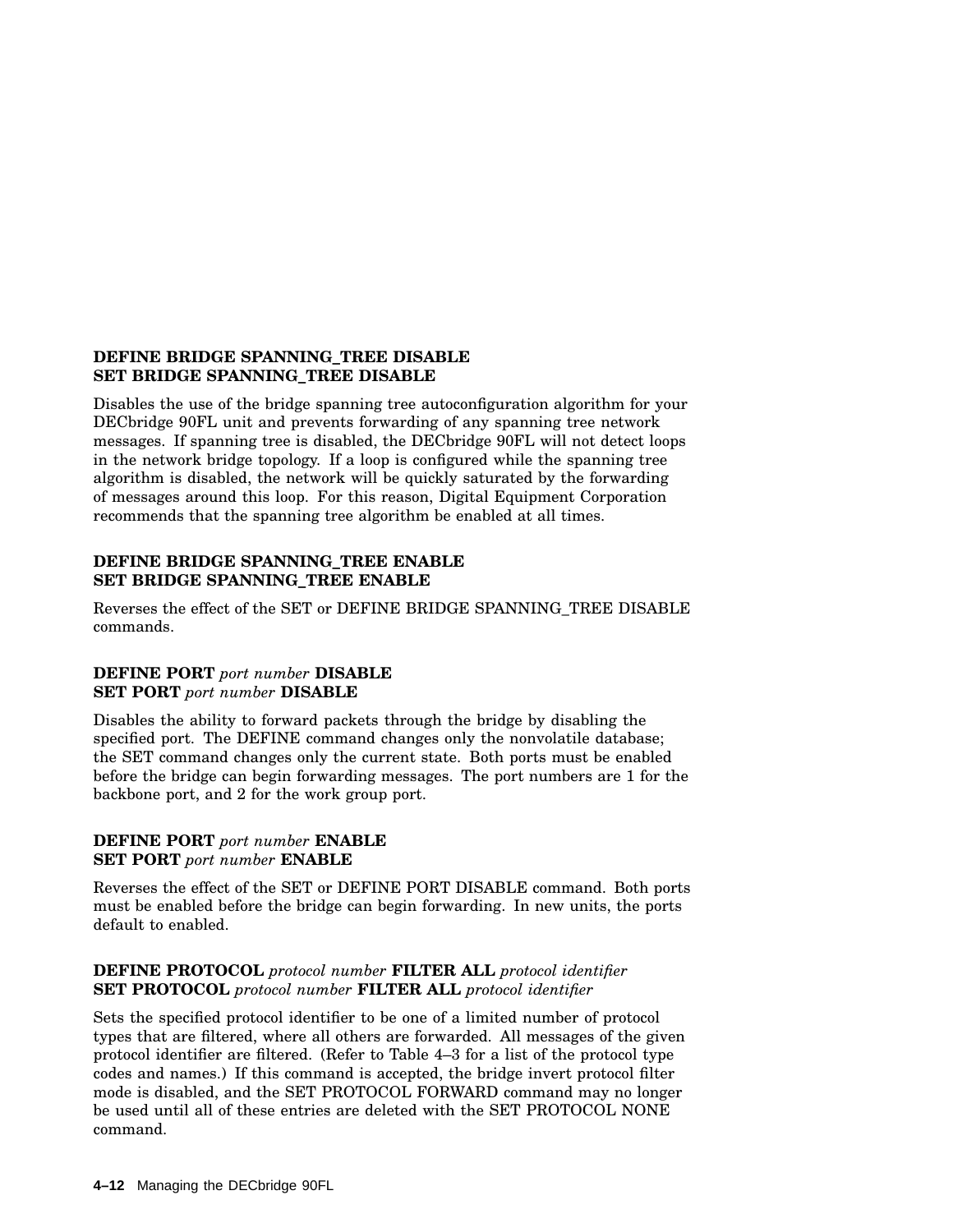#### **DEFINE BRIDGE SPANNING\_TREE DISABLE SET BRIDGE SPANNING\_TREE DISABLE**

Disables the use of the bridge spanning tree autoconfiguration algorithm for your DECbridge 90FL unit and prevents forwarding of any spanning tree network messages. If spanning tree is disabled, the DECbridge 90FL will not detect loops in the network bridge topology. If a loop is configured while the spanning tree algorithm is disabled, the network will be quickly saturated by the forwarding of messages around this loop. For this reason, Digital Equipment Corporation recommends that the spanning tree algorithm be enabled at all times.

#### **DEFINE BRIDGE SPANNING\_TREE ENABLE SET BRIDGE SPANNING\_TREE ENABLE**

Reverses the effect of the SET or DEFINE BRIDGE SPANNING\_TREE DISABLE commands.

#### **DEFINE PORT** *port number* **DISABLE SET PORT** *port number* **DISABLE**

Disables the ability to forward packets through the bridge by disabling the specified port. The DEFINE command changes only the nonvolatile database; the SET command changes only the current state. Both ports must be enabled before the bridge can begin forwarding messages. The port numbers are 1 for the backbone port, and 2 for the work group port.

#### **DEFINE PORT** *port number* **ENABLE SET PORT** *port number* **ENABLE**

Reverses the effect of the SET or DEFINE PORT DISABLE command. Both ports must be enabled before the bridge can begin forwarding. In new units, the ports default to enabled.

#### **DEFINE PROTOCOL** *protocol number* **FILTER ALL** *protocol identifier* **SET PROTOCOL** *protocol number* **FILTER ALL** *protocol identifier*

Sets the specified protocol identifier to be one of a limited number of protocol types that are filtered, where all others are forwarded. All messages of the given protocol identifier are filtered. (Refer to Table 4–3 for a list of the protocol type codes and names.) If this command is accepted, the bridge invert protocol filter mode is disabled, and the SET PROTOCOL FORWARD command may no longer be used until all of these entries are deleted with the SET PROTOCOL NONE command.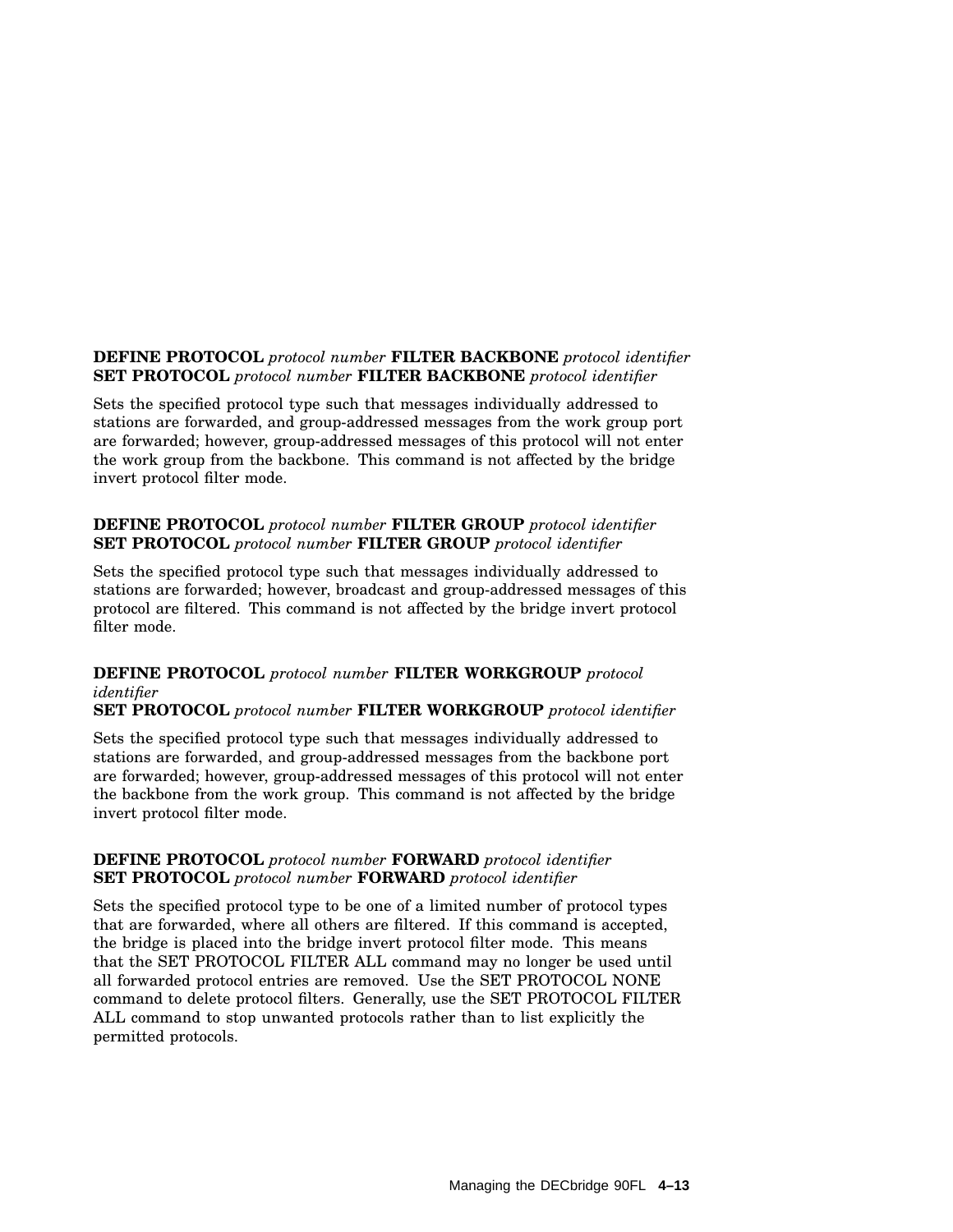#### **DEFINE PROTOCOL** *protocol number* **FILTER BACKBONE** *protocol identifier* **SET PROTOCOL** *protocol number* **FILTER BACKBONE** *protocol identifier*

Sets the specified protocol type such that messages individually addressed to stations are forwarded, and group-addressed messages from the work group port are forwarded; however, group-addressed messages of this protocol will not enter the work group from the backbone. This command is not affected by the bridge invert protocol filter mode.

#### **DEFINE PROTOCOL** *protocol number* **FILTER GROUP** *protocol identifier* **SET PROTOCOL** *protocol number* **FILTER GROUP** *protocol identifier*

Sets the specified protocol type such that messages individually addressed to stations are forwarded; however, broadcast and group-addressed messages of this protocol are filtered. This command is not affected by the bridge invert protocol filter mode.

#### **DEFINE PROTOCOL** *protocol number* **FILTER WORKGROUP** *protocol identifier*

**SET PROTOCOL** *protocol number* **FILTER WORKGROUP** *protocol identifier*

Sets the specified protocol type such that messages individually addressed to stations are forwarded, and group-addressed messages from the backbone port are forwarded; however, group-addressed messages of this protocol will not enter the backbone from the work group. This command is not affected by the bridge invert protocol filter mode.

#### **DEFINE PROTOCOL** *protocol number* **FORWARD** *protocol identifier* **SET PROTOCOL** *protocol number* **FORWARD** *protocol identifier*

Sets the specified protocol type to be one of a limited number of protocol types that are forwarded, where all others are filtered. If this command is accepted, the bridge is placed into the bridge invert protocol filter mode. This means that the SET PROTOCOL FILTER ALL command may no longer be used until all forwarded protocol entries are removed. Use the SET PROTOCOL NONE command to delete protocol filters. Generally, use the SET PROTOCOL FILTER ALL command to stop unwanted protocols rather than to list explicitly the permitted protocols.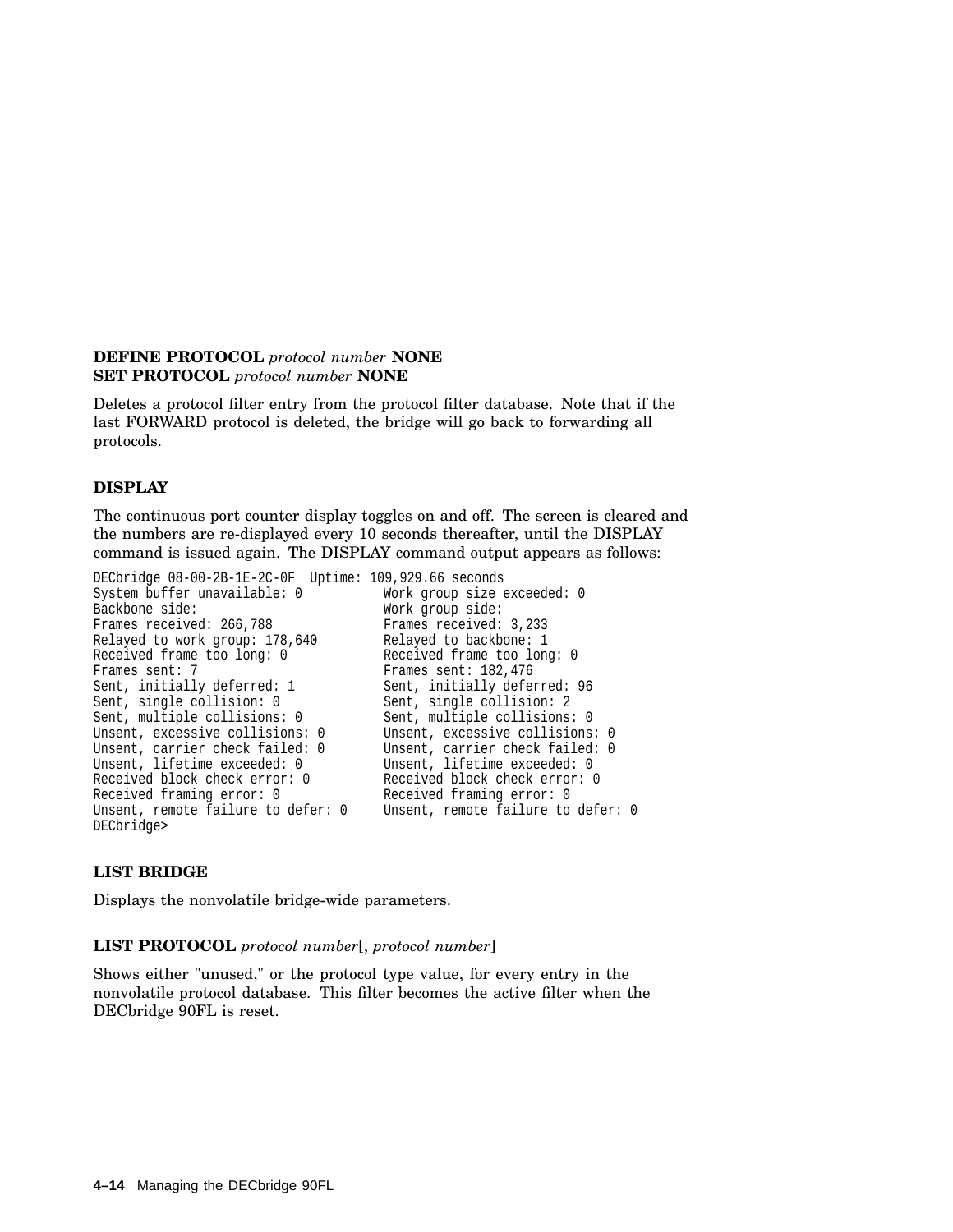#### **DEFINE PROTOCOL** *protocol number* **NONE SET PROTOCOL** *protocol number* **NONE**

Deletes a protocol filter entry from the protocol filter database. Note that if the last FORWARD protocol is deleted, the bridge will go back to forwarding all protocols.

#### **DISPLAY**

The continuous port counter display toggles on and off. The screen is cleared and the numbers are re-displayed every 10 seconds thereafter, until the DISPLAY command is issued again. The DISPLAY command output appears as follows:

```
DECbridge 08-00-2B-1E-2C-0F Uptime: 109,929.66 seconds
System buffer unavailable: 0 Work group size exceeded: 0<br>Backbone side: 0<br>Work group side:
                                           Work group side:<br>Frames received: 3,233
Frames received: 266,788
Relayed to work group: 178,640 Relayed to backbone: 1
Received frame too long: 0 Received frame too long: 0
Frames sent: 7 Frames sent: 182,476
Sent, initially deferred: 1 Sent, initially deferred: 96<br>Sent, single collision: 0 Sent, single collision: 2
                                           Sent, single collision: 2
Sent, multiple collisions: 0 Sent, multiple collisions: 0
Unsent, excessive collisions: 0 Unsent, excessive collisions: 0<br>Unsent, carrier check failed: 0 Unsent, carrier check failed: 0
                                           Unsent, carrier check failed: 0<br>Unsent, lifetime exceeded: 0
Unsent, lifetime exceeded: 0
Received block check error: 0 Received block check error: 0
Received framing error: 0 Received framing error: 0
Unsent, remote failure to defer: 0
DECbridge>
```
#### **LIST BRIDGE**

Displays the nonvolatile bridge-wide parameters.

#### **LIST PROTOCOL** *protocol number*[, *protocol number*]

Shows either "unused," or the protocol type value, for every entry in the nonvolatile protocol database. This filter becomes the active filter when the DECbridge 90FL is reset.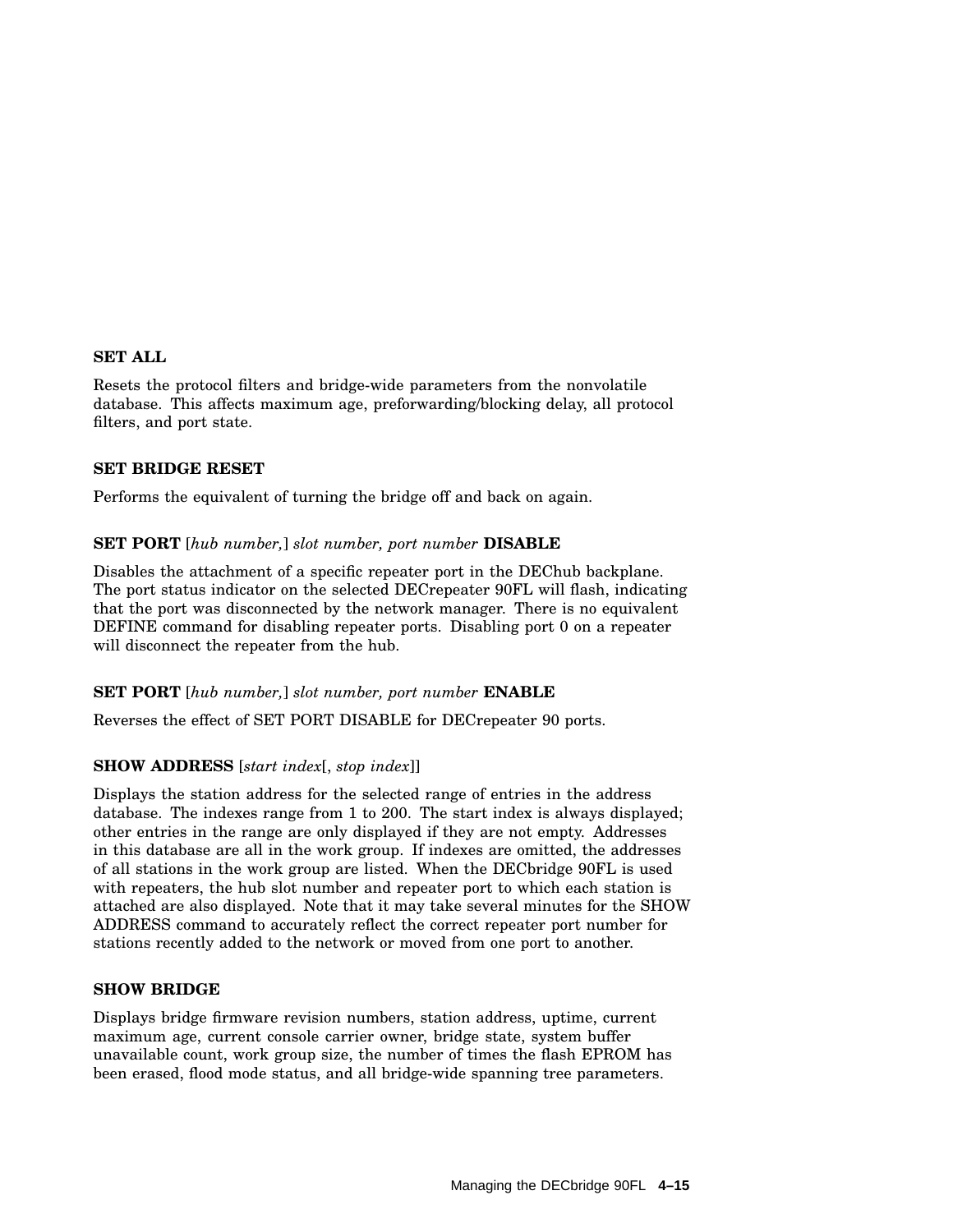#### **SET ALL**

Resets the protocol filters and bridge-wide parameters from the nonvolatile database. This affects maximum age, preforwarding/blocking delay, all protocol filters, and port state.

#### **SET BRIDGE RESET**

Performs the equivalent of turning the bridge off and back on again.

#### **SET PORT** [*hub number,*] *slot number, port number* **DISABLE**

Disables the attachment of a specific repeater port in the DEChub backplane. The port status indicator on the selected DECrepeater 90FL will flash, indicating that the port was disconnected by the network manager. There is no equivalent DEFINE command for disabling repeater ports. Disabling port 0 on a repeater will disconnect the repeater from the hub.

#### **SET PORT** [*hub number,*] *slot number, port number* **ENABLE**

Reverses the effect of SET PORT DISABLE for DECrepeater 90 ports.

#### **SHOW ADDRESS** [*start index*[, *stop index*]]

Displays the station address for the selected range of entries in the address database. The indexes range from 1 to 200. The start index is always displayed; other entries in the range are only displayed if they are not empty. Addresses in this database are all in the work group. If indexes are omitted, the addresses of all stations in the work group are listed. When the DECbridge 90FL is used with repeaters, the hub slot number and repeater port to which each station is attached are also displayed. Note that it may take several minutes for the SHOW ADDRESS command to accurately reflect the correct repeater port number for stations recently added to the network or moved from one port to another.

#### **SHOW BRIDGE**

Displays bridge firmware revision numbers, station address, uptime, current maximum age, current console carrier owner, bridge state, system buffer unavailable count, work group size, the number of times the flash EPROM has been erased, flood mode status, and all bridge-wide spanning tree parameters.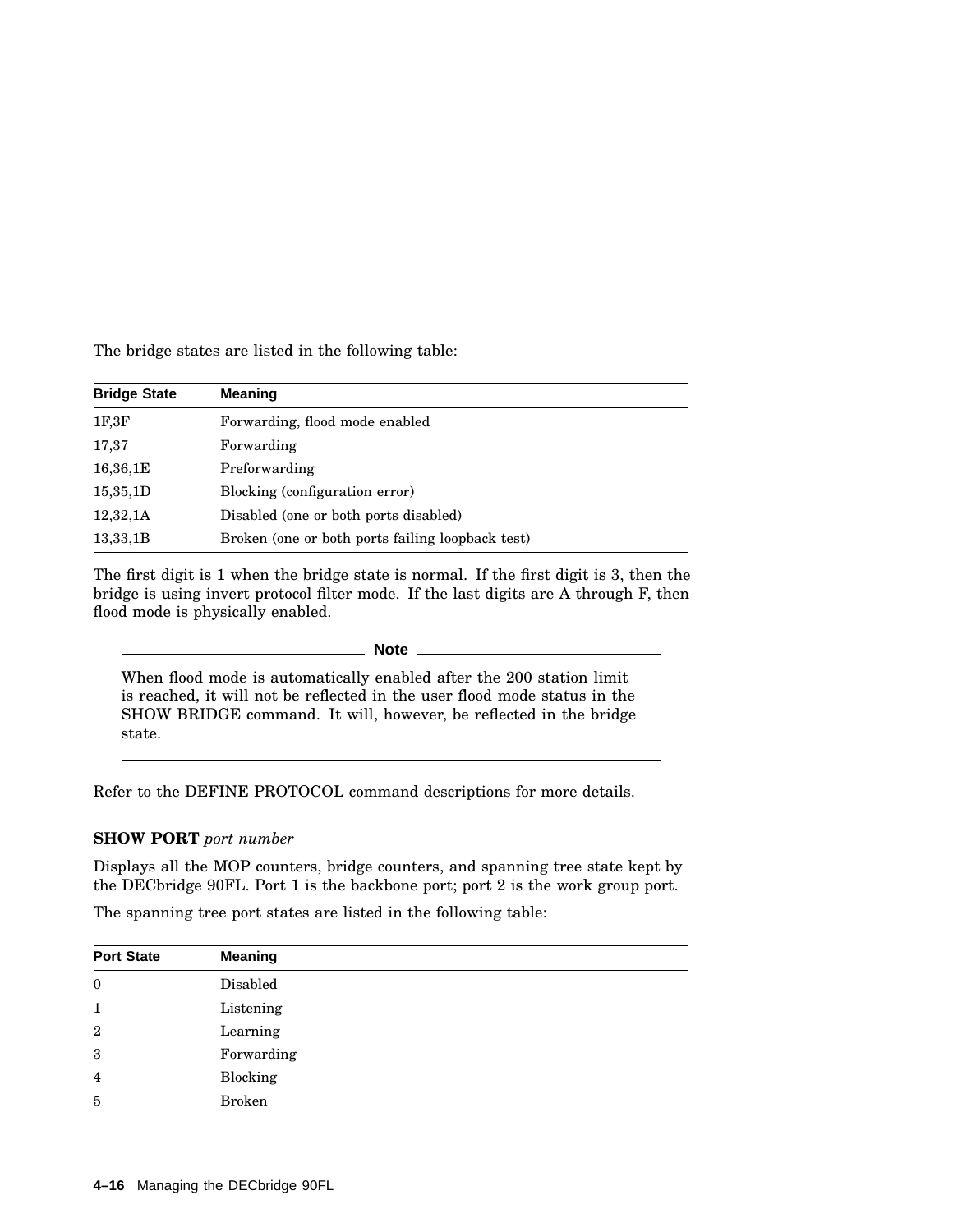The bridge states are listed in the following table:

| <b>Bridge State</b> | <b>Meaning</b>                                   |
|---------------------|--------------------------------------------------|
| 1F, 3F              | Forwarding, flood mode enabled                   |
| 17,37               | Forwarding                                       |
| 16,36,1E            | Preforwarding                                    |
| 15,35,1D            | Blocking (configuration error)                   |
| 12,32,1A            | Disabled (one or both ports disabled)            |
| 13,33,1B            | Broken (one or both ports failing loopback test) |

The first digit is 1 when the bridge state is normal. If the first digit is 3, then the bridge is using invert protocol filter mode. If the last digits are A through F, then flood mode is physically enabled.

**Note**

When flood mode is automatically enabled after the 200 station limit is reached, it will not be reflected in the user flood mode status in the SHOW BRIDGE command. It will, however, be reflected in the bridge state.

Refer to the DEFINE PROTOCOL command descriptions for more details.

#### **SHOW PORT** *port number*

Displays all the MOP counters, bridge counters, and spanning tree state kept by the DECbridge 90FL. Port 1 is the backbone port; port 2 is the work group port.

The spanning tree port states are listed in the following table:

| <b>Port State</b> | <b>Meaning</b> |
|-------------------|----------------|
| $\boldsymbol{0}$  | Disabled       |
| $\mathbf{1}$      | Listening      |
| $\boldsymbol{2}$  | Learning       |
| 3                 | Forwarding     |
| $\overline{4}$    | Blocking       |
| 5                 | <b>Broken</b>  |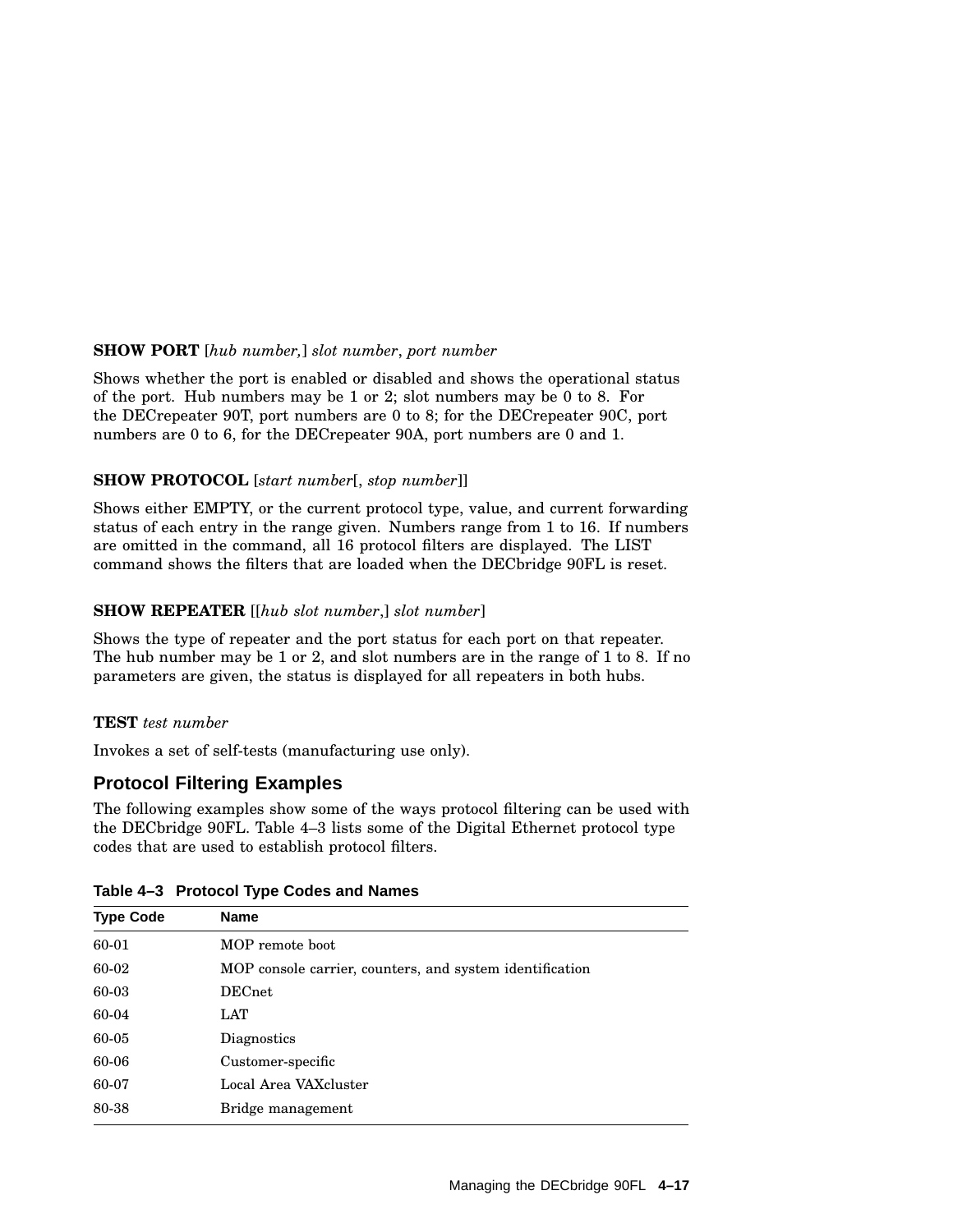#### **SHOW PORT** [*hub number,*] *slot number*, *port number*

Shows whether the port is enabled or disabled and shows the operational status of the port. Hub numbers may be 1 or 2; slot numbers may be 0 to 8. For the DECrepeater 90T, port numbers are 0 to 8; for the DECrepeater 90C, port numbers are 0 to 6, for the DECrepeater 90A, port numbers are 0 and 1.

#### **SHOW PROTOCOL** [*start number*[, *stop number*]]

Shows either EMPTY, or the current protocol type, value, and current forwarding status of each entry in the range given. Numbers range from 1 to 16. If numbers are omitted in the command, all 16 protocol filters are displayed. The LIST command shows the filters that are loaded when the DECbridge 90FL is reset.

#### **SHOW REPEATER** [[*hub slot number*,] *slot number*]

Shows the type of repeater and the port status for each port on that repeater. The hub number may be 1 or 2, and slot numbers are in the range of 1 to 8. If no parameters are given, the status is displayed for all repeaters in both hubs.

#### **TEST** *test number*

Invokes a set of self-tests (manufacturing use only).

#### **Protocol Filtering Examples**

The following examples show some of the ways protocol filtering can be used with the DECbridge 90FL. Table 4–3 lists some of the Digital Ethernet protocol type codes that are used to establish protocol filters.

| <b>Type Code</b> | <b>Name</b>                                              |
|------------------|----------------------------------------------------------|
| 60-01            | MOP remote boot                                          |
| 60-02            | MOP console carrier, counters, and system identification |
| 60-03            | <b>DECnet</b>                                            |
| 60-04            | LAT                                                      |
| 60-05            | Diagnostics                                              |
| 60-06            | Customer-specific                                        |
| 60-07            | Local Area VAXcluster                                    |
| 80-38            | Bridge management                                        |

#### **Table 4–3 Protocol Type Codes and Names**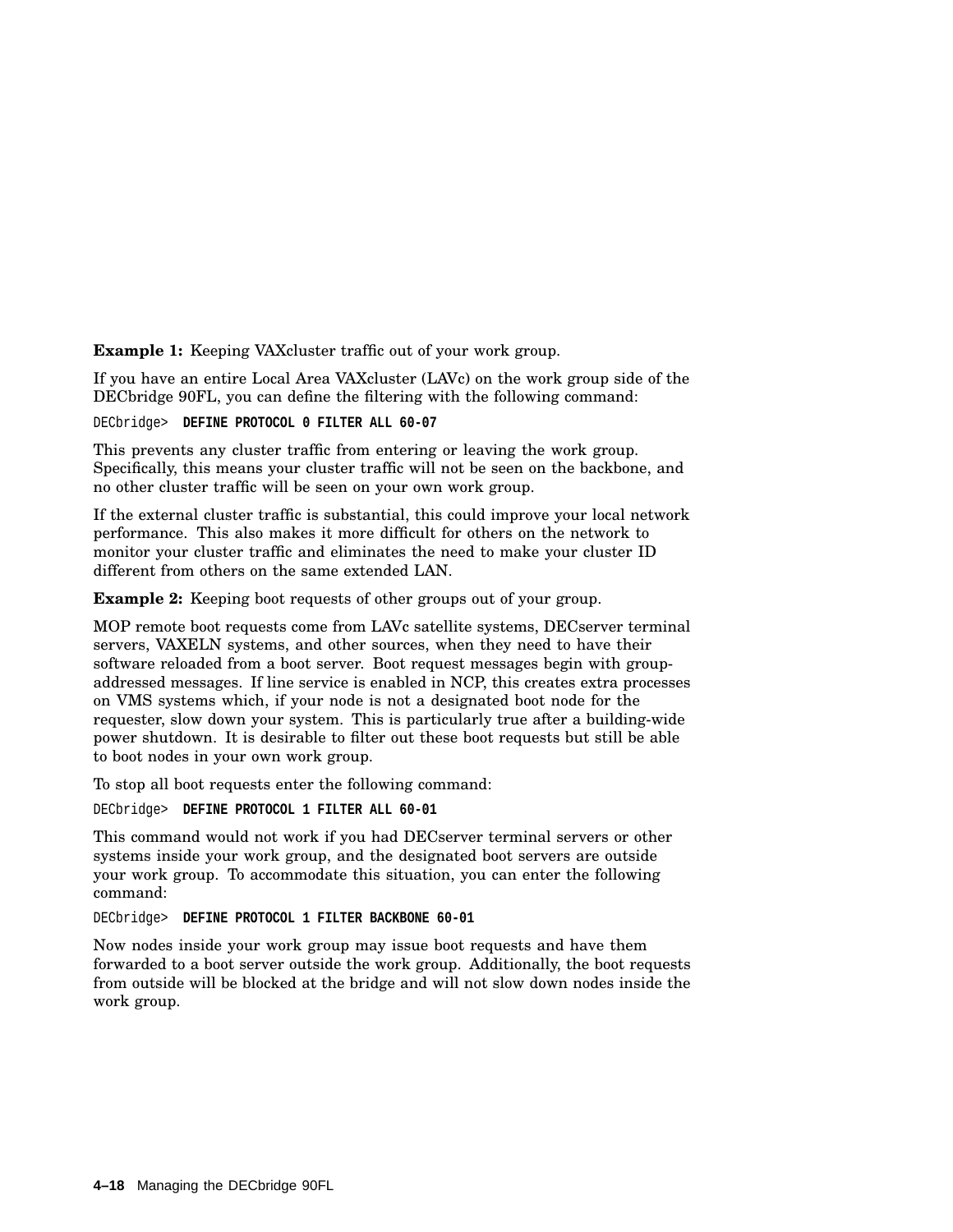**Example 1:** Keeping VAXcluster traffic out of your work group.

If you have an entire Local Area VAXcluster (LAVc) on the work group side of the DECbridge 90FL, you can define the filtering with the following command:

DECbridge> **DEFINE PROTOCOL 0 FILTER ALL 60-07**

This prevents any cluster traffic from entering or leaving the work group. Specifically, this means your cluster traffic will not be seen on the backbone, and no other cluster traffic will be seen on your own work group.

If the external cluster traffic is substantial, this could improve your local network performance. This also makes it more difficult for others on the network to monitor your cluster traffic and eliminates the need to make your cluster ID different from others on the same extended LAN.

**Example 2:** Keeping boot requests of other groups out of your group.

MOP remote boot requests come from LAVc satellite systems, DECserver terminal servers, VAXELN systems, and other sources, when they need to have their software reloaded from a boot server. Boot request messages begin with groupaddressed messages. If line service is enabled in NCP, this creates extra processes on VMS systems which, if your node is not a designated boot node for the requester, slow down your system. This is particularly true after a building-wide power shutdown. It is desirable to filter out these boot requests but still be able to boot nodes in your own work group.

To stop all boot requests enter the following command:

DECbridge> **DEFINE PROTOCOL 1 FILTER ALL 60-01**

This command would not work if you had DECserver terminal servers or other systems inside your work group, and the designated boot servers are outside your work group. To accommodate this situation, you can enter the following command:

DECbridge> **DEFINE PROTOCOL 1 FILTER BACKBONE 60-01**

Now nodes inside your work group may issue boot requests and have them forwarded to a boot server outside the work group. Additionally, the boot requests from outside will be blocked at the bridge and will not slow down nodes inside the work group.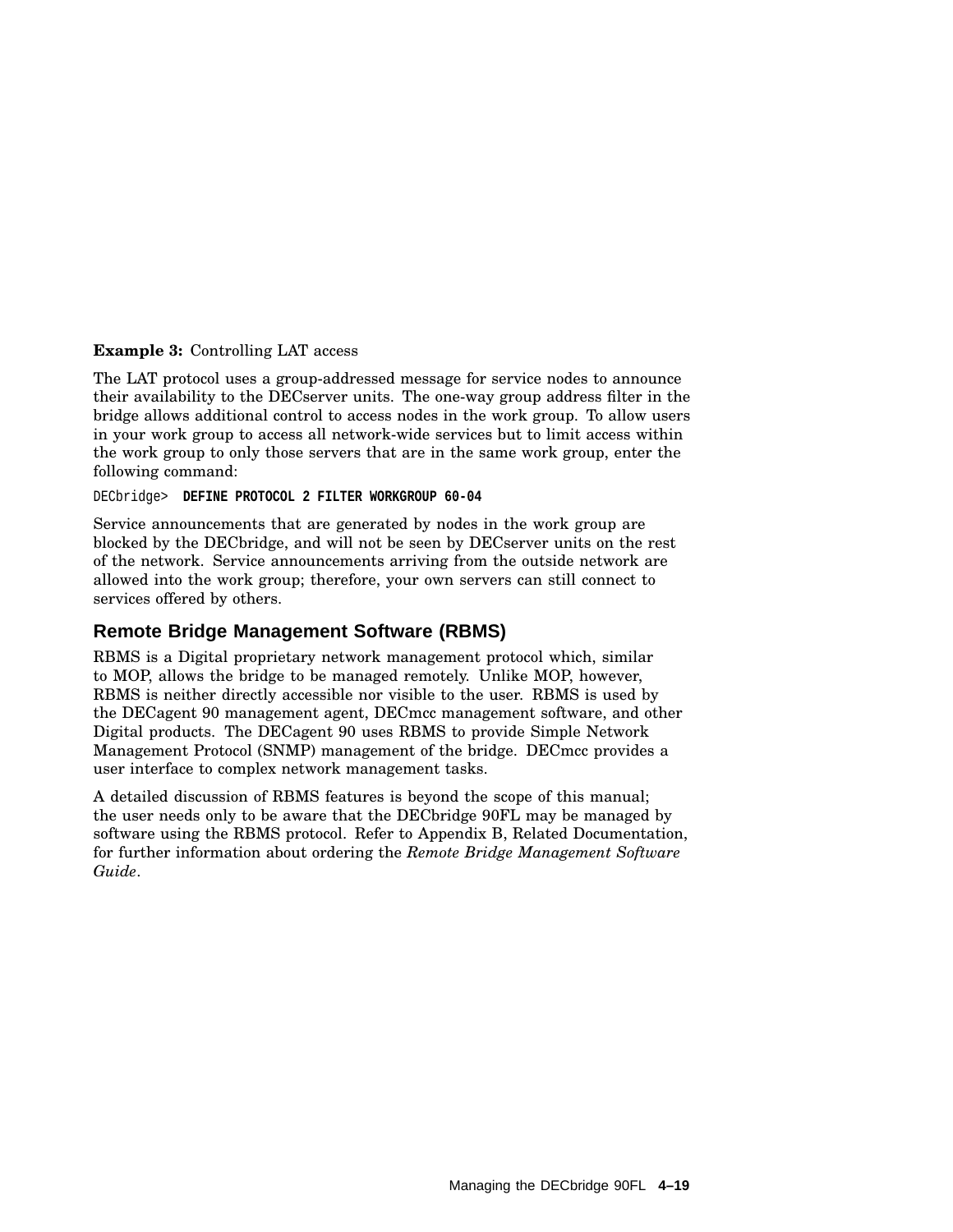#### **Example 3:** Controlling LAT access

The LAT protocol uses a group-addressed message for service nodes to announce their availability to the DECserver units. The one-way group address filter in the bridge allows additional control to access nodes in the work group. To allow users in your work group to access all network-wide services but to limit access within the work group to only those servers that are in the same work group, enter the following command:

DECbridge> **DEFINE PROTOCOL 2 FILTER WORKGROUP 60-04**

Service announcements that are generated by nodes in the work group are blocked by the DECbridge, and will not be seen by DECserver units on the rest of the network. Service announcements arriving from the outside network are allowed into the work group; therefore, your own servers can still connect to services offered by others.

#### **Remote Bridge Management Software (RBMS)**

RBMS is a Digital proprietary network management protocol which, similar to MOP, allows the bridge to be managed remotely. Unlike MOP, however, RBMS is neither directly accessible nor visible to the user. RBMS is used by the DECagent 90 management agent, DECmcc management software, and other Digital products. The DECagent 90 uses RBMS to provide Simple Network Management Protocol (SNMP) management of the bridge. DECmcc provides a user interface to complex network management tasks.

A detailed discussion of RBMS features is beyond the scope of this manual; the user needs only to be aware that the DECbridge 90FL may be managed by software using the RBMS protocol. Refer to Appendix B, Related Documentation, for further information about ordering the *Remote Bridge Management Software Guide*.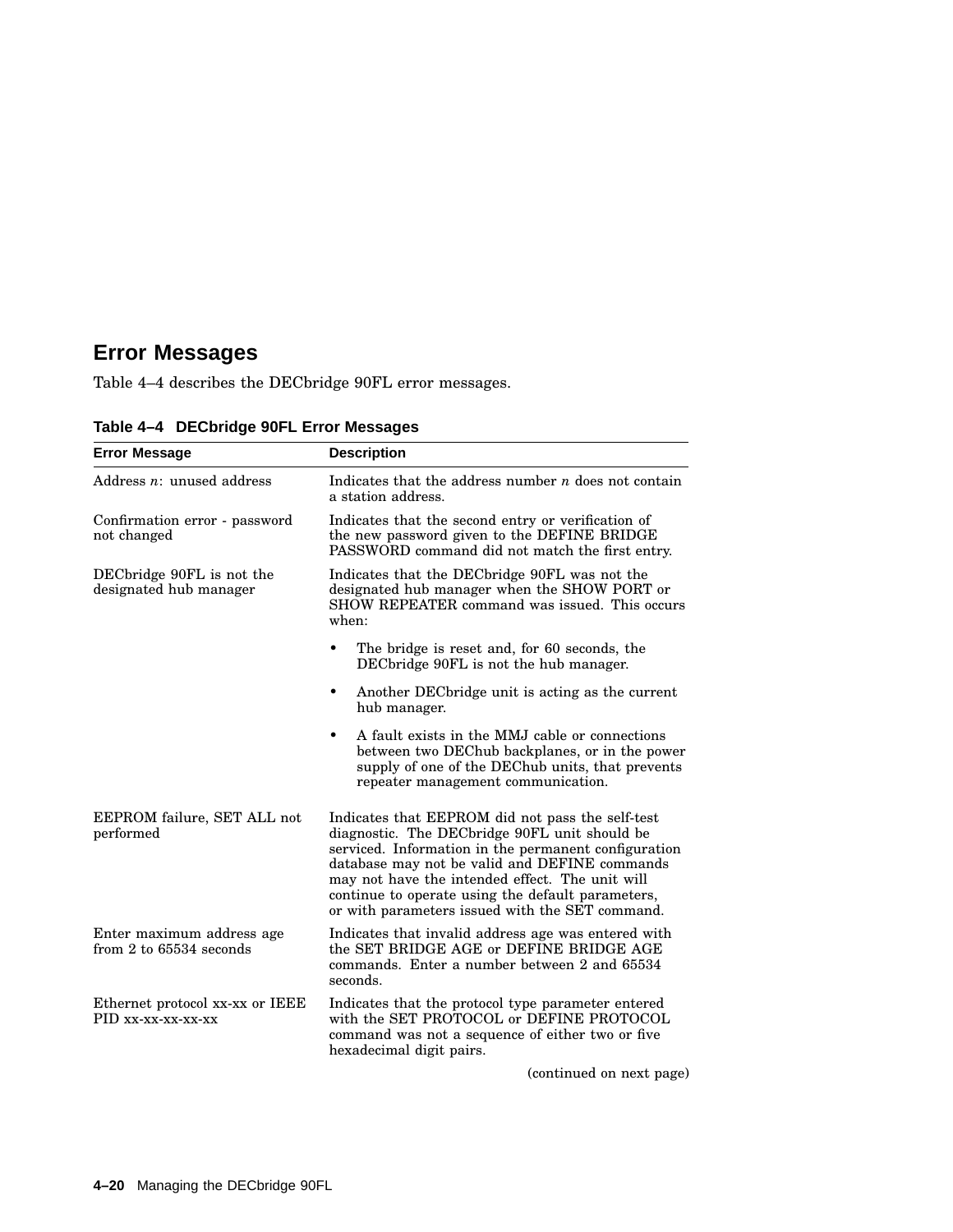# **Error Messages**

Table 4–4 describes the DECbridge 90FL error messages.

| <b>Error Message</b>                                  | <b>Description</b>                                                                                                                                                                                                                                                                                                                                                    |  |
|-------------------------------------------------------|-----------------------------------------------------------------------------------------------------------------------------------------------------------------------------------------------------------------------------------------------------------------------------------------------------------------------------------------------------------------------|--|
| Address $n:$ unused address                           | Indicates that the address number $n$ does not contain<br>a station address.                                                                                                                                                                                                                                                                                          |  |
| Confirmation error - password<br>not changed          | Indicates that the second entry or verification of<br>the new password given to the DEFINE BRIDGE<br>PASSWORD command did not match the first entry.                                                                                                                                                                                                                  |  |
| DECbridge 90FL is not the<br>designated hub manager   | Indicates that the DECbridge 90FL was not the<br>designated hub manager when the SHOW PORT or<br>SHOW REPEATER command was issued. This occurs<br>when:                                                                                                                                                                                                               |  |
|                                                       | The bridge is reset and, for 60 seconds, the<br>٠<br>DECbridge 90FL is not the hub manager.                                                                                                                                                                                                                                                                           |  |
|                                                       | Another DEC bridge unit is acting as the current<br>٠<br>hub manager.                                                                                                                                                                                                                                                                                                 |  |
|                                                       | A fault exists in the MMJ cable or connections<br>٠<br>between two DEChub backplanes, or in the power<br>supply of one of the DEChub units, that prevents<br>repeater management communication.                                                                                                                                                                       |  |
| EEPROM failure, SET ALL not<br>performed              | Indicates that EEPROM did not pass the self-test<br>diagnostic. The DECbridge 90FL unit should be<br>serviced. Information in the permanent configuration<br>database may not be valid and DEFINE commands<br>may not have the intended effect. The unit will<br>continue to operate using the default parameters,<br>or with parameters issued with the SET command. |  |
| Enter maximum address age<br>from 2 to 65534 seconds  | Indicates that invalid address age was entered with<br>the SET BRIDGE AGE or DEFINE BRIDGE AGE<br>commands. Enter a number between 2 and 65534<br>seconds.                                                                                                                                                                                                            |  |
| Ethernet protocol xx-xx or IEEE<br>PID xx-xx-xx-xx-xx | Indicates that the protocol type parameter entered<br>with the SET PROTOCOL or DEFINE PROTOCOL<br>command was not a sequence of either two or five<br>hexadecimal digit pairs.                                                                                                                                                                                        |  |

**Table 4–4 DECbridge 90FL Error Messages**

(continued on next page)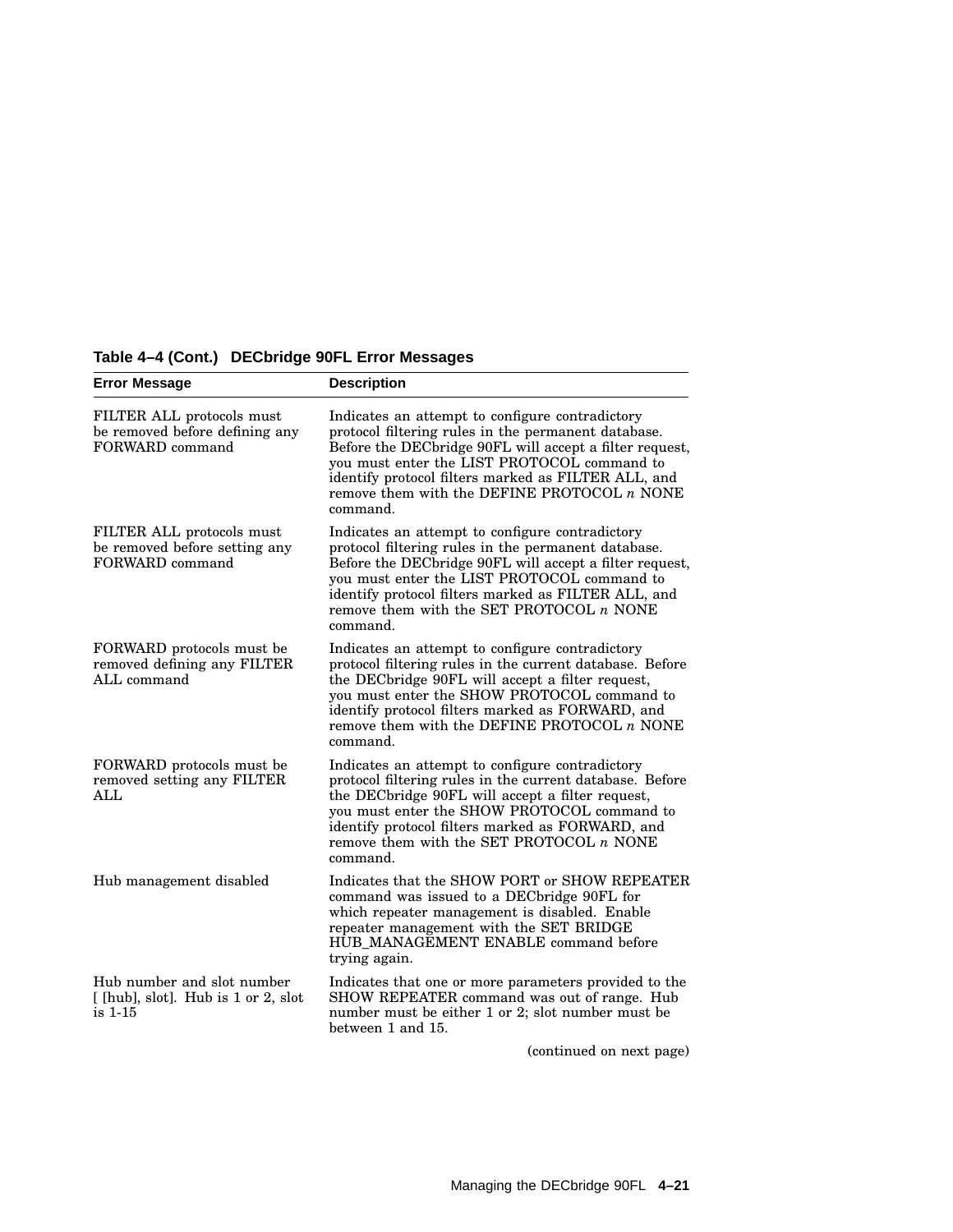| <b>Error Message</b>                                                           | <b>Description</b>                                                                                                                                                                                                                                                                                                                   |
|--------------------------------------------------------------------------------|--------------------------------------------------------------------------------------------------------------------------------------------------------------------------------------------------------------------------------------------------------------------------------------------------------------------------------------|
| FILTER ALL protocols must<br>be removed before defining any<br>FORWARD command | Indicates an attempt to configure contradictory<br>protocol filtering rules in the permanent database.<br>Before the DECbridge 90FL will accept a filter request,<br>you must enter the LIST PROTOCOL command to<br>identify protocol filters marked as FILTER ALL, and<br>remove them with the DEFINE PROTOCOL $n$ NONE<br>command. |
| FILTER ALL protocols must<br>be removed before setting any<br>FORWARD command  | Indicates an attempt to configure contradictory<br>protocol filtering rules in the permanent database.<br>Before the DECbridge 90FL will accept a filter request,<br>you must enter the LIST PROTOCOL command to<br>identify protocol filters marked as FILTER ALL, and<br>remove them with the SET PROTOCOL $n$ NONE<br>command.    |
| FORWARD protocols must be<br>removed defining any FILTER<br>ALL command        | Indicates an attempt to configure contradictory<br>protocol filtering rules in the current database. Before<br>the DECbridge 90FL will accept a filter request,<br>you must enter the SHOW PROTOCOL command to<br>identify protocol filters marked as FORWARD, and<br>remove them with the DEFINE PROTOCOL $n$ NONE<br>command.      |
| FORWARD protocols must be<br>removed setting any FILTER<br><b>ALL</b>          | Indicates an attempt to configure contradictory<br>protocol filtering rules in the current database. Before<br>the DECbridge 90FL will accept a filter request,<br>you must enter the SHOW PROTOCOL command to<br>identify protocol filters marked as FORWARD, and<br>remove them with the SET PROTOCOL $n$ NONE<br>command.         |
| Hub management disabled                                                        | Indicates that the SHOW PORT or SHOW REPEATER<br>command was issued to a DECbridge 90FL for<br>which repeater management is disabled. Enable<br>repeater management with the SET BRIDGE<br>HUB_MANAGEMENT_ENABLE_command_before<br>trying again.                                                                                     |
| Hub number and slot number<br>[[hub], slot]. Hub is 1 or 2, slot<br>is 1-15    | Indicates that one or more parameters provided to the<br>SHOW REPEATER command was out of range. Hub<br>number must be either 1 or 2; slot number must be<br>between 1 and 15.                                                                                                                                                       |
|                                                                                | (continued on next page)                                                                                                                                                                                                                                                                                                             |

**Table 4–4 (Cont.) DECbridge 90FL Error Messages**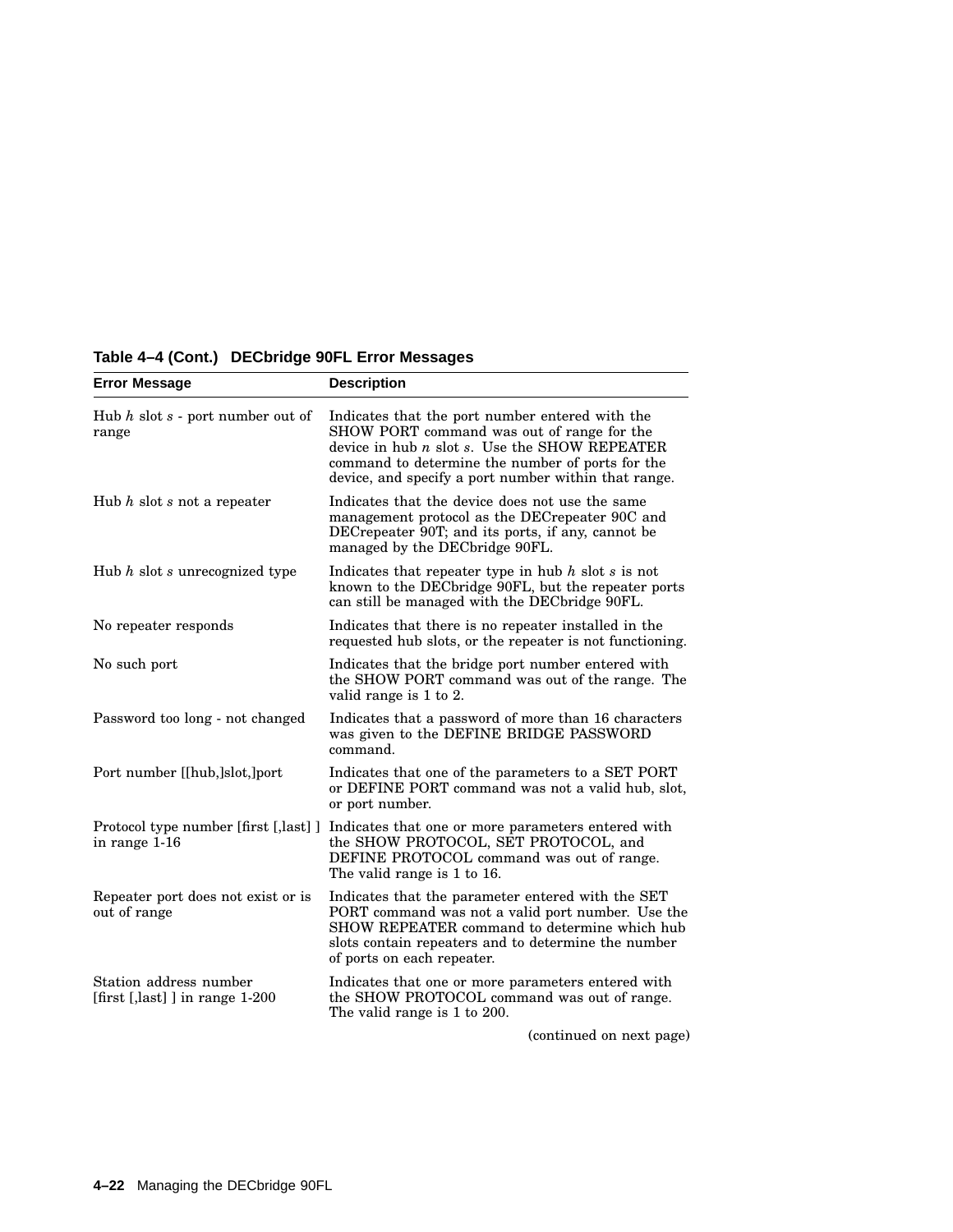| <b>Error Message</b>                                     | <b>Description</b>                                                                                                                                                                                                                                              |
|----------------------------------------------------------|-----------------------------------------------------------------------------------------------------------------------------------------------------------------------------------------------------------------------------------------------------------------|
| Hub $h$ slot $s$ - port number out of<br>range           | Indicates that the port number entered with the<br>SHOW PORT command was out of range for the<br>device in hub $n$ slot $s$ . Use the SHOW REPEATER<br>command to determine the number of ports for the<br>device, and specify a port number within that range. |
| Hub $h$ slot $s$ not a repeater                          | Indicates that the device does not use the same<br>management protocol as the DECrepeater 90C and<br>DECrepeater 90T; and its ports, if any, cannot be<br>managed by the DECbridge 90FL.                                                                        |
| Hub $h$ slot $s$ unrecognized type                       | Indicates that repeater type in hub $h$ slot $s$ is not<br>known to the DECbridge 90FL, but the repeater ports<br>can still be managed with the DECbridge 90FL.                                                                                                 |
| No repeater responds                                     | Indicates that there is no repeater installed in the<br>requested hub slots, or the repeater is not functioning.                                                                                                                                                |
| No such port                                             | Indicates that the bridge port number entered with<br>the SHOW PORT command was out of the range. The<br>valid range is 1 to 2.                                                                                                                                 |
| Password too long - not changed                          | Indicates that a password of more than 16 characters<br>was given to the DEFINE BRIDGE PASSWORD<br>command.                                                                                                                                                     |
| Port number [[hub,]slot,]port                            | Indicates that one of the parameters to a SET PORT<br>or DEFINE PORT command was not a valid hub, slot,<br>or port number.                                                                                                                                      |
| Protocol type number [first [,last] ]<br>in range 1-16   | Indicates that one or more parameters entered with<br>the SHOW PROTOCOL, SET PROTOCOL, and<br>DEFINE PROTOCOL command was out of range.<br>The valid range is 1 to 16.                                                                                          |
| Repeater port does not exist or is<br>out of range       | Indicates that the parameter entered with the SET<br>PORT command was not a valid port number. Use the<br>SHOW REPEATER command to determine which hub<br>slots contain repeaters and to determine the number<br>of ports on each repeater.                     |
| Station address number<br>[first [,last]] in range 1-200 | Indicates that one or more parameters entered with<br>the SHOW PROTOCOL command was out of range.<br>The valid range is 1 to 200.                                                                                                                               |
|                                                          | (continued on nort name)                                                                                                                                                                                                                                        |

## **Table 4–4 (Cont.) DECbridge 90FL Error Messages**

(continued on next page)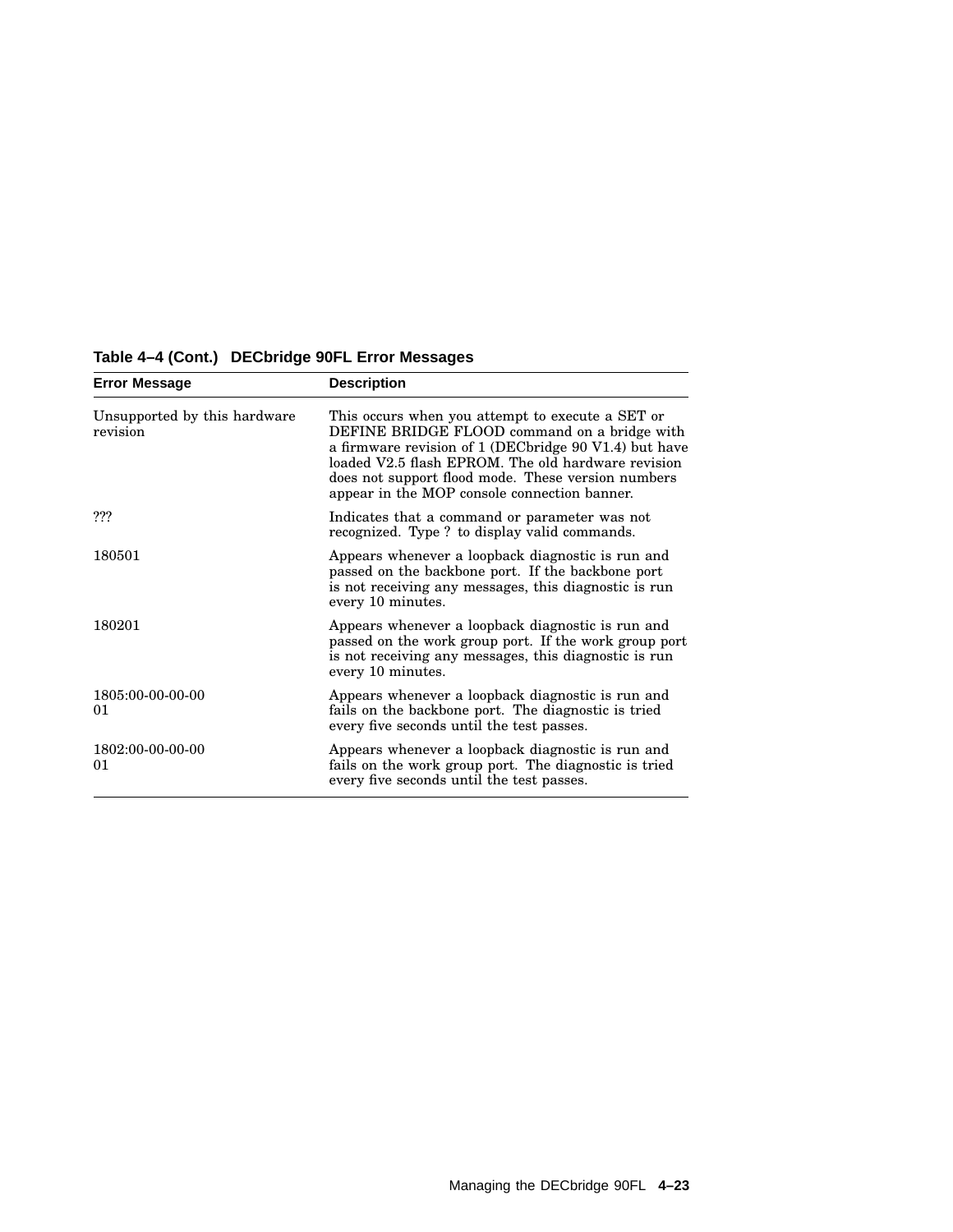| <b>Error Message</b>                     | <b>Description</b>                                                                                                                                                                                                                                                                                                    |
|------------------------------------------|-----------------------------------------------------------------------------------------------------------------------------------------------------------------------------------------------------------------------------------------------------------------------------------------------------------------------|
| Unsupported by this hardware<br>revision | This occurs when you attempt to execute a SET or<br>DEFINE BRIDGE FLOOD command on a bridge with<br>a firmware revision of 1 (DECbridge 90 V1.4) but have<br>loaded V2.5 flash EPROM. The old hardware revision<br>does not support flood mode. These version numbers<br>appear in the MOP console connection banner. |
| ???                                      | Indicates that a command or parameter was not<br>recognized. Type ? to display valid commands.                                                                                                                                                                                                                        |
| 180501                                   | Appears whenever a loopback diagnostic is run and<br>passed on the backbone port. If the backbone port<br>is not receiving any messages, this diagnostic is run<br>every 10 minutes.                                                                                                                                  |
| 180201                                   | Appears whenever a loopback diagnostic is run and<br>passed on the work group port. If the work group port<br>is not receiving any messages, this diagnostic is run<br>every 10 minutes.                                                                                                                              |
| 1805:00-00-00-00<br>01                   | Appears whenever a loopback diagnostic is run and<br>fails on the backbone port. The diagnostic is tried<br>every five seconds until the test passes.                                                                                                                                                                 |
| 1802:00-00-00-00<br>01                   | Appears whenever a loopback diagnostic is run and<br>fails on the work group port. The diagnostic is tried<br>every five seconds until the test passes.                                                                                                                                                               |

## **Table 4–4 (Cont.) DECbridge 90FL Error Messages**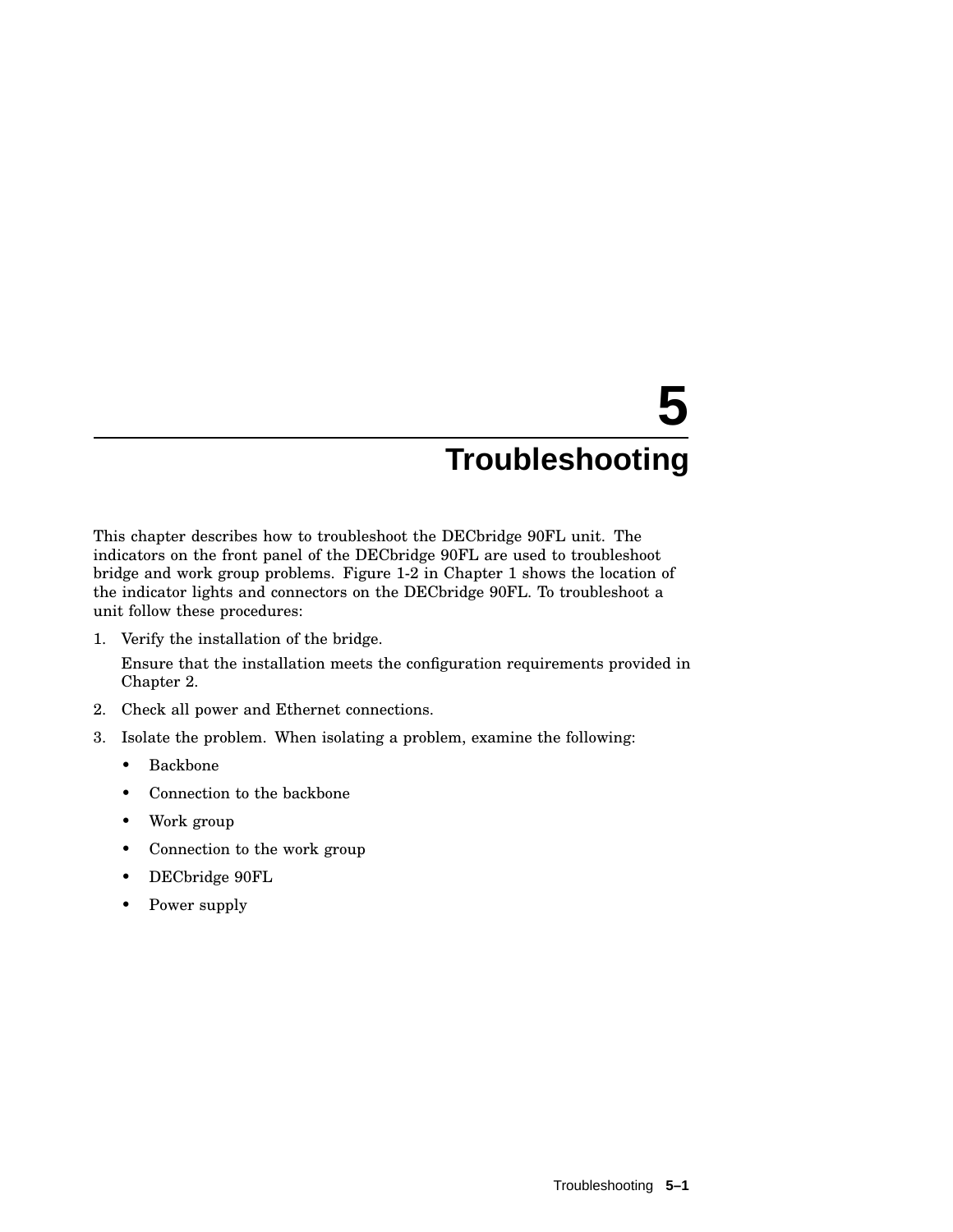# **5 Troubleshooting**

This chapter describes how to troubleshoot the DECbridge 90FL unit. The indicators on the front panel of the DECbridge 90FL are used to troubleshoot bridge and work group problems. Figure 1-2 in Chapter 1 shows the location of the indicator lights and connectors on the DECbridge 90FL. To troubleshoot a unit follow these procedures:

1. Verify the installation of the bridge.

Ensure that the installation meets the configuration requirements provided in Chapter 2.

- 2. Check all power and Ethernet connections.
- 3. Isolate the problem. When isolating a problem, examine the following:
	- Backbone
	- Connection to the backbone
	- Work group
	- Connection to the work group
	- DECbridge 90FL
	- Power supply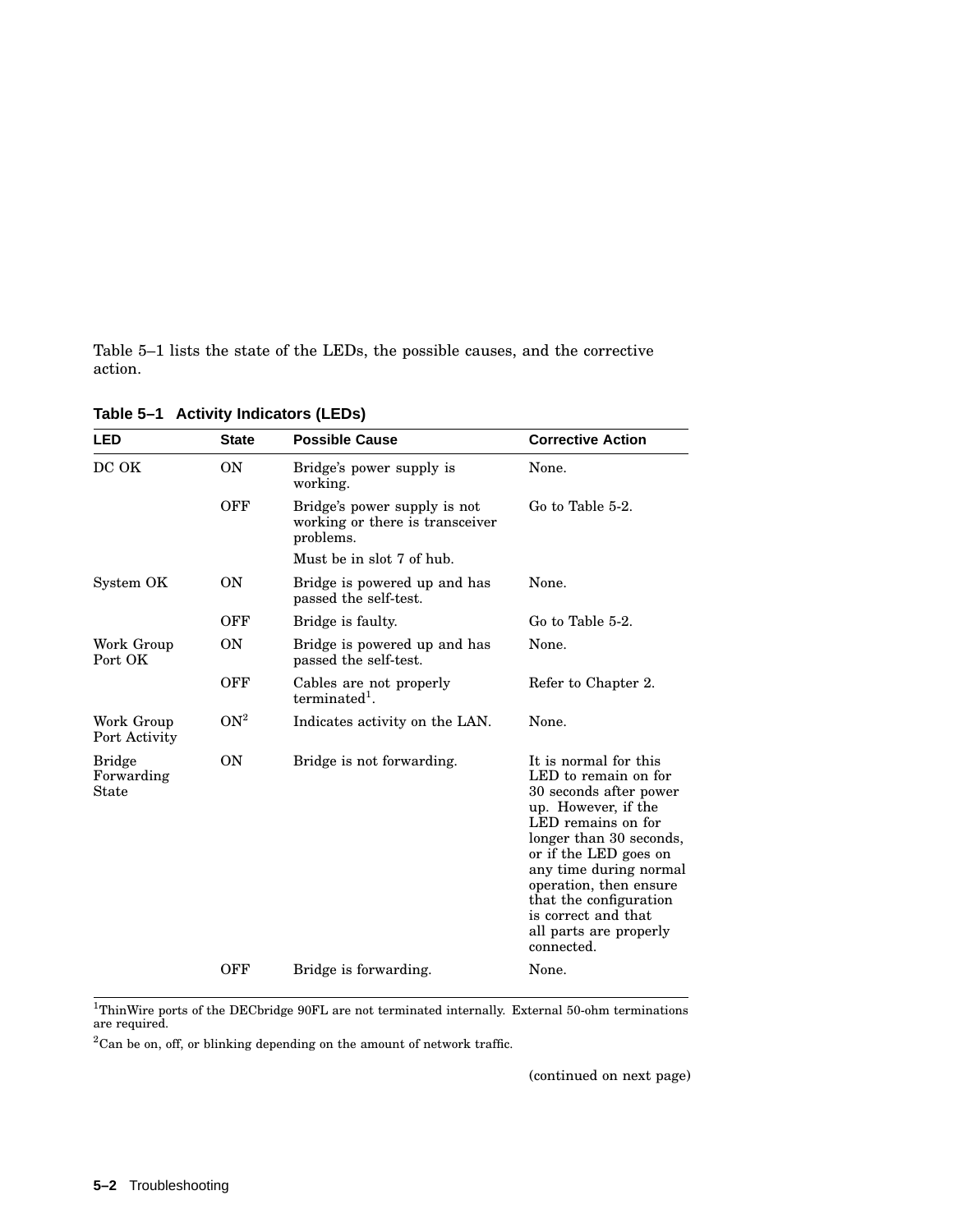Table 5–1 lists the state of the LEDs, the possible causes, and the corrective action.

| LED                                  | <b>State</b>    | <b>Possible Cause</b>                                                        | <b>Corrective Action</b>                                                                                                                                                                                                                                                                                              |
|--------------------------------------|-----------------|------------------------------------------------------------------------------|-----------------------------------------------------------------------------------------------------------------------------------------------------------------------------------------------------------------------------------------------------------------------------------------------------------------------|
| DC OK                                | <b>ON</b>       | Bridge's power supply is<br>working.                                         | None.                                                                                                                                                                                                                                                                                                                 |
|                                      | OFF             | Bridge's power supply is not<br>working or there is transceiver<br>problems. | Go to Table 5-2.                                                                                                                                                                                                                                                                                                      |
|                                      |                 | Must be in slot 7 of hub.                                                    |                                                                                                                                                                                                                                                                                                                       |
| System OK                            | ON              | Bridge is powered up and has<br>passed the self-test.                        | None.                                                                                                                                                                                                                                                                                                                 |
|                                      | OFF             | Bridge is faulty.                                                            | Go to Table 5-2.                                                                                                                                                                                                                                                                                                      |
| Work Group<br>Port OK                | <b>ON</b>       | Bridge is powered up and has<br>passed the self-test.                        | None.                                                                                                                                                                                                                                                                                                                 |
|                                      | OFF             | Cables are not properly<br>terminated <sup>1</sup> .                         | Refer to Chapter 2.                                                                                                                                                                                                                                                                                                   |
| Work Group<br>Port Activity          | ON <sup>2</sup> | Indicates activity on the LAN.                                               | None.                                                                                                                                                                                                                                                                                                                 |
| <b>Bridge</b><br>Forwarding<br>State | ON              | Bridge is not forwarding.                                                    | It is normal for this<br>LED to remain on for<br>30 seconds after power<br>up. However, if the<br>LED remains on for<br>longer than 30 seconds,<br>or if the LED goes on<br>any time during normal<br>operation, then ensure<br>that the configuration<br>is correct and that<br>all parts are properly<br>connected. |
|                                      | OFF             | Bridge is forwarding.                                                        | None.                                                                                                                                                                                                                                                                                                                 |

**Table 5–1 Activity Indicators (LEDs)**

 $^{1}$ ThinWire ports of the DECbridge 90FL are not terminated internally. External 50-ohm terminations<br>are required.

 $2^2$ Can be on, off, or blinking depending on the amount of network traffic.

(continued on next page)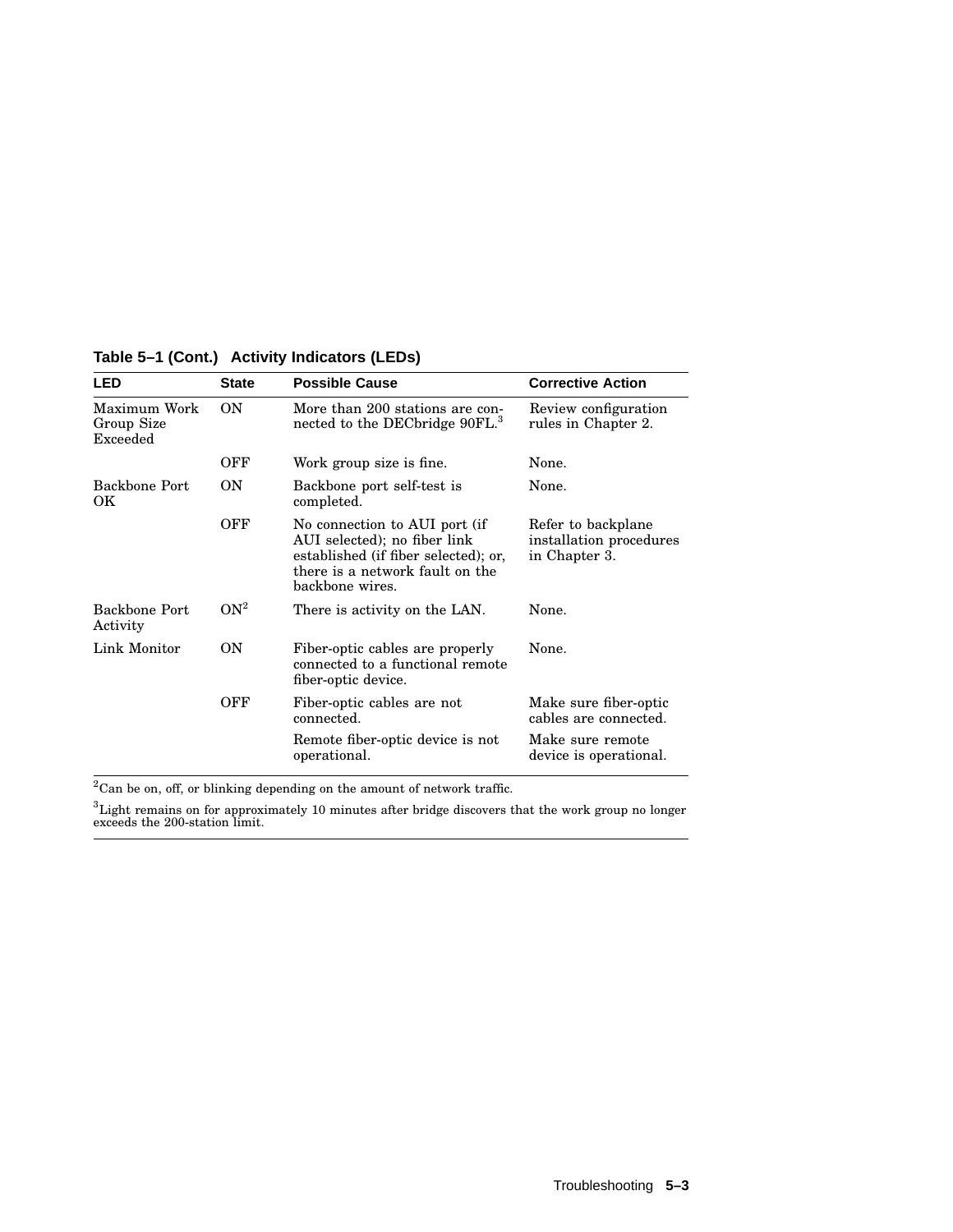| <b>LED</b>                             | <b>State</b>    | <b>Possible Cause</b>                                                                                                                                       | <b>Corrective Action</b>                                                                     |
|----------------------------------------|-----------------|-------------------------------------------------------------------------------------------------------------------------------------------------------------|----------------------------------------------------------------------------------------------|
| Maximum Work<br>Group Size<br>Exceeded | ON              | More than 200 stations are con-<br>nected to the DECbridge 90FL. <sup>3</sup>                                                                               | Review configuration<br>rules in Chapter 2.                                                  |
|                                        | OFF             | Work group size is fine.                                                                                                                                    | None.                                                                                        |
| <b>Backbone Port</b><br>OK.            | <b>ON</b>       | Backbone port self-test is<br>completed.                                                                                                                    | None.                                                                                        |
|                                        | OFF             | No connection to AUI port (if<br>AUI selected); no fiber link<br>established (if fiber selected); or,<br>there is a network fault on the<br>backbone wires. | Refer to backplane<br>installation procedures<br>in Chapter 3.                               |
| Backbone Port<br>Activity              | ON <sup>2</sup> | There is activity on the LAN.                                                                                                                               | None.                                                                                        |
| Link Monitor                           | ON              | Fiber-optic cables are properly<br>connected to a functional remote<br>fiber-optic device.                                                                  | None.                                                                                        |
|                                        | OFF             | Fiber-optic cables are not<br>connected.<br>Remote fiber-optic device is not<br>operational.                                                                | Make sure fiber-optic<br>cables are connected.<br>Make sure remote<br>device is operational. |

**Table 5–1 (Cont.) Activity Indicators (LEDs)**

 $^{2}\mathrm{Can}$  be on, off, or blinking depending on the amount of network traffic.

 ${}^{3}$ Light remains on for approximately 10 minutes after bridge discovers that the work group no longer exceeds the 200-station limit.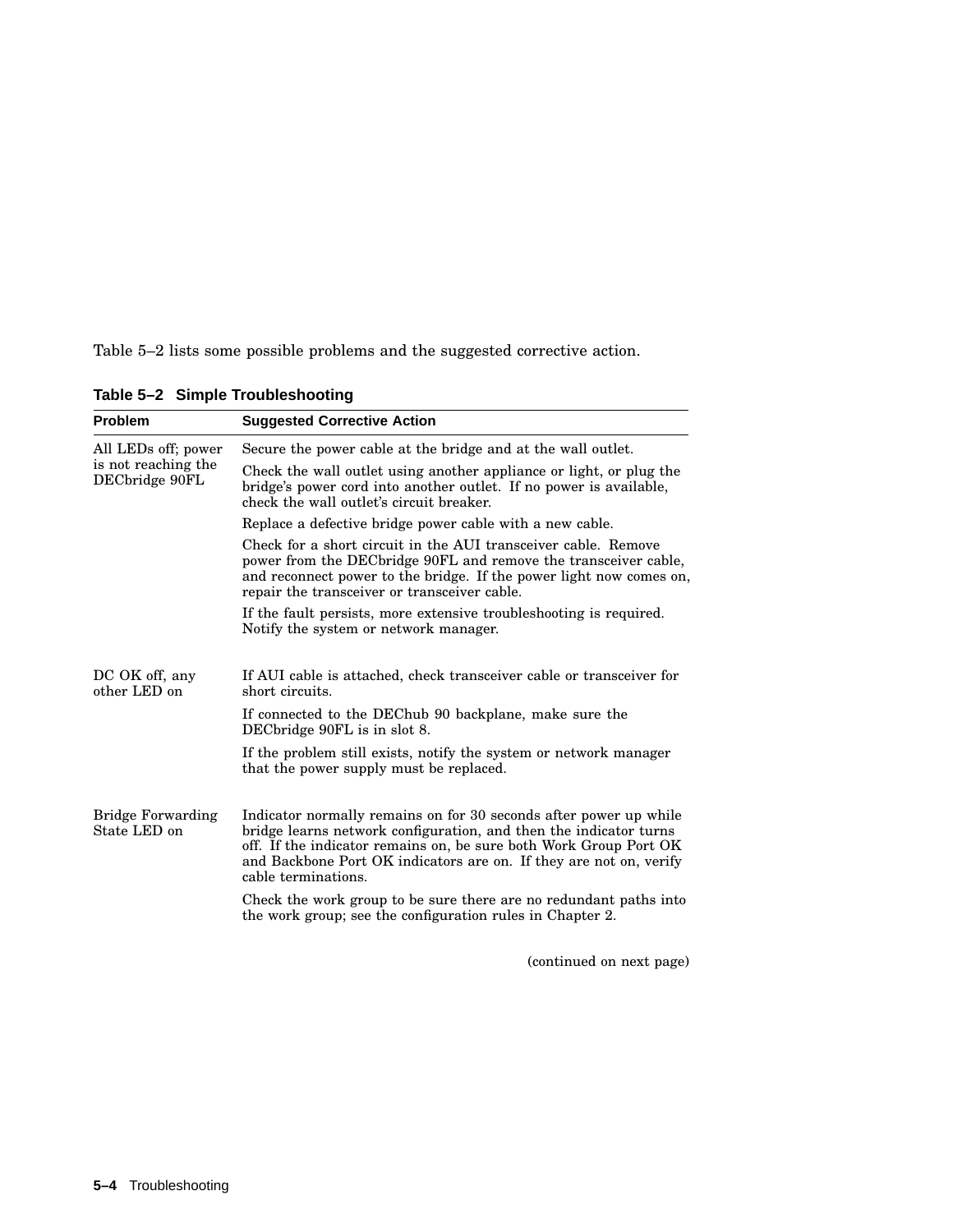Table 5–2 lists some possible problems and the suggested corrective action.

| <b>Problem</b>                           | <b>Suggested Corrective Action</b>                                                                                                                                                                                                                                                                       |
|------------------------------------------|----------------------------------------------------------------------------------------------------------------------------------------------------------------------------------------------------------------------------------------------------------------------------------------------------------|
| All LEDs off; power                      | Secure the power cable at the bridge and at the wall outlet.                                                                                                                                                                                                                                             |
| is not reaching the<br>DECbridge 90FL    | Check the wall outlet using another appliance or light, or plug the<br>bridge's power cord into another outlet. If no power is available,<br>check the wall outlet's circuit breaker.                                                                                                                    |
|                                          | Replace a defective bridge power cable with a new cable.                                                                                                                                                                                                                                                 |
|                                          | Check for a short circuit in the AUI transceiver cable. Remove<br>power from the DEC bridge 90FL and remove the transceiver cable.<br>and reconnect power to the bridge. If the power light now comes on,<br>repair the transceiver or transceiver cable.                                                |
|                                          | If the fault persists, more extensive troubleshooting is required.<br>Notify the system or network manager.                                                                                                                                                                                              |
| DC OK off, any<br>other LED on           | If AUI cable is attached, check transceiver cable or transceiver for<br>short circuits.                                                                                                                                                                                                                  |
|                                          | If connected to the DEChub 90 backplane, make sure the<br>DECbridge 90FL is in slot 8.                                                                                                                                                                                                                   |
|                                          | If the problem still exists, notify the system or network manager<br>that the power supply must be replaced.                                                                                                                                                                                             |
| <b>Bridge Forwarding</b><br>State LED on | Indicator normally remains on for 30 seconds after power up while<br>bridge learns network configuration, and then the indicator turns<br>off. If the indicator remains on, be sure both Work Group Port OK<br>and Backbone Port OK indicators are on. If they are not on, verify<br>cable terminations. |
|                                          | Check the work group to be sure there are no redundant paths into<br>the work group; see the configuration rules in Chapter 2.                                                                                                                                                                           |

**Table 5–2 Simple Troubleshooting**

(continued on next page)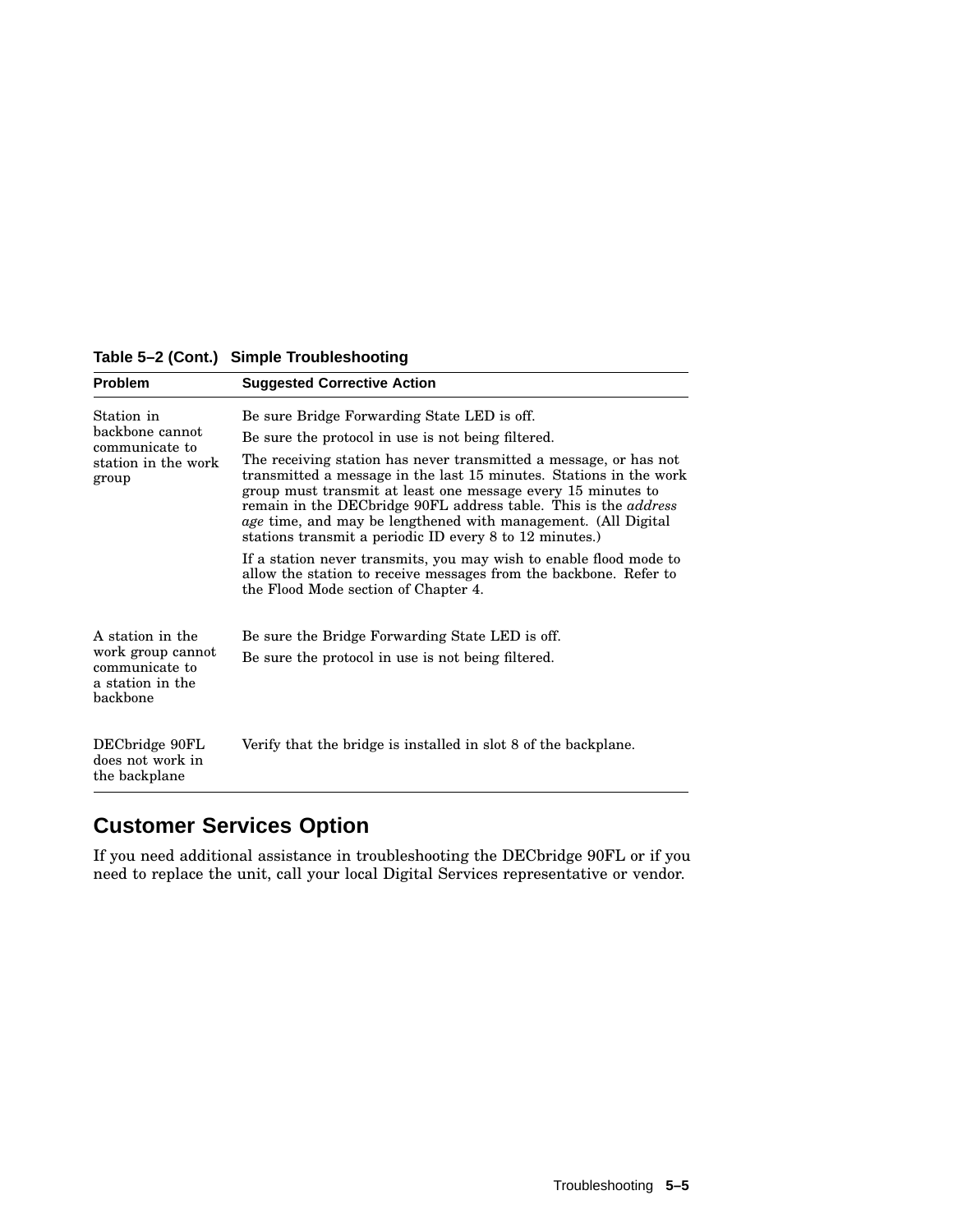| <b>Problem</b>                                                      | <b>Suggested Corrective Action</b>                                                                                                                                                                                                                                                                                                                                                                            |
|---------------------------------------------------------------------|---------------------------------------------------------------------------------------------------------------------------------------------------------------------------------------------------------------------------------------------------------------------------------------------------------------------------------------------------------------------------------------------------------------|
| Station in                                                          | Be sure Bridge Forwarding State LED is off.                                                                                                                                                                                                                                                                                                                                                                   |
| backbone cannot<br>communicate to<br>station in the work<br>group   | Be sure the protocol in use is not being filtered.                                                                                                                                                                                                                                                                                                                                                            |
|                                                                     | The receiving station has never transmitted a message, or has not<br>transmitted a message in the last 15 minutes. Stations in the work<br>group must transmit at least one message every 15 minutes to<br>remain in the DECbridge 90FL address table. This is the address<br><i>age</i> time, and may be lengthened with management. (All Digital<br>stations transmit a periodic ID every 8 to 12 minutes.) |
|                                                                     | If a station never transmits, you may wish to enable flood mode to<br>allow the station to receive messages from the backbone. Refer to<br>the Flood Mode section of Chapter 4.                                                                                                                                                                                                                               |
| A station in the                                                    | Be sure the Bridge Forwarding State LED is off.                                                                                                                                                                                                                                                                                                                                                               |
| work group cannot<br>communicate to<br>a station in the<br>backbone | Be sure the protocol in use is not being filtered.                                                                                                                                                                                                                                                                                                                                                            |
| DECbridge 90FL<br>does not work in<br>the backplane                 | Verify that the bridge is installed in slot 8 of the backplane.                                                                                                                                                                                                                                                                                                                                               |

#### **Table 5–2 (Cont.) Simple Troubleshooting**

# **Customer Services Option**

If you need additional assistance in troubleshooting the DECbridge 90FL or if you need to replace the unit, call your local Digital Services representative or vendor.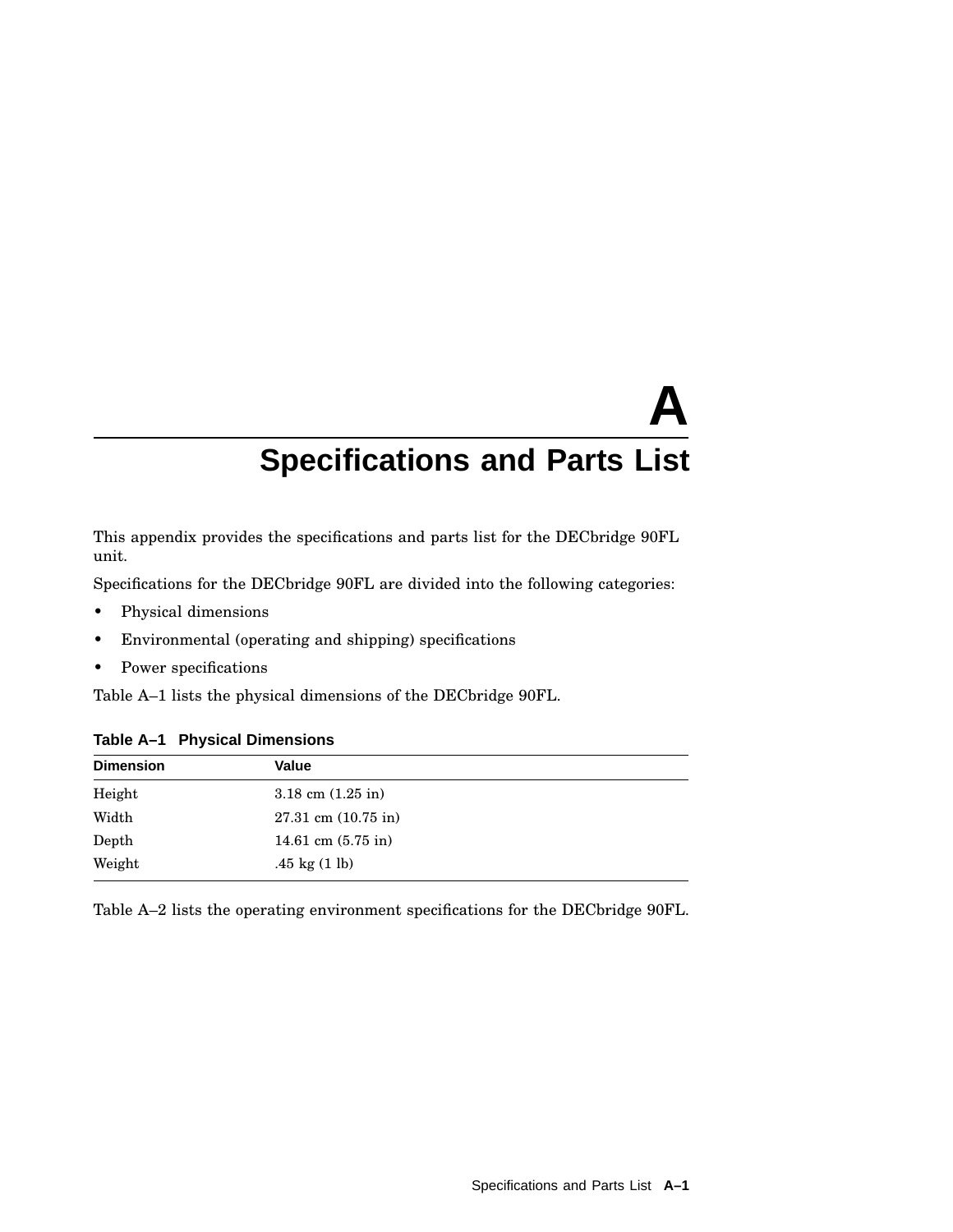# **A Specifications and Parts List**

This appendix provides the specifications and parts list for the DECbridge 90FL unit.

Specifications for the DECbridge 90FL are divided into the following categories:

- Physical dimensions
- Environmental (operating and shipping) specifications
- Power specifications

Table A–1 lists the physical dimensions of the DECbridge 90FL.

| <b>Dimension</b> | Value                                |
|------------------|--------------------------------------|
| Height           | $3.18 \text{ cm } (1.25 \text{ in})$ |
| Width            | $27.31$ cm $(10.75$ in)              |
| Depth            | 14.61 cm $(5.75 \text{ in})$         |
| Weight           | .45 kg $(1 \text{ lb})$              |

**Table A–1 Physical Dimensions**

Table A–2 lists the operating environment specifications for the DECbridge 90FL.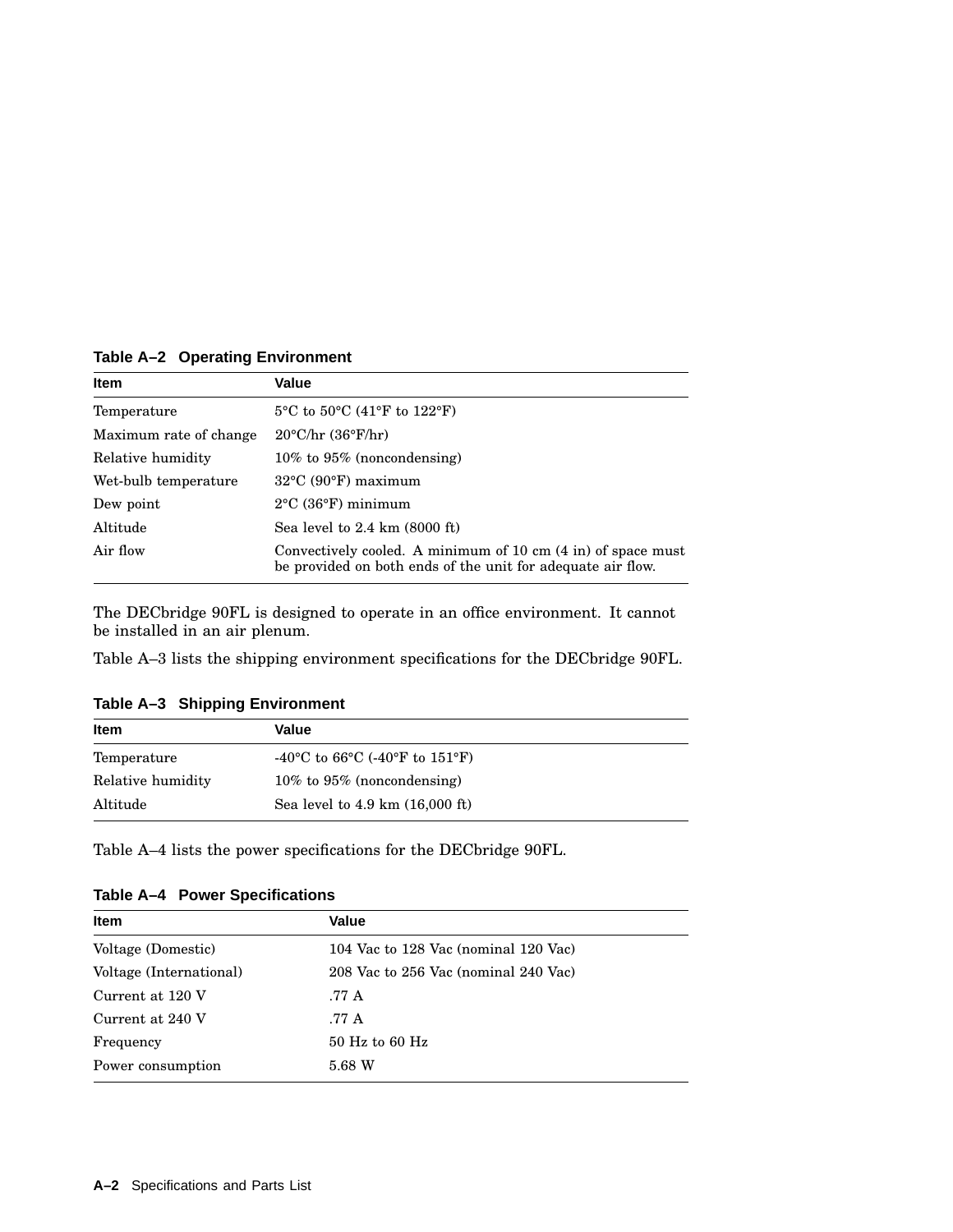**Table A–2 Operating Environment**

| <b>Item</b>            | Value                                                                                                                       |
|------------------------|-----------------------------------------------------------------------------------------------------------------------------|
| Temperature            | $5^{\circ}$ C to $50^{\circ}$ C (41 $^{\circ}$ F to 122 $^{\circ}$ F)                                                       |
| Maximum rate of change | $20^{\circ}$ C/hr (36 $^{\circ}$ F/hr)                                                                                      |
| Relative humidity      | $10\%$ to $95\%$ (noncondensing)                                                                                            |
| Wet-bulb temperature   | $32^{\circ}$ C (90 $^{\circ}$ F) maximum                                                                                    |
| Dew point              | $2^{\circ}$ C (36 $^{\circ}$ F) minimum                                                                                     |
| Altitude               | Sea level to $2.4 \text{ km}$ (8000 ft)                                                                                     |
| Air flow               | Convectively cooled. A minimum of 10 cm (4 in) of space must<br>be provided on both ends of the unit for adequate air flow. |

The DECbridge 90FL is designed to operate in an office environment. It cannot be installed in an air plenum.

Table A–3 lists the shipping environment specifications for the DECbridge 90FL.

**Table A–3 Shipping Environment**

| <b>Item</b>       | Value                                               |  |
|-------------------|-----------------------------------------------------|--|
| Temperature       | -40 °C to 66 °C (-40 °F to 151 °F)                  |  |
| Relative humidity | $10\%$ to $95\%$ (noncondensing)                    |  |
| Altitude          | Sea level to $4.9 \text{ km}$ $(16,000 \text{ ft})$ |  |

Table A–4 lists the power specifications for the DECbridge 90FL.

|  |  | Table A-4 Power Specifications |
|--|--|--------------------------------|
|--|--|--------------------------------|

| <b>Item</b>             | Value                                |
|-------------------------|--------------------------------------|
| Voltage (Domestic)      | 104 Vac to 128 Vac (nominal 120 Vac) |
| Voltage (International) | 208 Vac to 256 Vac (nominal 240 Vac) |
| Current at 120 V        | .77 A                                |
| Current at 240 V        | .77 A                                |
| Frequency               | $50$ Hz to 60 Hz                     |
| Power consumption       | 5.68 W                               |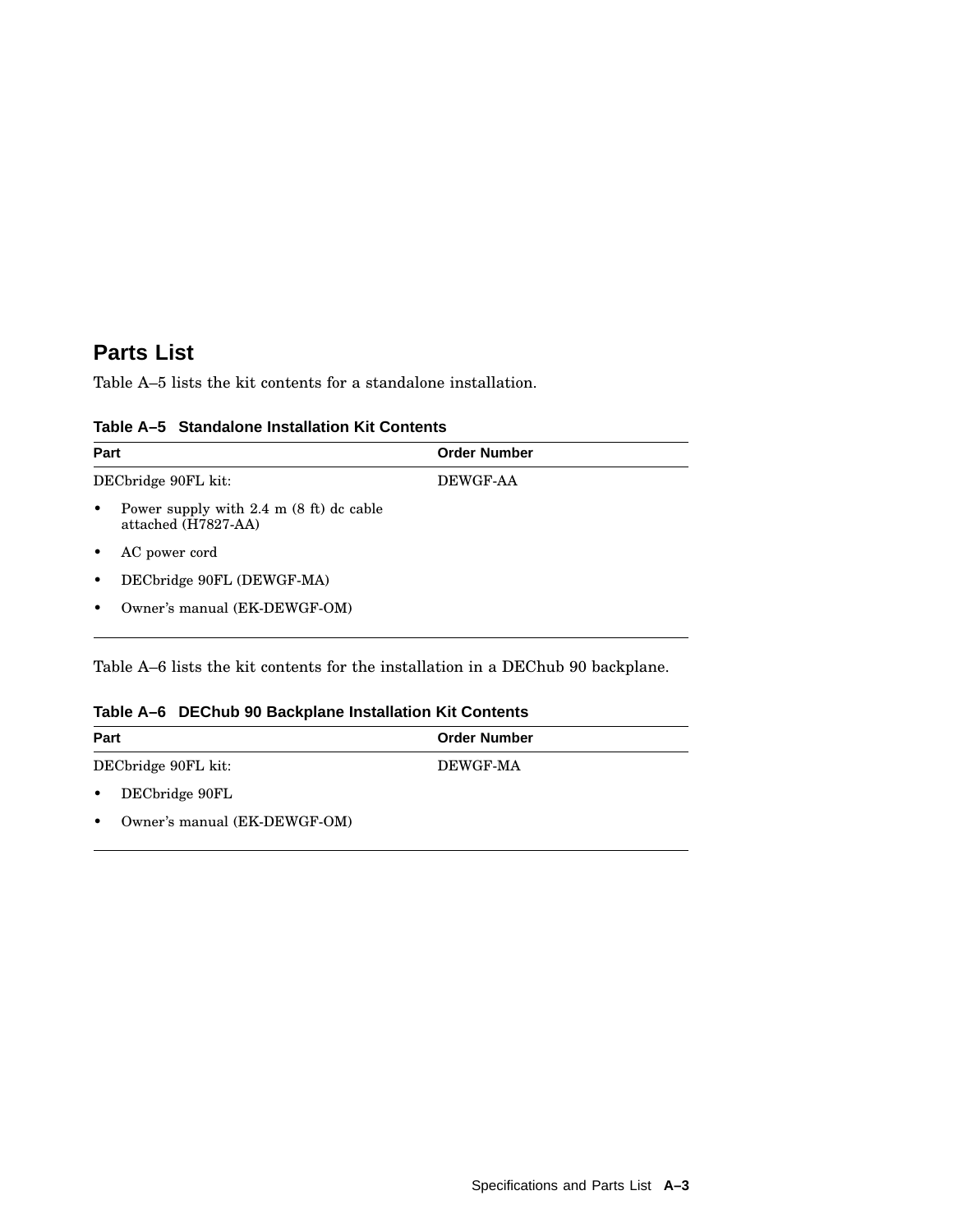## **Parts List**

Table A–5 lists the kit contents for a standalone installation.

| Part                                                                          | <b>Order Number</b> |  |
|-------------------------------------------------------------------------------|---------------------|--|
| DECbridge 90FL kit:                                                           | <b>DEWGF-AA</b>     |  |
| Power supply with $2.4 \text{ m}$ (8 ft) dc cable<br>٠<br>attached (H7827-AA) |                     |  |
| AC power cord                                                                 |                     |  |
| DECbridge 90FL (DEWGF-MA)<br>٠                                                |                     |  |
| Owner's manual (EK-DEWGF-OM)<br>٠                                             |                     |  |

#### **Table A–5 Standalone Installation Kit Contents**

Table A–6 lists the kit contents for the installation in a DEChub 90 backplane.

#### **Table A–6 DEChub 90 Backplane Installation Kit Contents**

| Part                                      | <b>Order Number</b> |
|-------------------------------------------|---------------------|
| DECbridge 90FL kit:                       | DEWGF-MA            |
| DECbridge 90FL<br>$\bullet$               |                     |
| Owner's manual (EK-DEWGF-OM)<br>$\bullet$ |                     |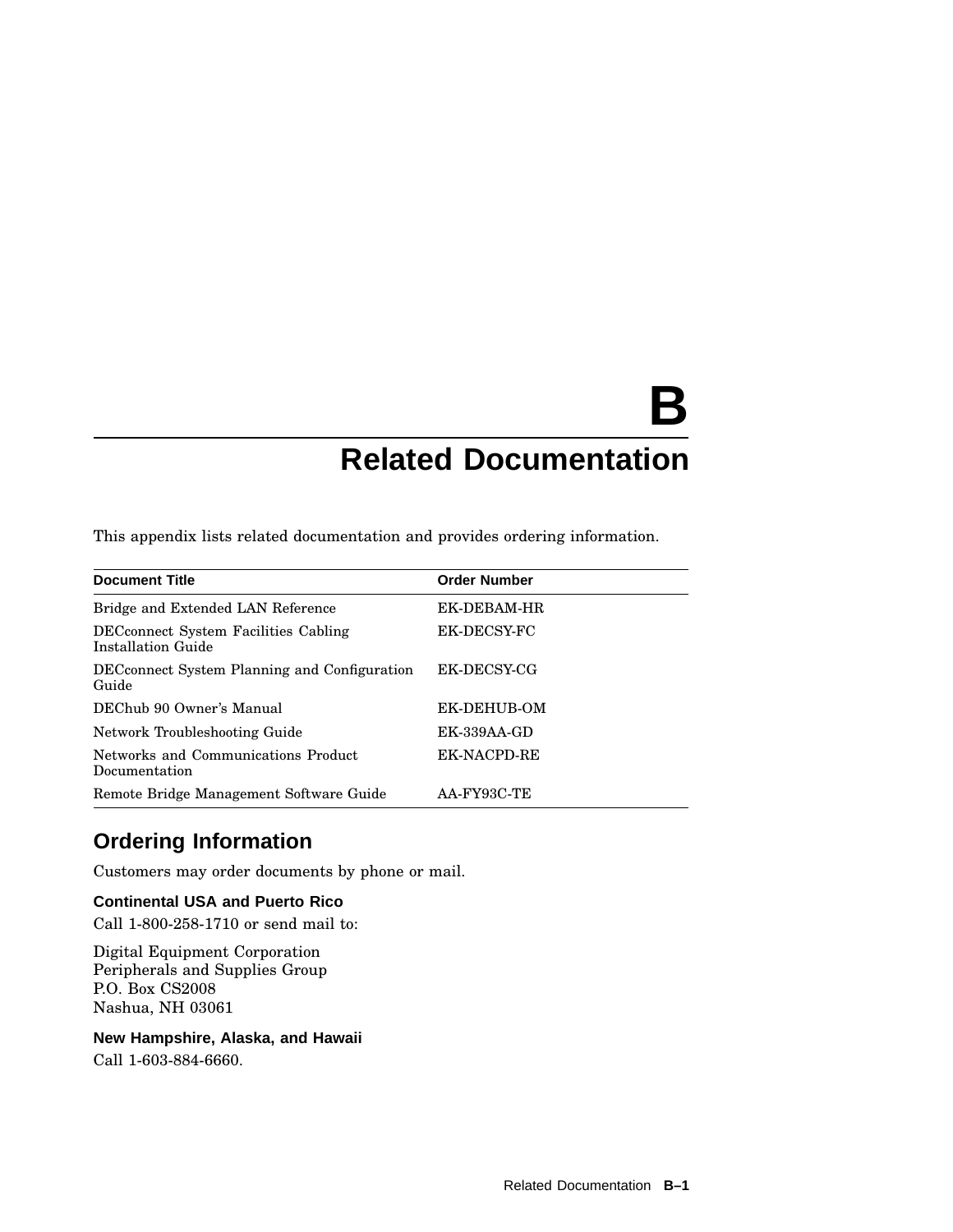# **B Related Documentation**

This appendix lists related documentation and provides ordering information.

| <b>Document Title</b>                                              | <b>Order Number</b> |
|--------------------------------------------------------------------|---------------------|
| Bridge and Extended LAN Reference                                  | EK-DEBAM-HR         |
| <b>DEC</b> connect System Facilities Cabling<br>Installation Guide | EK-DECSY-FC         |
| DEC connect System Planning and Configuration<br>Guide             | EK-DECSY-CG         |
| DEChub 90 Owner's Manual                                           | EK-DEHUB-OM         |
| Network Troubleshooting Guide                                      | <b>EK-339AA-GD</b>  |
| Networks and Communications Product<br>Documentation               | EK-NACPD-RE         |
| Remote Bridge Management Software Guide                            | AA-FY93C-TE         |

## **Ordering Information**

Customers may order documents by phone or mail.

## **Continental USA and Puerto Rico**

Call 1-800-258-1710 or send mail to:

Digital Equipment Corporation Peripherals and Supplies Group P.O. Box CS2008 Nashua, NH 03061

**New Hampshire, Alaska, and Hawaii**

Call 1-603-884-6660.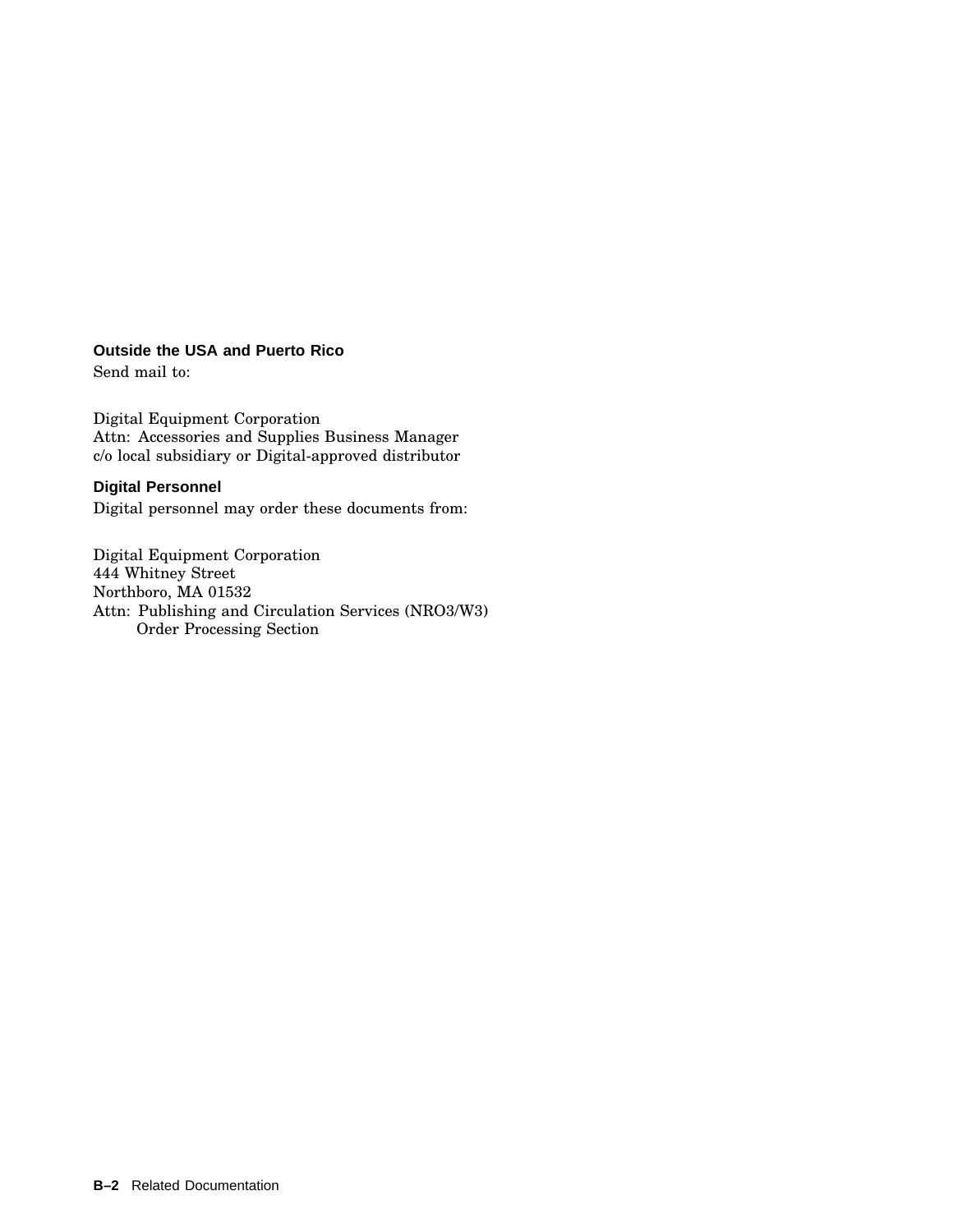#### **Outside the USA and Puerto Rico**

Send mail to:

Digital Equipment Corporation Attn: Accessories and Supplies Business Manager c/o local subsidiary or Digital-approved distributor

#### **Digital Personnel**

Digital personnel may order these documents from:

Digital Equipment Corporation 444 Whitney Street Northboro, MA 01532 Attn: Publishing and Circulation Services (NRO3/W3) Order Processing Section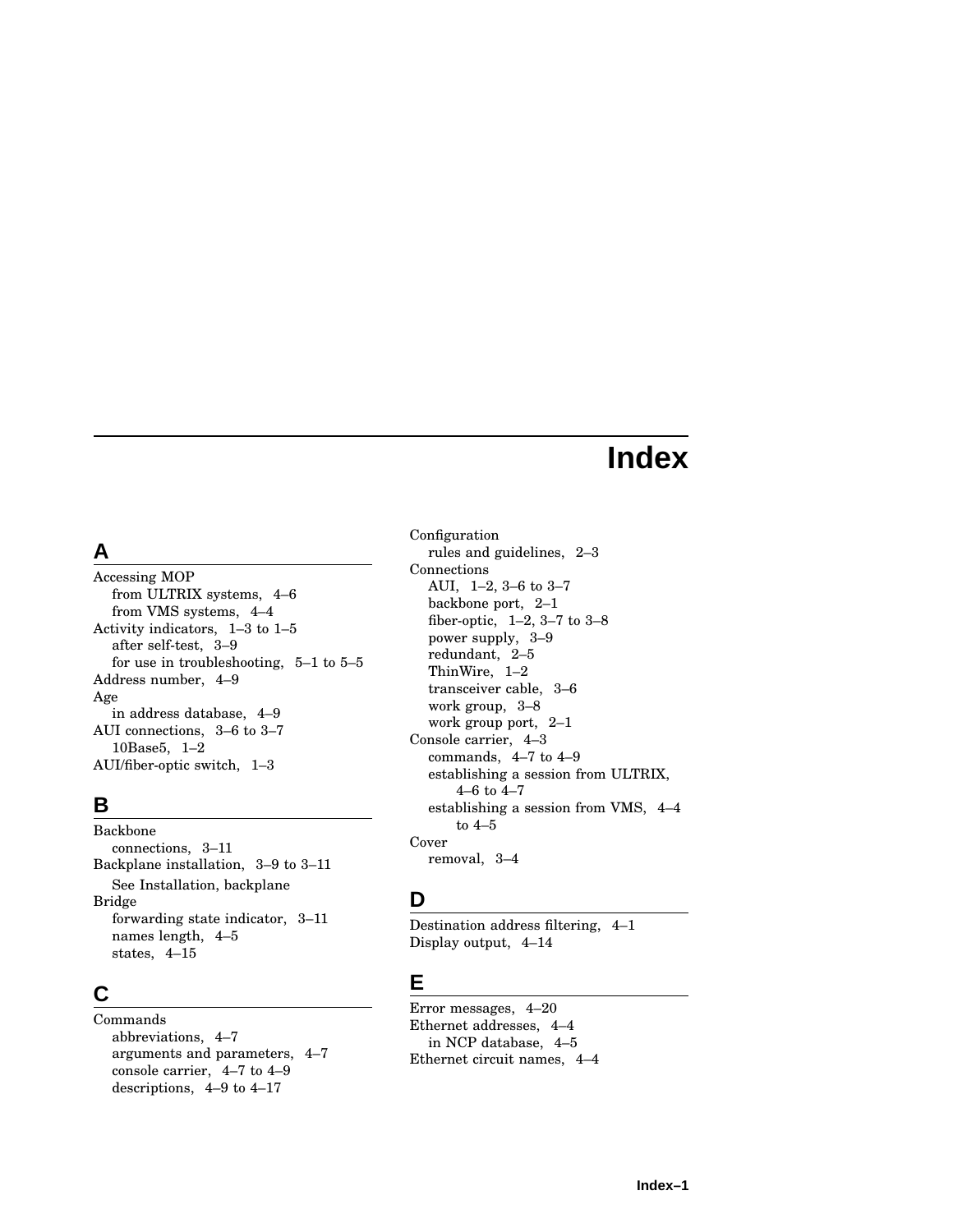# **Index**

## **A**

Accessing MOP from ULTRIX systems, 4–6 from VMS systems, 4–4 Activity indicators, 1–3 to 1–5 after self-test, 3–9 for use in troubleshooting, 5–1 to 5–5 Address number, 4–9 Age in address database, 4–9 AUI connections, 3–6 to 3–7 10Base5, 1–2 AUI/fiber-optic switch, 1–3

## **B**

Backbone connections, 3–11 Backplane installation, 3–9 to 3–11 See Installation, backplane Bridge forwarding state indicator, 3–11 names length, 4–5 states, 4–15

## **C**

Commands abbreviations, 4–7 arguments and parameters, 4–7 console carrier, 4–7 to 4–9 descriptions, 4–9 to 4–17

Configuration rules and guidelines, 2–3 Connections AUI, 1–2, 3–6 to 3–7 backbone port, 2–1 fiber-optic, 1–2, 3–7 to 3–8 power supply, 3–9 redundant, 2–5 ThinWire, 1–2 transceiver cable, 3–6 work group, 3–8 work group port, 2–1 Console carrier, 4–3 commands, 4–7 to 4–9 establishing a session from ULTRIX, 4–6 to 4–7 establishing a session from VMS, 4–4 to 4–5 Cover removal, 3–4

## **D**

Destination address filtering, 4–1 Display output, 4–14

## **E**

Error messages, 4–20 Ethernet addresses, 4–4 in NCP database, 4–5 Ethernet circuit names, 4–4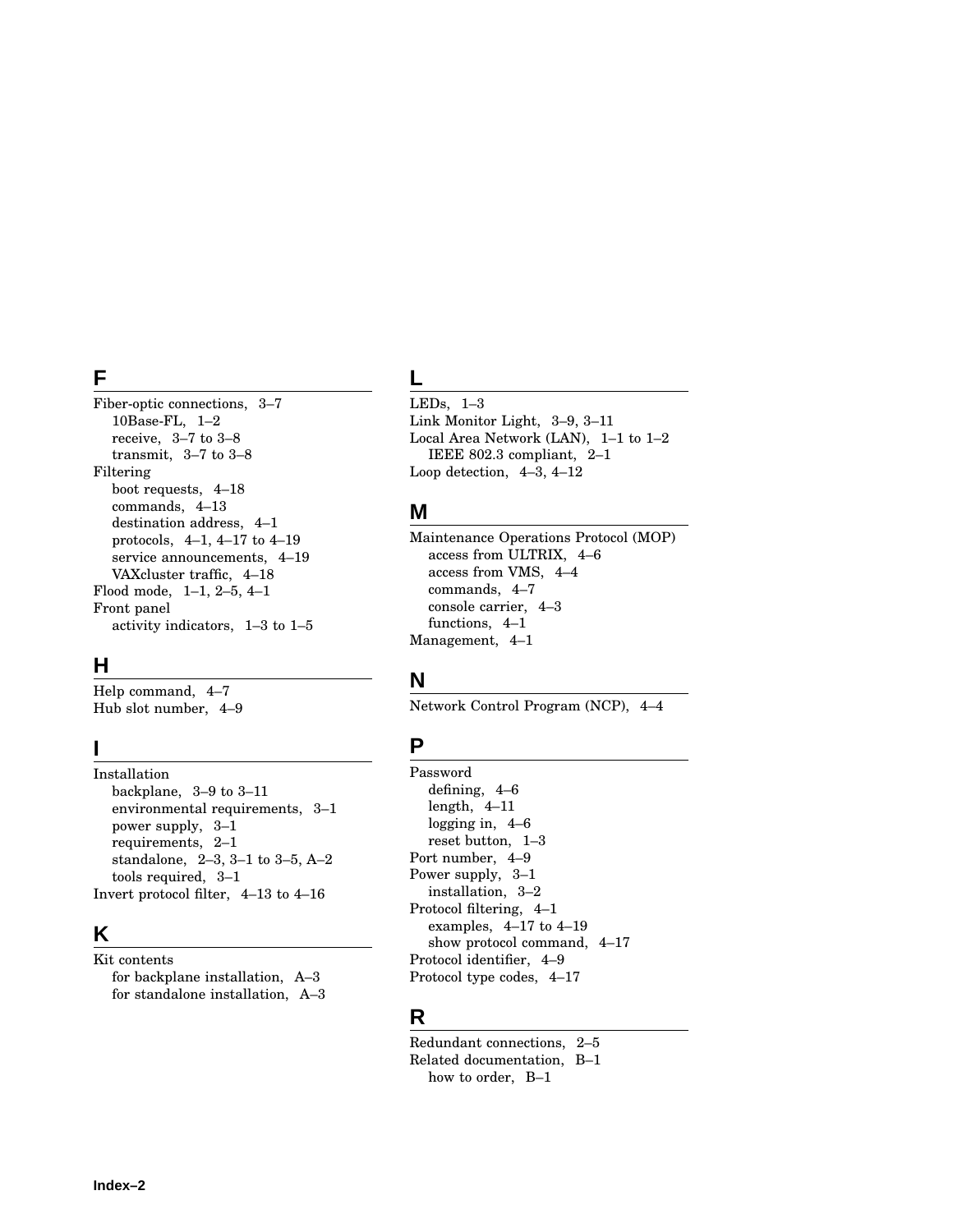## **F**

Fiber-optic connections, 3–7 10Base-FL, 1–2 receive, 3–7 to 3–8 transmit, 3–7 to 3–8 Filtering boot requests, 4–18 commands, 4–13 destination address, 4–1 protocols, 4–1, 4–17 to 4–19 service announcements, 4–19 VAXcluster traffic, 4–18 Flood mode, 1–1, 2–5, 4–1 Front panel activity indicators, 1–3 to 1–5

## **H**

Help command, 4–7 Hub slot number, 4–9

## **I**

Installation backplane, 3–9 to 3–11 environmental requirements, 3–1 power supply, 3–1 requirements, 2–1 standalone, 2–3, 3–1 to 3–5, A–2 tools required, 3–1 Invert protocol filter, 4–13 to 4–16

## **K**

Kit contents for backplane installation, A–3 for standalone installation, A–3

## **L**

LEDs, 1–3 Link Monitor Light, 3–9, 3–11 Local Area Network (LAN), 1–1 to 1–2 IEEE 802.3 compliant, 2–1 Loop detection, 4–3, 4–12

## **M**

Maintenance Operations Protocol (MOP) access from ULTRIX, 4–6 access from VMS, 4–4 commands, 4–7 console carrier, 4–3 functions, 4–1 Management, 4–1

## **N**

Network Control Program (NCP), 4–4

## **P**

Password defining, 4–6 length, 4–11 logging in, 4–6 reset button, 1–3 Port number, 4–9 Power supply, 3–1 installation, 3–2 Protocol filtering, 4–1 examples, 4–17 to 4–19 show protocol command, 4–17 Protocol identifier, 4–9 Protocol type codes, 4–17

## **R**

Redundant connections, 2–5 Related documentation, B–1 how to order, B–1